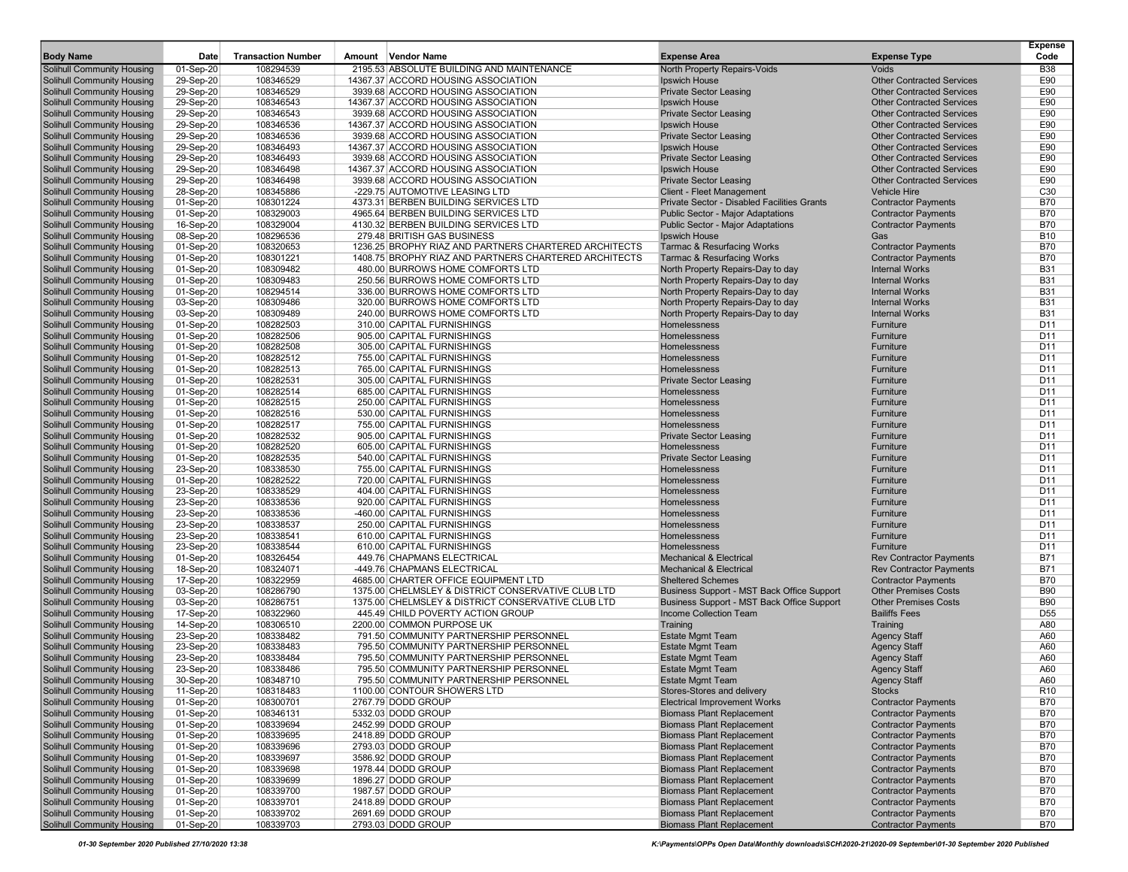| <b>Body Name</b>                                                       | Date                   | <b>Transaction Number</b> | Amount Vendor Name                                                                   | <b>Expense Area</b>                                                      | <b>Expense Type</b>                                                  | <b>Expense</b><br>Code             |
|------------------------------------------------------------------------|------------------------|---------------------------|--------------------------------------------------------------------------------------|--------------------------------------------------------------------------|----------------------------------------------------------------------|------------------------------------|
| <b>Solihull Community Housing</b>                                      | 01-Sep-20              | 108294539                 | 2195.53 ABSOLUTE BUILDING AND MAINTENANCE                                            | North Property Repairs-Voids                                             | Voids                                                                | <b>B38</b>                         |
| Solihull Community Housing                                             | 29-Sep-20              | 108346529                 | 14367.37 ACCORD HOUSING ASSOCIATION                                                  | <b>Ipswich House</b>                                                     | <b>Other Contracted Services</b>                                     | E90                                |
| Solihull Community Housing                                             | 29-Sep-20              | 108346529                 | 3939.68 ACCORD HOUSING ASSOCIATION                                                   | <b>Private Sector Leasing</b>                                            | <b>Other Contracted Services</b>                                     | E90                                |
| Solihull Community Housing                                             | 29-Sep-20              | 108346543                 | 14367.37 ACCORD HOUSING ASSOCIATION                                                  | Ipswich House                                                            | <b>Other Contracted Services</b>                                     | E90                                |
| <b>Solihull Community Housing</b><br><b>Solihull Community Housing</b> | 29-Sep-20<br>29-Sep-20 | 108346543<br>108346536    | 3939.68 ACCORD HOUSING ASSOCIATION<br>14367.37 ACCORD HOUSING ASSOCIATION            | <b>Private Sector Leasing</b><br>Ipswich House                           | <b>Other Contracted Services</b><br><b>Other Contracted Services</b> | E90<br>E90                         |
| Solihull Community Housing                                             | 29-Sep-20              | 108346536                 | 3939.68 ACCORD HOUSING ASSOCIATION                                                   | <b>Private Sector Leasing</b>                                            | <b>Other Contracted Services</b>                                     | E90                                |
| Solihull Community Housing                                             | 29-Sep-20              | 108346493                 | 14367.37 ACCORD HOUSING ASSOCIATION                                                  | Ipswich House                                                            | <b>Other Contracted Services</b>                                     | E90                                |
| Solihull Community Housing                                             | 29-Sep-20              | 108346493                 | 3939.68 ACCORD HOUSING ASSOCIATION                                                   | <b>Private Sector Leasing</b>                                            | <b>Other Contracted Services</b>                                     | E90                                |
| <b>Solihull Community Housing</b>                                      | 29-Sep-20              | 108346498                 | 14367.37 ACCORD HOUSING ASSOCIATION                                                  | Ipswich House                                                            | <b>Other Contracted Services</b>                                     | E90                                |
| <b>Solihull Community Housing</b>                                      | 29-Sep-20              | 108346498                 | 3939.68 ACCORD HOUSING ASSOCIATION                                                   | <b>Private Sector Leasing</b>                                            | <b>Other Contracted Services</b>                                     | E90                                |
| Solihull Community Housing                                             | 28-Sep-20              | 108345886                 | -229.75 AUTOMOTIVE LEASING LTD                                                       | Client - Fleet Management                                                | <b>Vehicle Hire</b>                                                  | C <sub>30</sub>                    |
| Solihull Community Housing                                             | 01-Sep-20              | 108301224                 | 4373.31 BERBEN BUILDING SERVICES LTD                                                 | Private Sector - Disabled Facilities Grants                              | <b>Contractor Payments</b>                                           | <b>B70</b>                         |
| Solihull Community Housing                                             | 01-Sep-20              | 108329003                 | 4965.64 BERBEN BUILDING SERVICES LTD                                                 | Public Sector - Major Adaptations                                        | <b>Contractor Payments</b>                                           | <b>B70</b>                         |
| <b>Solihull Community Housing</b>                                      | 16-Sep-20              | 108329004                 | 4130.32 BERBEN BUILDING SERVICES LTD                                                 | Public Sector - Major Adaptations                                        | <b>Contractor Payments</b>                                           | <b>B70</b>                         |
| <b>Solihull Community Housing</b><br>Solihull Community Housing        | 08-Sep-20<br>01-Sep-20 | 108296536<br>108320653    | 279.48 BRITISH GAS BUSINESS<br>1236.25 BROPHY RIAZ AND PARTNERS CHARTERED ARCHITECTS | Ipswich House<br><b>Tarmac &amp; Resurfacing Works</b>                   | Gas<br><b>Contractor Payments</b>                                    | <b>B10</b><br><b>B70</b>           |
| Solihull Community Housing                                             | 01-Sep-20              | 108301221                 | 1408.75 BROPHY RIAZ AND PARTNERS CHARTERED ARCHITECTS                                | <b>Tarmac &amp; Resurfacing Works</b>                                    | <b>Contractor Payments</b>                                           | <b>B70</b>                         |
| Solihull Community Housing                                             | 01-Sep-20              | 108309482                 | 480.00 BURROWS HOME COMFORTS LTD                                                     | North Property Repairs-Day to day                                        | <b>Internal Works</b>                                                | <b>B31</b>                         |
| <b>Solihull Community Housing</b>                                      | 01-Sep-20              | 108309483                 | 250.56 BURROWS HOME COMFORTS LTD                                                     | North Property Repairs-Day to day                                        | <b>Internal Works</b>                                                | <b>B31</b>                         |
| Solihull Community Housing                                             | 01-Sep-20              | 108294514                 | 336.00 BURROWS HOME COMFORTS LTD                                                     | North Property Repairs-Day to day                                        | <b>Internal Works</b>                                                | <b>B31</b>                         |
| Solihull Community Housing                                             | 03-Sep-20              | 108309486                 | 320.00 BURROWS HOME COMFORTS LTD                                                     | North Property Repairs-Day to day                                        | <b>Internal Works</b>                                                | <b>B31</b>                         |
| Solihull Community Housing                                             | 03-Sep-20              | 108309489                 | 240.00 BURROWS HOME COMFORTS LTD                                                     | North Property Repairs-Day to day                                        | <b>Internal Works</b>                                                | <b>B31</b>                         |
| Solihull Community Housing                                             | 01-Sep-20              | 108282503                 | 310.00 CAPITAL FURNISHINGS                                                           | Homelessness                                                             | Furniture                                                            | D <sub>11</sub>                    |
| <b>Solihull Community Housing</b><br><b>Solihull Community Housing</b> | 01-Sep-20              | 108282506                 | 905.00 CAPITAL FURNISHINGS                                                           | Homelessness                                                             | Furniture                                                            | D <sub>11</sub><br>D <sub>11</sub> |
| Solihull Community Housing                                             | 01-Sep-20<br>01-Sep-20 | 108282508<br>108282512    | 305.00 CAPITAL FURNISHINGS<br>755.00 CAPITAL FURNISHINGS                             | Homelessness<br>Homelessness                                             | Furniture<br>Furniture                                               | D <sub>11</sub>                    |
| Solihull Community Housing                                             | 01-Sep-20              | 108282513                 | 765.00 CAPITAL FURNISHINGS                                                           | Homelessness                                                             | Furniture                                                            | D <sub>11</sub>                    |
| Solihull Community Housing                                             | 01-Sep-20              | 108282531                 | 305.00 CAPITAL FURNISHINGS                                                           | <b>Private Sector Leasing</b>                                            | Furniture                                                            | D <sub>11</sub>                    |
| <b>Solihull Community Housing</b>                                      | 01-Sep-20              | 108282514                 | 685.00 CAPITAL FURNISHINGS                                                           | Homelessness                                                             | Furniture                                                            | D11                                |
| <b>Solihull Community Housing</b>                                      | 01-Sep-20              | 108282515                 | 250.00 CAPITAL FURNISHINGS                                                           | Homelessness                                                             | Furniture                                                            | D <sub>11</sub>                    |
| Solihull Community Housing                                             | 01-Sep-20              | 108282516                 | 530.00 CAPITAL FURNISHINGS                                                           | Homelessness                                                             | Furniture                                                            | D <sub>11</sub>                    |
| Solihull Community Housing                                             | 01-Sep-20              | 108282517                 | 755.00 CAPITAL FURNISHINGS                                                           | Homelessness                                                             | Furniture                                                            | D <sub>11</sub>                    |
| Solihull Community Housing                                             | 01-Sep-20              | 108282532                 | 905.00 CAPITAL FURNISHINGS                                                           | <b>Private Sector Leasing</b>                                            | Furniture                                                            | D <sub>11</sub>                    |
| <b>Solihull Community Housing</b>                                      | 01-Sep-20              | 108282520                 | 605.00 CAPITAL FURNISHINGS                                                           | Homelessness                                                             | Furniture                                                            | D11<br>D <sub>11</sub>             |
| <b>Solihull Community Housing</b><br>Solihull Community Housing        | 01-Sep-20<br>23-Sep-20 | 108282535<br>108338530    | 540.00 CAPITAL FURNISHINGS<br>755.00 CAPITAL FURNISHINGS                             | <b>Private Sector Leasing</b><br>Homelessness                            | Furniture<br>Furniture                                               | D <sub>11</sub>                    |
| Solihull Community Housing                                             | 01-Sep-20              | 108282522                 | 720.00 CAPITAL FURNISHINGS                                                           | Homelessness                                                             | Furniture                                                            | D11                                |
| Solihull Community Housing                                             | 23-Sep-20              | 108338529                 | 404.00 CAPITAL FURNISHINGS                                                           | Homelessness                                                             | Furniture                                                            | D <sub>11</sub>                    |
| Solihull Community Housing                                             | 23-Sep-20              | 108338536                 | 920.00 CAPITAL FURNISHINGS                                                           | Homelessness                                                             | Furniture                                                            | D11                                |
| Solihull Community Housing                                             | 23-Sep-20              | 108338536                 | -460.00 CAPITAL FURNISHINGS                                                          | Homelessness                                                             | Furniture                                                            | D <sub>11</sub>                    |
| Solihull Community Housing                                             | 23-Sep-20              | 108338537                 | 250.00 CAPITAL FURNISHINGS                                                           | Homelessness                                                             | Furniture                                                            | D <sub>11</sub>                    |
| Solihull Community Housing                                             | 23-Sep-20              | 108338541                 | 610.00 CAPITAL FURNISHINGS                                                           | Homelessness                                                             | Furniture                                                            | D <sub>11</sub>                    |
| Solihull Community Housing                                             | 23-Sep-20              | 108338544                 | 610.00 CAPITAL FURNISHINGS                                                           | Homelessness                                                             | Furniture                                                            | D <sub>11</sub>                    |
| <b>Solihull Community Housing</b><br><b>Solihull Community Housing</b> | 01-Sep-20<br>18-Sep-20 | 108326454<br>108324071    | 449.76 CHAPMANS ELECTRICAL<br>-449.76 CHAPMANS ELECTRICAL                            | <b>Mechanical &amp; Electrical</b><br><b>Mechanical &amp; Electrical</b> | <b>Rev Contractor Payments</b><br><b>Rev Contractor Payments</b>     | <b>B71</b><br><b>B71</b>           |
| Solihull Community Housing                                             | 17-Sep-20              | 108322959                 | 4685.00 CHARTER OFFICE EQUIPMENT LTD                                                 | <b>Sheltered Schemes</b>                                                 | <b>Contractor Payments</b>                                           | <b>B70</b>                         |
| Solihull Community Housing                                             | 03-Sep-20              | 108286790                 | 1375.00 CHELMSLEY & DISTRICT CONSERVATIVE CLUB LTD                                   | Business Support - MST Back Office Support                               | <b>Other Premises Costs</b>                                          | <b>B90</b>                         |
| Solihull Community Housing                                             | 03-Sep-20              | 108286751                 | 1375.00 CHELMSLEY & DISTRICT CONSERVATIVE CLUB LTD                                   | Business Support - MST Back Office Support                               | <b>Other Premises Costs</b>                                          | <b>B90</b>                         |
| <b>Solihull Community Housing</b>                                      | 17-Sep-20              | 108322960                 | 445.49 CHILD POVERTY ACTION GROUP                                                    | Income Collection Team                                                   | <b>Bailiffs Fees</b>                                                 | D <sub>55</sub>                    |
| <b>Solihull Community Housing</b>                                      | 14-Sep-20              | 108306510                 | 2200.00 COMMON PURPOSE UK                                                            | Training                                                                 | Training                                                             | A80                                |
| Solihull Community Housing                                             | 23-Sep-20              | 108338482                 | 791.50 COMMUNITY PARTNERSHIP PERSONNEL                                               | <b>Estate Mgmt Team</b>                                                  | <b>Agency Staff</b>                                                  | A60                                |
| <b>Solihull Community Housing</b>                                      | 23-Sep-20              | 108338483                 | 795.50 COMMUNITY PARTNERSHIP PERSONNEL                                               | <b>Estate Mgmt Team</b>                                                  | <b>Agency Staff</b>                                                  | A60                                |
| Solihull Community Housing                                             | 23-Sep-20              | 108338484                 | 795.50 COMMUNITY PARTNERSHIP PERSONNEL                                               | <b>Estate Mgmt Team</b>                                                  | <b>Agency Staff</b>                                                  | A60                                |
| Solihull Community Housing                                             | 23-Sep-20              | 108338486                 | 795.50 COMMUNITY PARTNERSHIP PERSONNEL                                               | <b>Estate Mgmt Team</b>                                                  | <b>Agency Staff</b>                                                  | A60                                |
| Solihull Community Housing<br>Solihull Community Housing               | 30-Sep-20<br>11-Sep-20 | 108348710<br>108318483    | 795.50 COMMUNITY PARTNERSHIP PERSONNEL<br>1100.00 CONTOUR SHOWERS LTD                | <b>Estate Mgmt Team</b><br>Stores-Stores and delivery                    | <b>Agency Staff</b><br>Stocks                                        | A60<br>R <sub>10</sub>             |
| Solihull Community Housing                                             | 01-Sep-20              | 108300701                 | 2767.79 DODD GROUP                                                                   | <b>Electrical Improvement Works</b>                                      | <b>Contractor Payments</b>                                           | <b>B70</b>                         |
| Solihull Community Housing                                             | 01-Sep-20              | 108346131                 | 5332.03 DODD GROUP                                                                   | <b>Biomass Plant Replacement</b>                                         | <b>Contractor Payments</b>                                           | <b>B70</b>                         |
| Solihull Community Housing                                             | 01-Sep-20              | 108339694                 | 2452.99 DODD GROUP                                                                   | <b>Biomass Plant Replacement</b>                                         | <b>Contractor Payments</b>                                           | <b>B70</b>                         |
| Solihull Community Housing                                             | 01-Sep-20              | 108339695                 | 2418.89 DODD GROUP                                                                   | <b>Biomass Plant Replacement</b>                                         | <b>Contractor Payments</b>                                           | <b>B70</b>                         |
| Solihull Community Housing                                             | 01-Sep-20              | 108339696                 | 2793.03 DODD GROUP                                                                   | <b>Biomass Plant Replacement</b>                                         | <b>Contractor Payments</b>                                           | <b>B70</b>                         |
| Solihull Community Housing                                             | 01-Sep-20              | 108339697                 | 3586.92 DODD GROUP                                                                   | <b>Biomass Plant Replacement</b>                                         | <b>Contractor Payments</b>                                           | <b>B70</b>                         |
| Solihull Community Housing                                             | 01-Sep-20              | 108339698                 | 1978.44 DODD GROUP                                                                   | <b>Biomass Plant Replacement</b>                                         | <b>Contractor Payments</b>                                           | <b>B70</b>                         |
| Solihull Community Housing<br>Solihull Community Housing               | 01-Sep-20<br>01-Sep-20 | 108339699<br>108339700    | 1896.27 DODD GROUP<br>1987.57 DODD GROUP                                             | <b>Biomass Plant Replacement</b><br><b>Biomass Plant Replacement</b>     | <b>Contractor Payments</b>                                           | <b>B70</b><br><b>B70</b>           |
| Solihull Community Housing                                             | 01-Sep-20              | 108339701                 | 2418.89 DODD GROUP                                                                   | <b>Biomass Plant Replacement</b>                                         | <b>Contractor Payments</b><br><b>Contractor Payments</b>             | <b>B70</b>                         |
| Solihull Community Housing                                             | 01-Sep-20              | 108339702                 | 2691.69 DODD GROUP                                                                   | <b>Biomass Plant Replacement</b>                                         | <b>Contractor Payments</b>                                           | <b>B70</b>                         |
| Solihull Community Housing                                             | 01-Sep-20              | 108339703                 | 2793.03 DODD GROUP                                                                   | <b>Biomass Plant Replacement</b>                                         | <b>Contractor Payments</b>                                           | <b>B70</b>                         |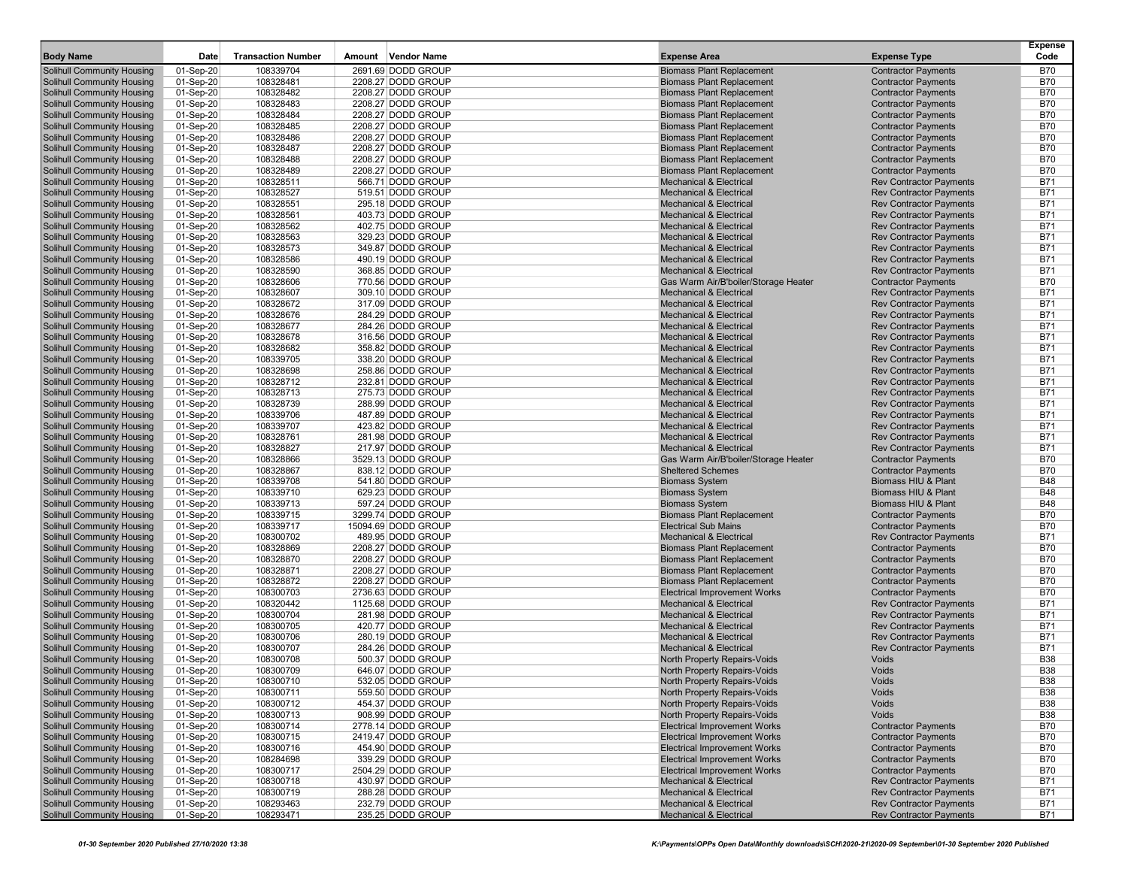|                                   | Date        | <b>Transaction Number</b> | Amount Vendor Name                       | <b>Expense Area</b>                                                    |                                | Expense<br>Code          |
|-----------------------------------|-------------|---------------------------|------------------------------------------|------------------------------------------------------------------------|--------------------------------|--------------------------|
| <b>Body Name</b>                  |             |                           |                                          |                                                                        | <b>Expense Type</b>            |                          |
| <b>Solihull Community Housing</b> | 01-Sep-20   | 108339704                 | 2691.69 DODD GROUP                       | <b>Biomass Plant Replacement</b>                                       | <b>Contractor Payments</b>     | <b>B70</b>               |
| Solihull Community Housing        | 01-Sep-20   | 108328481                 | 2208.27 DODD GROUP                       | <b>Biomass Plant Replacement</b>                                       | <b>Contractor Payments</b>     | <b>B70</b>               |
| <b>Solihull Community Housing</b> | 01-Sep-20   | 108328482                 | 2208.27 DODD GROUP                       | <b>Biomass Plant Replacement</b>                                       | <b>Contractor Payments</b>     | <b>B70</b>               |
| Solihull Community Housing        | 01-Sep-20   | 108328483                 | 2208.27 DODD GROUP                       | <b>Biomass Plant Replacement</b>                                       | <b>Contractor Payments</b>     | <b>B70</b>               |
| Solihull Community Housing        | 01-Sep-20   | 108328484                 | 2208.27 DODD GROUP                       | <b>Biomass Plant Replacement</b><br><b>Biomass Plant Replacement</b>   | <b>Contractor Payments</b>     | <b>B70</b><br><b>B70</b> |
| <b>Solihull Community Housing</b> | 01-Sep-20   | 108328485                 | 2208.27 DODD GROUP<br>2208.27 DODD GROUP | <b>Biomass Plant Replacement</b>                                       | <b>Contractor Payments</b>     | <b>B70</b>               |
| <b>Solihull Community Housing</b> | 01-Sep-20   | 108328486                 |                                          |                                                                        | <b>Contractor Payments</b>     |                          |
| Solihull Community Housing        | 01-Sep-20   | 108328487                 | 2208.27 DODD GROUP                       | <b>Biomass Plant Replacement</b>                                       | <b>Contractor Payments</b>     | <b>B70</b>               |
| <b>Solihull Community Housing</b> | 01-Sep-20   | 108328488                 | 2208.27 DODD GROUP                       | <b>Biomass Plant Replacement</b>                                       | <b>Contractor Payments</b>     | <b>B70</b>               |
| <b>Solihull Community Housing</b> | 01-Sep-20   | 108328489                 | 2208.27 DODD GROUP                       | <b>Biomass Plant Replacement</b><br><b>Mechanical &amp; Electrical</b> | <b>Contractor Payments</b>     | <b>B70</b>               |
| <b>Solihull Community Housing</b> | 01-Sep-20   | 108328511                 | 566.71 DODD GROUP                        |                                                                        | <b>Rev Contractor Payments</b> | <b>B71</b>               |
| <b>Solihull Community Housing</b> | 01-Sep-20   | 108328527                 | 519.51 DODD GROUP                        | <b>Mechanical &amp; Electrical</b>                                     | <b>Rev Contractor Payments</b> | <b>B71</b>               |
| <b>Solihull Community Housing</b> | 01-Sep-20   | 108328551                 | 295.18 DODD GROUP                        | <b>Mechanical &amp; Electrical</b>                                     | <b>Rev Contractor Payments</b> | <b>B71</b>               |
| <b>Solihull Community Housing</b> | 01-Sep-20   | 108328561                 | 403.73 DODD GROUP                        | <b>Mechanical &amp; Electrical</b>                                     | <b>Rev Contractor Payments</b> | <b>B71</b>               |
| <b>Solihull Community Housing</b> | 01-Sep-20   | 108328562                 | 402.75 DODD GROUP                        | <b>Mechanical &amp; Electrical</b>                                     | <b>Rev Contractor Payments</b> | <b>B71</b>               |
| Solihull Community Housing        | 01-Sep-20   | 108328563                 | 329.23 DODD GROUP                        | <b>Mechanical &amp; Electrical</b>                                     | <b>Rev Contractor Payments</b> | <b>B71</b>               |
| <b>Solihull Community Housing</b> | 01-Sep-20   | 108328573                 | 349.87 DODD GROUP                        | <b>Mechanical &amp; Electrical</b>                                     | <b>Rev Contractor Payments</b> | <b>B71</b>               |
| <b>Solihull Community Housing</b> | 01-Sep-20   | 108328586                 | 490.19 DODD GROUP                        | <b>Mechanical &amp; Electrical</b>                                     | <b>Rev Contractor Payments</b> | <b>B71</b>               |
| <b>Solihull Community Housing</b> | 01-Sep-20   | 108328590                 | 368.85 DODD GROUP                        | <b>Mechanical &amp; Electrical</b>                                     | <b>Rev Contractor Payments</b> | <b>B71</b>               |
| <b>Solihull Community Housing</b> | 01-Sep-20   | 108328606                 | 770.56 DODD GROUP                        | Gas Warm Air/B'boiler/Storage Heater                                   | <b>Contractor Payments</b>     | <b>B70</b>               |
| <b>Solihull Community Housing</b> | 01-Sep-20   | 108328607                 | 309.10 DODD GROUP                        | <b>Mechanical &amp; Electrical</b>                                     | <b>Rev Contractor Payments</b> | <b>B71</b>               |
| <b>Solihull Community Housing</b> | 01-Sep-20   | 108328672                 | 317.09 DODD GROUP                        | <b>Mechanical &amp; Electrical</b>                                     | <b>Rev Contractor Payments</b> | <b>B71</b>               |
| <b>Solihull Community Housing</b> | 01-Sep-20   | 108328676                 | 284.29 DODD GROUP                        | <b>Mechanical &amp; Electrical</b>                                     | <b>Rev Contractor Payments</b> | <b>B71</b>               |
| <b>Solihull Community Housing</b> | 01-Sep-20   | 108328677                 | 284.26 DODD GROUP                        | <b>Mechanical &amp; Electrical</b>                                     | <b>Rev Contractor Payments</b> | <b>B71</b>               |
| <b>Solihull Community Housing</b> | 01-Sep-20   | 108328678                 | 316.56 DODD GROUP                        | <b>Mechanical &amp; Electrical</b>                                     | <b>Rev Contractor Payments</b> | <b>B71</b>               |
| Solihull Community Housing        | 01-Sep-20   | 108328682                 | 358.82 DODD GROUP                        | <b>Mechanical &amp; Electrical</b>                                     | <b>Rev Contractor Payments</b> | <b>B71</b>               |
| <b>Solihull Community Housing</b> | 01-Sep-20   | 108339705                 | 338.20 DODD GROUP                        | <b>Mechanical &amp; Electrical</b>                                     | <b>Rev Contractor Payments</b> | <b>B71</b>               |
| Solihull Community Housing        | 01-Sep-20   | 108328698                 | 258.86 DODD GROUP                        | <b>Mechanical &amp; Electrical</b>                                     | <b>Rev Contractor Payments</b> | <b>B71</b>               |
| <b>Solihull Community Housing</b> | 01-Sep-20   | 108328712                 | 232.81 DODD GROUP                        | <b>Mechanical &amp; Electrical</b>                                     | <b>Rev Contractor Payments</b> | <b>B71</b>               |
| <b>Solihull Community Housing</b> | 01-Sep-20   | 108328713                 | 275.73 DODD GROUP                        | <b>Mechanical &amp; Electrical</b>                                     | <b>Rev Contractor Payments</b> | <b>B71</b>               |
| <b>Solihull Community Housing</b> | 01-Sep-20   | 108328739                 | 288.99 DODD GROUP                        | <b>Mechanical &amp; Electrical</b>                                     | <b>Rev Contractor Payments</b> | <b>B71</b>               |
| <b>Solihull Community Housing</b> | 01-Sep-20   | 108339706                 | 487.89 DODD GROUP                        | <b>Mechanical &amp; Electrical</b>                                     | <b>Rev Contractor Payments</b> | <b>B71</b>               |
| <b>Solihull Community Housing</b> | 01-Sep-20   | 108339707                 | 423.82 DODD GROUP                        | <b>Mechanical &amp; Electrical</b>                                     | <b>Rev Contractor Payments</b> | <b>B71</b>               |
| <b>Solihull Community Housing</b> | 01-Sep-20   | 108328761                 | 281.98 DODD GROUP                        | <b>Mechanical &amp; Electrical</b>                                     | <b>Rev Contractor Payments</b> | <b>B71</b>               |
| <b>Solihull Community Housing</b> | 01-Sep-20   | 108328827                 | 217.97 DODD GROUP                        | <b>Mechanical &amp; Electrical</b>                                     | <b>Rev Contractor Payments</b> | <b>B71</b>               |
| <b>Solihull Community Housing</b> | 01-Sep-20   | 108328866                 | 3529.13 DODD GROUP                       | Gas Warm Air/B'boiler/Storage Heater                                   | <b>Contractor Payments</b>     | <b>B70</b>               |
| <b>Solihull Community Housing</b> | 01-Sep-20   | 108328867                 | 838.12 DODD GROUP                        | <b>Sheltered Schemes</b>                                               | <b>Contractor Payments</b>     | <b>B70</b>               |
| <b>Solihull Community Housing</b> | 01-Sep-20   | 108339708                 | 541.80 DODD GROUP                        | <b>Biomass System</b>                                                  | Biomass HIU & Plant            | <b>B48</b>               |
| <b>Solihull Community Housing</b> | 01-Sep-20   | 108339710                 | 629.23 DODD GROUP                        | <b>Biomass System</b>                                                  | Biomass HIU & Plant            | <b>B48</b>               |
| <b>Solihull Community Housing</b> | 01-Sep-20   | 108339713                 | 597.24 DODD GROUP                        | <b>Biomass System</b>                                                  | Biomass HIU & Plant            | <b>B48</b>               |
| <b>Solihull Community Housing</b> | 01-Sep-20   | 108339715                 | 3299.74 DODD GROUP                       | <b>Biomass Plant Replacement</b>                                       | <b>Contractor Payments</b>     | <b>B70</b>               |
| <b>Solihull Community Housing</b> | 01-Sep-20   | 108339717                 | 15094.69 DODD GROUP                      | <b>Electrical Sub Mains</b>                                            | <b>Contractor Payments</b>     | <b>B70</b>               |
| <b>Solihull Community Housing</b> | 01-Sep-20   | 108300702                 | 489.95 DODD GROUP                        | <b>Mechanical &amp; Electrical</b>                                     | <b>Rev Contractor Payments</b> | <b>B71</b>               |
| <b>Solihull Community Housing</b> | 01-Sep-20   | 108328869                 | 2208.27 DODD GROUP                       | <b>Biomass Plant Replacement</b>                                       | <b>Contractor Payments</b>     | <b>B70</b>               |
| <b>Solihull Community Housing</b> | 01-Sep-20   | 108328870                 | 2208.27 DODD GROUP                       | <b>Biomass Plant Replacement</b>                                       | <b>Contractor Payments</b>     | <b>B70</b>               |
| <b>Solihull Community Housing</b> | 01-Sep-20   | 108328871                 | 2208.27 DODD GROUP                       | <b>Biomass Plant Replacement</b>                                       | <b>Contractor Payments</b>     | <b>B70</b>               |
| <b>Solihull Community Housing</b> | 01-Sep-20   | 108328872                 | 2208.27 DODD GROUP                       | <b>Biomass Plant Replacement</b>                                       | <b>Contractor Payments</b>     | <b>B70</b>               |
| <b>Solihull Community Housing</b> | 01-Sep-20   | 108300703                 | 2736.63 DODD GROUP                       | <b>Electrical Improvement Works</b>                                    | <b>Contractor Payments</b>     | <b>B70</b>               |
| <b>Solihull Community Housing</b> | 01-Sep-20   | 108320442                 | 1125.68 DODD GROUP                       | <b>Mechanical &amp; Electrical</b>                                     | <b>Rev Contractor Payments</b> | <b>B71</b>               |
| <b>Solihull Community Housing</b> | 01-Sep-20   | 108300704                 | 281.98 DODD GROUP                        | <b>Mechanical &amp; Electrical</b>                                     | <b>Rev Contractor Payments</b> | <b>B71</b>               |
| <b>Solihull Community Housing</b> | 01-Sep-20   | 108300705                 | 420.77 DODD GROUP                        | <b>Mechanical &amp; Electrical</b>                                     | <b>Rev Contractor Payments</b> | <b>B71</b>               |
| <b>Solihull Community Housing</b> | 01-Sep-20   | 108300706                 | 280.19 DODD GROUP                        | <b>Mechanical &amp; Electrical</b>                                     | <b>Rev Contractor Payments</b> | <b>B71</b>               |
| <b>Solihull Community Housing</b> | 01-Sep-20   | 108300707                 | 284.26 DODD GROUP                        | <b>Mechanical &amp; Electrical</b>                                     | <b>Rev Contractor Payments</b> | <b>B71</b>               |
| <b>Solihull Community Housing</b> | 01-Sep-20   | 108300708                 | 500.37 DODD GROUP                        | North Property Repairs-Voids                                           | Voids                          | <b>B38</b>               |
| <b>Solihull Community Housing</b> | 01-Sep-20   | 108300709                 | 646.07 DODD GROUP                        | North Property Repairs-Voids                                           | Voids                          | <b>B38</b>               |
| Solihull Community Housing        | 01-Sep-20   | 108300710                 | 532.05 DODD GROUP                        | North Property Repairs-Voids                                           | Voids                          | <b>B38</b>               |
| <b>Solihull Community Housing</b> | 01-Sep-20   | 108300711                 | 559.50 DODD GROUP                        | North Property Repairs-Voids                                           | Voids                          | <b>B38</b>               |
| Solihull Community Housing        | 01-Sep-20   | 108300712                 | 454.37 DODD GROUP                        | North Property Repairs-Voids                                           | Voids                          | <b>B38</b>               |
| <b>Solihull Community Housing</b> | 01-Sep-20   | 108300713                 | 908.99 DODD GROUP                        | North Property Repairs-Voids                                           | Voids                          | <b>B38</b>               |
| <b>Solihull Community Housing</b> | 01-Sep-20   | 108300714                 | 2778.14 DODD GROUP                       | <b>Electrical Improvement Works</b>                                    | <b>Contractor Payments</b>     | <b>B70</b>               |
| <b>Solihull Community Housing</b> | 01-Sep-20   | 108300715                 | 2419.47 DODD GROUP                       | <b>Electrical Improvement Works</b>                                    | <b>Contractor Payments</b>     | <b>B70</b>               |
| <b>Solihull Community Housing</b> | 01-Sep-20   | 108300716                 | 454.90 DODD GROUP                        | <b>Electrical Improvement Works</b>                                    | <b>Contractor Payments</b>     | <b>B70</b>               |
| <b>Solihull Community Housing</b> | 01-Sep-20   | 108284698                 | 339.29 DODD GROUP                        | <b>Electrical Improvement Works</b>                                    | <b>Contractor Payments</b>     | <b>B70</b>               |
| <b>Solihull Community Housing</b> | 01-Sep-20   | 108300717                 | 2504.29 DODD GROUP                       | <b>Electrical Improvement Works</b>                                    | <b>Contractor Payments</b>     | <b>B70</b>               |
| <b>Solihull Community Housing</b> | 01-Sep-20   | 108300718                 | 430.97 DODD GROUP                        | <b>Mechanical &amp; Electrical</b>                                     | <b>Rev Contractor Payments</b> | <b>B71</b>               |
| <b>Solihull Community Housing</b> | 01-Sep-20   | 108300719                 | 288.28 DODD GROUP                        | <b>Mechanical &amp; Electrical</b>                                     | <b>Rev Contractor Payments</b> | <b>B71</b>               |
| <b>Solihull Community Housing</b> | 01-Sep-20   | 108293463                 | 232.79 DODD GROUP                        | Mechanical & Electrical                                                | <b>Rev Contractor Payments</b> | <b>B71</b>               |
| Solihull Community Housing        | $01-Sep-20$ | 108293471                 | 235.25 DODD GROUP                        | Mechanical & Electrical                                                | <b>Rev Contractor Payments</b> | B71                      |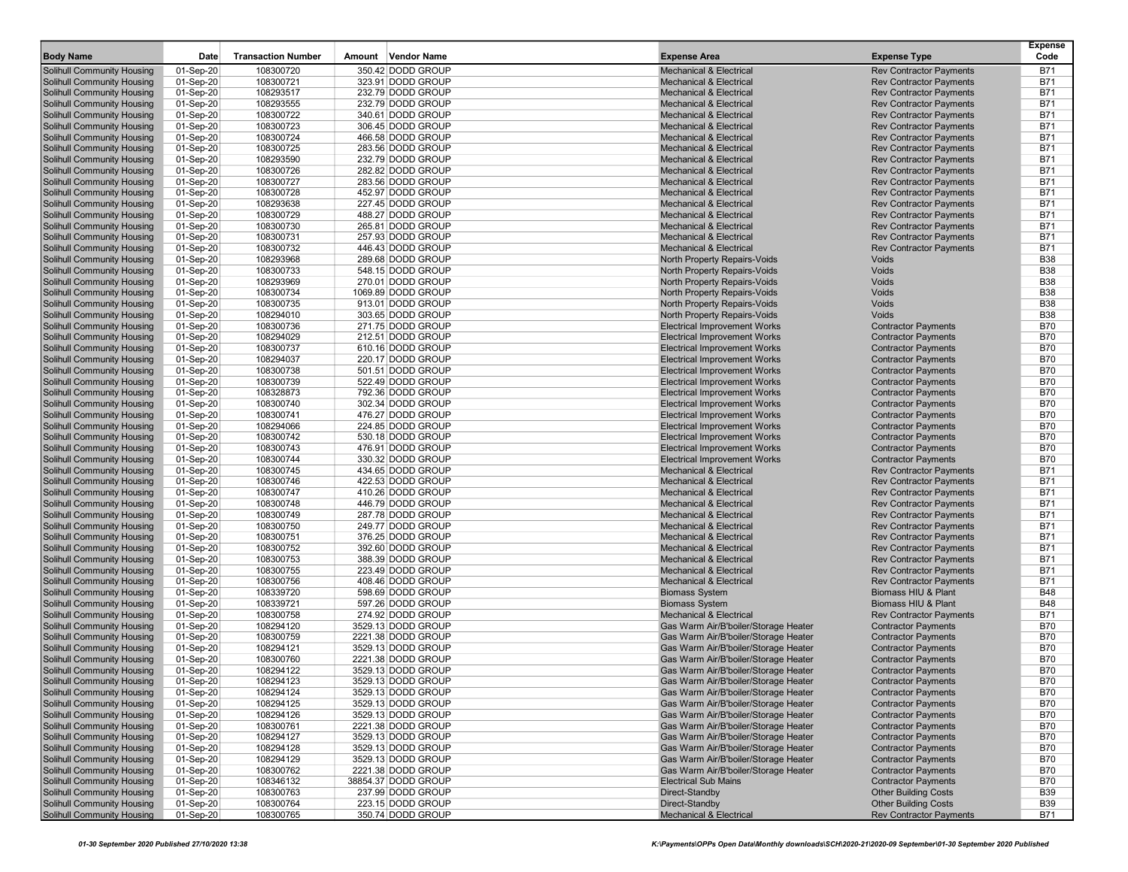| <b>Body Name</b>                                         | Date                   | <b>Transaction Number</b> | Amount Vendor Name                      | <b>Expense Area</b>                                                        | <b>Expense Type</b>                                              | <b>Expense</b><br>Code   |
|----------------------------------------------------------|------------------------|---------------------------|-----------------------------------------|----------------------------------------------------------------------------|------------------------------------------------------------------|--------------------------|
| Solihull Community Housing                               | 01-Sep-20              | 108300720                 | 350.42 DODD GROUP                       | <b>Mechanical &amp; Electrical</b>                                         | <b>Rev Contractor Payments</b>                                   | <b>B71</b>               |
| <b>Solihull Community Housing</b>                        | 01-Sep-20              | 108300721                 | 323.91 DODD GROUP                       | <b>Mechanical &amp; Electrical</b>                                         | <b>Rev Contractor Payments</b>                                   | <b>B71</b>               |
| Solihull Community Housing                               | 01-Sep-20              | 108293517                 | 232.79 DODD GROUP                       | <b>Mechanical &amp; Electrical</b>                                         | <b>Rev Contractor Payments</b>                                   | <b>B71</b>               |
| Solihull Community Housing                               | 01-Sep-20              | 108293555                 | 232.79 DODD GROUP                       | <b>Mechanical &amp; Electrical</b>                                         | <b>Rev Contractor Payments</b>                                   | <b>B71</b>               |
| Solihull Community Housing                               | 01-Sep-20              | 108300722                 | 340.61 DODD GROUP                       | <b>Mechanical &amp; Electrical</b>                                         | <b>Rev Contractor Payments</b>                                   | <b>B71</b>               |
| Solihull Community Housing                               | 01-Sep-20              | 108300723                 | 306.45 DODD GROUP                       | <b>Mechanical &amp; Electrical</b>                                         | <b>Rev Contractor Payments</b>                                   | <b>B71</b>               |
| Solihull Community Housing                               | 01-Sep-20              | 108300724                 | 466.58 DODD GROUP                       | <b>Mechanical &amp; Electrical</b>                                         | <b>Rev Contractor Payments</b>                                   | <b>B71</b>               |
| Solihull Community Housing                               | 01-Sep-20              | 108300725                 | 283.56 DODD GROUP                       | <b>Mechanical &amp; Electrical</b>                                         | <b>Rev Contractor Payments</b>                                   | <b>B71</b>               |
| <b>Solihull Community Housing</b>                        | 01-Sep-20              | 108293590                 | 232.79 DODD GROUP                       | <b>Mechanical &amp; Electrical</b>                                         | <b>Rev Contractor Payments</b>                                   | <b>B71</b>               |
| Solihull Community Housing                               | 01-Sep-20              | 108300726                 | 282.82 DODD GROUP                       | <b>Mechanical &amp; Electrical</b>                                         | <b>Rev Contractor Payments</b>                                   | <b>B71</b>               |
| Solihull Community Housing                               | 01-Sep-20              | 108300727                 | 283.56 DODD GROUP                       | <b>Mechanical &amp; Electrical</b>                                         | <b>Rev Contractor Payments</b>                                   | <b>B71</b>               |
| Solihull Community Housing                               | 01-Sep-20              | 108300728                 | 452.97 DODD GROUP                       | <b>Mechanical &amp; Electrical</b>                                         | <b>Rev Contractor Payments</b>                                   | <b>B71</b>               |
| Solihull Community Housing                               | 01-Sep-20              | 108293638                 | 227.45 DODD GROUP                       | <b>Mechanical &amp; Electrical</b>                                         | <b>Rev Contractor Payments</b>                                   | <b>B71</b>               |
| Solihull Community Housing                               | 01-Sep-20              | 108300729                 | 488.27 DODD GROUP                       | <b>Mechanical &amp; Electrical</b><br><b>Mechanical &amp; Electrical</b>   | <b>Rev Contractor Payments</b>                                   | <b>B71</b>               |
| Solihull Community Housing                               | 01-Sep-20              | 108300730                 | 265.81 DODD GROUP<br>257.93 DODD GROUP  |                                                                            | <b>Rev Contractor Payments</b><br><b>Rev Contractor Payments</b> | <b>B71</b>               |
| Solihull Community Housing                               | 01-Sep-20              | 108300731                 | 446.43 DODD GROUP                       | <b>Mechanical &amp; Electrical</b><br><b>Mechanical &amp; Electrical</b>   |                                                                  | <b>B71</b><br><b>B71</b> |
| Solihull Community Housing                               | 01-Sep-20              | 108300732                 | 289.68 DODD GROUP                       |                                                                            | <b>Rev Contractor Payments</b><br>Voids                          | <b>B38</b>               |
| Solihull Community Housing                               | 01-Sep-20              | 108293968                 |                                         | North Property Repairs-Voids                                               |                                                                  | <b>B38</b>               |
| <b>Solihull Community Housing</b>                        | 01-Sep-20              | 108300733                 | 548.15 DODD GROUP                       | North Property Repairs-Voids                                               | Voids                                                            | <b>B38</b>               |
| Solihull Community Housing                               | 01-Sep-20              | 108293969                 | 270.01 DODD GROUP                       | North Property Repairs-Voids                                               | Voids                                                            | <b>B38</b>               |
| Solihull Community Housing<br>Solihull Community Housing | 01-Sep-20<br>01-Sep-20 | 108300734<br>108300735    | 1069.89 DODD GROUP<br>913.01 DODD GROUP | <b>North Property Repairs-Voids</b><br>North Property Repairs-Voids        | Voids<br>Voids                                                   | <b>B38</b>               |
|                                                          |                        | 108294010                 | 303.65 DODD GROUP                       |                                                                            | Voids                                                            | <b>B38</b>               |
| Solihull Community Housing                               | 01-Sep-20              |                           | 271.75 DODD GROUP                       | North Property Repairs-Voids                                               |                                                                  | <b>B70</b>               |
| Solihull Community Housing                               | 01-Sep-20<br>01-Sep-20 | 108300736<br>108294029    |                                         | <b>Electrical Improvement Works</b>                                        | <b>Contractor Payments</b>                                       | <b>B70</b>               |
| Solihull Community Housing                               |                        | 108300737                 | 212.51 DODD GROUP                       | <b>Electrical Improvement Works</b><br><b>Electrical Improvement Works</b> | <b>Contractor Payments</b>                                       | <b>B70</b>               |
| Solihull Community Housing<br>Solihull Community Housing | 01-Sep-20<br>01-Sep-20 | 108294037                 | 610.16 DODD GROUP<br>220.17 DODD GROUP  | <b>Electrical Improvement Works</b>                                        | <b>Contractor Payments</b><br><b>Contractor Payments</b>         | <b>B70</b>               |
| Solihull Community Housing                               | 01-Sep-20              | 108300738                 | 501.51 DODD GROUP                       | <b>Electrical Improvement Works</b>                                        | <b>Contractor Payments</b>                                       | <b>B70</b>               |
| <b>Solihull Community Housing</b>                        |                        | 108300739                 | 522.49 DODD GROUP                       | <b>Electrical Improvement Works</b>                                        | <b>Contractor Payments</b>                                       | <b>B70</b>               |
| Solihull Community Housing                               | 01-Sep-20<br>01-Sep-20 | 108328873                 | 792.36 DODD GROUP                       | <b>Electrical Improvement Works</b>                                        | <b>Contractor Payments</b>                                       | <b>B70</b>               |
| Solihull Community Housing                               | 01-Sep-20              | 108300740                 | 302.34 DODD GROUP                       | <b>Electrical Improvement Works</b>                                        | <b>Contractor Payments</b>                                       | <b>B70</b>               |
| Solihull Community Housing                               | 01-Sep-20              | 108300741                 | 476.27 DODD GROUP                       | <b>Electrical Improvement Works</b>                                        | <b>Contractor Payments</b>                                       | <b>B70</b>               |
| Solihull Community Housing                               | 01-Sep-20              | 108294066                 | 224.85 DODD GROUP                       | <b>Electrical Improvement Works</b>                                        | <b>Contractor Payments</b>                                       | <b>B70</b>               |
| Solihull Community Housing                               | 01-Sep-20              | 108300742                 | 530.18 DODD GROUP                       | <b>Electrical Improvement Works</b>                                        | <b>Contractor Payments</b>                                       | <b>B70</b>               |
| Solihull Community Housing                               | 01-Sep-20              | 108300743                 | 476.91 DODD GROUP                       | <b>Electrical Improvement Works</b>                                        | <b>Contractor Payments</b>                                       | <b>B70</b>               |
| Solihull Community Housing                               | 01-Sep-20              | 108300744                 | 330.32 DODD GROUP                       | <b>Electrical Improvement Works</b>                                        | <b>Contractor Payments</b>                                       | <b>B70</b>               |
| Solihull Community Housing                               | 01-Sep-20              | 108300745                 | 434.65 DODD GROUP                       | <b>Mechanical &amp; Electrical</b>                                         | <b>Rev Contractor Payments</b>                                   | <b>B71</b>               |
| Solihull Community Housing                               | 01-Sep-20              | 108300746                 | 422.53 DODD GROUP                       | <b>Mechanical &amp; Electrical</b>                                         | <b>Rev Contractor Payments</b>                                   | <b>B71</b>               |
| <b>Solihull Community Housing</b>                        | 01-Sep-20              | 108300747                 | 410.26 DODD GROUP                       | <b>Mechanical &amp; Electrical</b>                                         | <b>Rev Contractor Payments</b>                                   | <b>B71</b>               |
| Solihull Community Housing                               | 01-Sep-20              | 108300748                 | 446.79 DODD GROUP                       | <b>Mechanical &amp; Electrical</b>                                         | <b>Rev Contractor Payments</b>                                   | <b>B71</b>               |
| Solihull Community Housing                               | 01-Sep-20              | 108300749                 | 287.78 DODD GROUP                       | <b>Mechanical &amp; Electrical</b>                                         | <b>Rev Contractor Payments</b>                                   | <b>B71</b>               |
| Solihull Community Housing                               | 01-Sep-20              | 108300750                 | 249.77 DODD GROUP                       | <b>Mechanical &amp; Electrical</b>                                         | <b>Rev Contractor Payments</b>                                   | <b>B71</b>               |
| Solihull Community Housing                               | 01-Sep-20              | 108300751                 | 376.25 DODD GROUP                       | <b>Mechanical &amp; Electrical</b>                                         | <b>Rev Contractor Payments</b>                                   | <b>B71</b>               |
| Solihull Community Housing                               | 01-Sep-20              | 108300752                 | 392.60 DODD GROUP                       | <b>Mechanical &amp; Electrical</b>                                         | <b>Rev Contractor Payments</b>                                   | <b>B71</b>               |
| Solihull Community Housing                               | 01-Sep-20              | 108300753                 | 388.39 DODD GROUP                       | <b>Mechanical &amp; Electrical</b>                                         | <b>Rev Contractor Payments</b>                                   | <b>B71</b>               |
| Solihull Community Housing                               | 01-Sep-20              | 108300755                 | 223.49 DODD GROUP                       | <b>Mechanical &amp; Electrical</b>                                         | <b>Rev Contractor Payments</b>                                   | <b>B71</b>               |
| Solihull Community Housing                               | 01-Sep-20              | 108300756                 | 408.46 DODD GROUP                       | <b>Mechanical &amp; Electrical</b>                                         | <b>Rev Contractor Payments</b>                                   | <b>B71</b>               |
| Solihull Community Housing                               | 01-Sep-20              | 108339720                 | 598.69 DODD GROUP                       | <b>Biomass System</b>                                                      | Biomass HIU & Plant                                              | <b>B48</b>               |
| <b>Solihull Community Housing</b>                        | 01-Sep-20              | 108339721                 | 597.26 DODD GROUP                       | <b>Biomass System</b>                                                      | Biomass HIU & Plant                                              | <b>B48</b>               |
| Solihull Community Housing                               | 01-Sep-20              | 108300758                 | 274.92 DODD GROUP                       | <b>Mechanical &amp; Electrical</b>                                         | <b>Rev Contractor Payments</b>                                   | <b>B71</b>               |
| Solihull Community Housing                               | 01-Sep-20              | 108294120                 | 3529.13 DODD GROUP                      | Gas Warm Air/B'boiler/Storage Heater                                       | <b>Contractor Payments</b>                                       | <b>B70</b>               |
| Solihull Community Housing                               | 01-Sep-20              | 108300759                 | 2221.38 DODD GROUP                      | Gas Warm Air/B'boiler/Storage Heater                                       | <b>Contractor Payments</b>                                       | <b>B70</b>               |
| Solihull Community Housing                               | 01-Sep-20              | 108294121                 | 3529.13 DODD GROUP                      | Gas Warm Air/B'boiler/Storage Heater                                       | <b>Contractor Payments</b>                                       | <b>B70</b>               |
| Solihull Community Housing                               | 01-Sep-20              | 108300760                 | 2221.38 DODD GROUP                      | Gas Warm Air/B'boiler/Storage Heater                                       | <b>Contractor Payments</b>                                       | <b>B70</b>               |
| Solihull Community Housing                               | 01-Sep-20              | 108294122                 | 3529.13 DODD GROUP                      | Gas Warm Air/B'boiler/Storage Heater                                       | <b>Contractor Payments</b>                                       | <b>B70</b>               |
| Solihull Community Housing                               | 01-Sep-20              | 108294123                 | 3529.13 DODD GROUP                      | Gas Warm Air/B'boiler/Storage Heater                                       | <b>Contractor Payments</b>                                       | B70                      |
| Solihull Community Housing                               | 01-Sep-20              | 108294124                 | 3529.13 DODD GROUP                      | Gas Warm Air/B'boiler/Storage Heater                                       | <b>Contractor Payments</b>                                       | <b>B70</b>               |
| Solihull Community Housing                               | 01-Sep-20              | 108294125                 | 3529.13 DODD GROUP                      | Gas Warm Air/B'boiler/Storage Heater                                       | <b>Contractor Payments</b>                                       | <b>B70</b>               |
| Solihull Community Housing                               | 01-Sep-20              | 108294126                 | 3529.13 DODD GROUP                      | Gas Warm Air/B'boiler/Storage Heater                                       | <b>Contractor Payments</b>                                       | <b>B70</b>               |
| Solihull Community Housing                               | 01-Sep-20              | 108300761                 | 2221.38 DODD GROUP                      | Gas Warm Air/B'boiler/Storage Heater                                       | <b>Contractor Payments</b>                                       | <b>B70</b>               |
| Solihull Community Housing                               | 01-Sep-20              | 108294127                 | 3529.13 DODD GROUP                      | Gas Warm Air/B'boiler/Storage Heater                                       | <b>Contractor Payments</b>                                       | <b>B70</b>               |
| Solihull Community Housing                               | 01-Sep-20              | 108294128                 | 3529.13 DODD GROUP                      | Gas Warm Air/B'boiler/Storage Heater                                       | <b>Contractor Payments</b>                                       | <b>B70</b>               |
| Solihull Community Housing                               | 01-Sep-20              | 108294129                 | 3529.13 DODD GROUP                      | Gas Warm Air/B'boiler/Storage Heater                                       | <b>Contractor Payments</b>                                       | <b>B70</b>               |
| Solihull Community Housing                               | 01-Sep-20              | 108300762                 | 2221.38 DODD GROUP                      | Gas Warm Air/B'boiler/Storage Heater                                       | <b>Contractor Payments</b>                                       | <b>B70</b>               |
| Solihull Community Housing                               | 01-Sep-20              | 108346132                 | 38854.37 DODD GROUP                     | <b>Electrical Sub Mains</b>                                                | <b>Contractor Payments</b>                                       | <b>B70</b>               |
| Solihull Community Housing                               | 01-Sep-20              | 108300763                 | 237.99 DODD GROUP                       | Direct-Standby                                                             | <b>Other Building Costs</b>                                      | <b>B39</b>               |
| Solihull Community Housing                               | 01-Sep-20              | 108300764                 | 223.15 DODD GROUP                       | Direct-Standby                                                             | <b>Other Building Costs</b>                                      | <b>B39</b>               |
| <b>Solihull Community Housing</b>                        | 01-Sep-20              | 108300765                 | 350.74 DODD GROUP                       | Mechanical & Electrical                                                    | <b>Rev Contractor Payments</b>                                   | B71                      |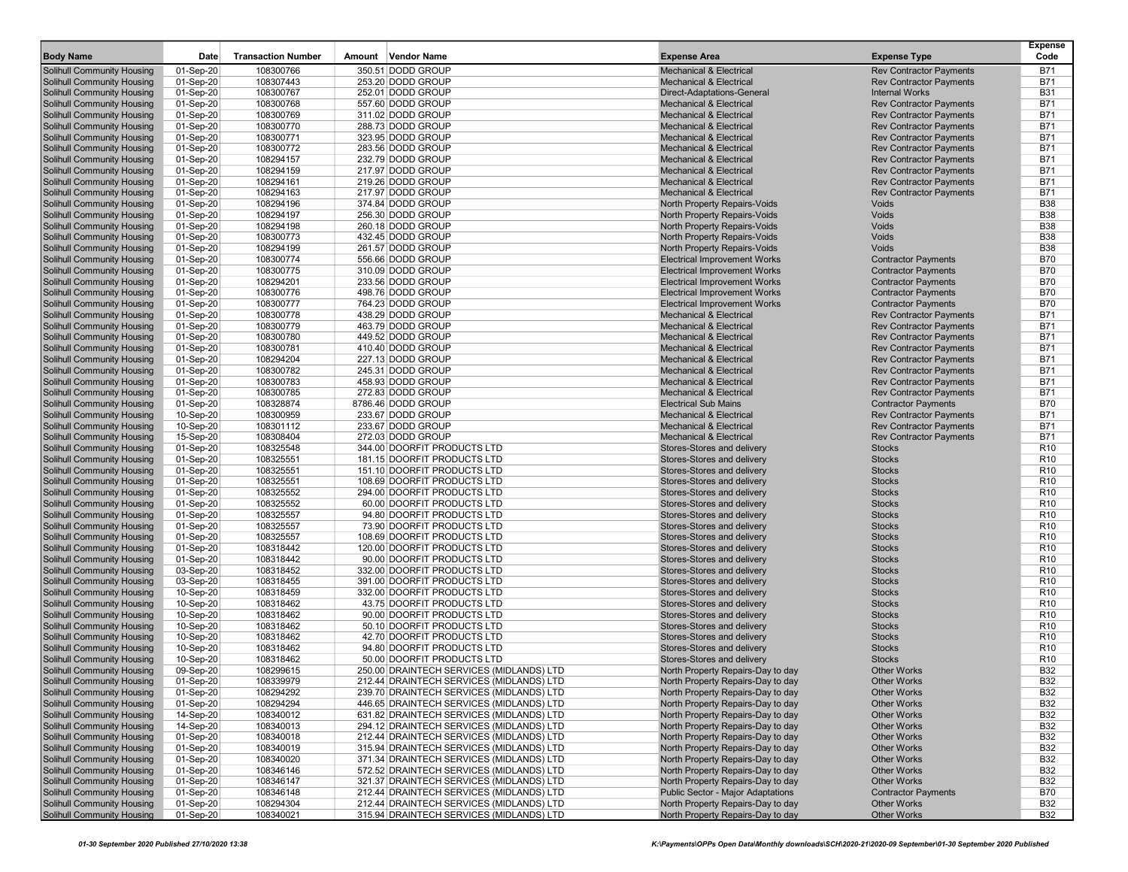| <b>Body Name</b>                  | Date        | <b>Transaction Number</b> | Amount Vendor Name                       | <b>Expense Area</b>                      | <b>Expense Type</b>            | <b>Expense</b><br>Code |
|-----------------------------------|-------------|---------------------------|------------------------------------------|------------------------------------------|--------------------------------|------------------------|
| <b>Solihull Community Housing</b> | 01-Sep-20   | 108300766                 | 350.51 DODD GROUP                        | <b>Mechanical &amp; Electrical</b>       | <b>Rev Contractor Payments</b> | <b>B71</b>             |
| Solihull Community Housing        | 01-Sep-20   | 108307443                 | 253.20 DODD GROUP                        | <b>Mechanical &amp; Electrical</b>       | <b>Rev Contractor Payments</b> | <b>B71</b>             |
| <b>Solihull Community Housing</b> | 01-Sep-20   | 108300767                 | 252.01 DODD GROUP                        | Direct-Adaptations-General               | <b>Internal Works</b>          | <b>B31</b>             |
| <b>Solihull Community Housing</b> | 01-Sep-20   | 108300768                 | 557.60 DODD GROUP                        | <b>Mechanical &amp; Electrical</b>       | <b>Rev Contractor Payments</b> | <b>B71</b>             |
| Solihull Community Housing        | 01-Sep-20   | 108300769                 | 311.02 DODD GROUP                        | <b>Mechanical &amp; Electrical</b>       | <b>Rev Contractor Payments</b> | <b>B71</b>             |
| <b>Solihull Community Housing</b> | 01-Sep-20   | 108300770                 | 288.73 DODD GROUP                        | <b>Mechanical &amp; Electrical</b>       | <b>Rev Contractor Payments</b> | <b>B71</b>             |
| <b>Solihull Community Housing</b> | 01-Sep-20   | 108300771                 | 323.95 DODD GROUP                        | <b>Mechanical &amp; Electrical</b>       | <b>Rev Contractor Payments</b> | <b>B71</b>             |
| Solihull Community Housing        | 01-Sep-20   | 108300772                 | 283.56 DODD GROUP                        | <b>Mechanical &amp; Electrical</b>       | <b>Rev Contractor Payments</b> | <b>B71</b>             |
| <b>Solihull Community Housing</b> | 01-Sep-20   | 108294157                 | 232.79 DODD GROUP                        | <b>Mechanical &amp; Electrical</b>       | <b>Rev Contractor Payments</b> | <b>B71</b>             |
| <b>Solihull Community Housing</b> | 01-Sep-20   | 108294159                 | 217.97 DODD GROUP                        | <b>Mechanical &amp; Electrical</b>       | <b>Rev Contractor Payments</b> | <b>B71</b>             |
| <b>Solihull Community Housing</b> | 01-Sep-20   | 108294161                 | 219.26 DODD GROUP                        | <b>Mechanical &amp; Electrical</b>       | <b>Rev Contractor Payments</b> | <b>B71</b>             |
| <b>Solihull Community Housing</b> | 01-Sep-20   | 108294163                 | 217.97 DODD GROUP                        | <b>Mechanical &amp; Electrical</b>       | <b>Rev Contractor Payments</b> | <b>B71</b>             |
| <b>Solihull Community Housing</b> | 01-Sep-20   | 108294196                 | 374.84 DODD GROUP                        | <b>North Property Repairs-Voids</b>      | Voids                          | <b>B38</b>             |
| <b>Solihull Community Housing</b> | 01-Sep-20   | 108294197                 | 256.30 DODD GROUP                        | North Property Repairs-Voids             | Voids                          | <b>B38</b>             |
| <b>Solihull Community Housing</b> | 01-Sep-20   | 108294198                 | 260.18 DODD GROUP                        | North Property Repairs-Voids             | Voids                          | <b>B38</b>             |
| <b>Solihull Community Housing</b> | 01-Sep-20   | 108300773                 | 432.45 DODD GROUP                        | <b>North Property Repairs-Voids</b>      | Voids                          | <b>B38</b>             |
| <b>Solihull Community Housing</b> | 01-Sep-20   | 108294199                 | 261.57 DODD GROUP                        | North Property Repairs-Voids             | Voids                          | <b>B38</b>             |
| <b>Solihull Community Housing</b> | 01-Sep-20   | 108300774                 | 556.66 DODD GROUP                        | <b>Electrical Improvement Works</b>      | <b>Contractor Payments</b>     | <b>B70</b>             |
| <b>Solihull Community Housing</b> | 01-Sep-20   | 108300775                 | 310.09 DODD GROUP                        | <b>Electrical Improvement Works</b>      | <b>Contractor Payments</b>     | <b>B70</b>             |
| <b>Solihull Community Housing</b> | 01-Sep-20   | 108294201                 | 233.56 DODD GROUP                        | <b>Electrical Improvement Works</b>      | <b>Contractor Payments</b>     | <b>B70</b>             |
| <b>Solihull Community Housing</b> | 01-Sep-20   | 108300776                 | 498.76 DODD GROUP                        | <b>Electrical Improvement Works</b>      | <b>Contractor Payments</b>     | <b>B70</b>             |
| <b>Solihull Community Housing</b> | 01-Sep-20   | 108300777                 | 764.23 DODD GROUP                        | <b>Electrical Improvement Works</b>      | <b>Contractor Payments</b>     | <b>B70</b>             |
| <b>Solihull Community Housing</b> | 01-Sep-20   | 108300778                 | 438.29 DODD GROUP                        | <b>Mechanical &amp; Electrical</b>       | <b>Rev Contractor Payments</b> | <b>B71</b>             |
| <b>Solihull Community Housing</b> | 01-Sep-20   | 108300779                 | 463.79 DODD GROUP                        | <b>Mechanical &amp; Electrical</b>       | <b>Rev Contractor Payments</b> | <b>B71</b>             |
| Solihull Community Housing        | 01-Sep-20   | 108300780                 | 449.52 DODD GROUP                        | <b>Mechanical &amp; Electrical</b>       | <b>Rev Contractor Payments</b> | <b>B71</b>             |
| <b>Solihull Community Housing</b> | 01-Sep-20   | 108300781                 | 410.40 DODD GROUP                        | <b>Mechanical &amp; Electrical</b>       | <b>Rev Contractor Payments</b> | <b>B71</b>             |
| <b>Solihull Community Housing</b> | 01-Sep-20   | 108294204                 | 227.13 DODD GROUP                        | <b>Mechanical &amp; Electrical</b>       | <b>Rev Contractor Payments</b> | <b>B71</b>             |
| <b>Solihull Community Housing</b> | 01-Sep-20   | 108300782                 | 245.31 DODD GROUP                        | <b>Mechanical &amp; Electrical</b>       | <b>Rev Contractor Payments</b> | <b>B71</b>             |
| <b>Solihull Community Housing</b> | 01-Sep-20   | 108300783                 | 458.93 DODD GROUP                        | <b>Mechanical &amp; Electrical</b>       | <b>Rev Contractor Payments</b> | <b>B71</b>             |
| <b>Solihull Community Housing</b> | 01-Sep-20   | 108300785                 | 272.83 DODD GROUP                        | <b>Mechanical &amp; Electrical</b>       | <b>Rev Contractor Payments</b> | <b>B71</b>             |
| <b>Solihull Community Housing</b> | 01-Sep-20   | 108328874                 | 8786.46 DODD GROUP                       | <b>Electrical Sub Mains</b>              | <b>Contractor Payments</b>     | <b>B70</b>             |
| <b>Solihull Community Housing</b> | 10-Sep-20   | 108300959                 | 233.67 DODD GROUP                        | <b>Mechanical &amp; Electrical</b>       | <b>Rev Contractor Payments</b> | <b>B71</b>             |
| <b>Solihull Community Housing</b> | 10-Sep-20   | 108301112                 | 233.67 DODD GROUP                        | <b>Mechanical &amp; Electrical</b>       | <b>Rev Contractor Payments</b> | <b>B71</b>             |
| <b>Solihull Community Housing</b> | 15-Sep-20   | 108308404                 | 272.03 DODD GROUP                        | <b>Mechanical &amp; Electrical</b>       | <b>Rev Contractor Payments</b> | <b>B71</b>             |
| <b>Solihull Community Housing</b> | 01-Sep-20   | 108325548                 | 344.00 DOORFIT PRODUCTS LTD              | Stores-Stores and delivery               | <b>Stocks</b>                  | R <sub>10</sub>        |
| <b>Solihull Community Housing</b> | 01-Sep-20   | 108325551                 | 181.15 DOORFIT PRODUCTS LTD              | Stores-Stores and delivery               | <b>Stocks</b>                  | R <sub>10</sub>        |
| <b>Solihull Community Housing</b> | 01-Sep-20   | 108325551                 | 151.10 DOORFIT PRODUCTS LTD              | Stores-Stores and delivery               | <b>Stocks</b>                  | R <sub>10</sub>        |
| <b>Solihull Community Housing</b> | 01-Sep-20   | 108325551                 | 108.69 DOORFIT PRODUCTS LTD              | Stores-Stores and delivery               | <b>Stocks</b>                  | R <sub>10</sub>        |
| <b>Solihull Community Housing</b> | 01-Sep-20   | 108325552                 | 294.00 DOORFIT PRODUCTS LTD              | Stores-Stores and delivery               | <b>Stocks</b>                  | R <sub>10</sub>        |
| <b>Solihull Community Housing</b> | 01-Sep-20   | 108325552                 | 60.00 DOORFIT PRODUCTS LTD               | Stores-Stores and delivery               | <b>Stocks</b>                  | R <sub>10</sub>        |
| <b>Solihull Community Housing</b> | 01-Sep-20   | 108325557                 | 94.80 DOORFIT PRODUCTS LTD               | Stores-Stores and delivery               | <b>Stocks</b>                  | R <sub>10</sub>        |
| <b>Solihull Community Housing</b> | 01-Sep-20   | 108325557                 | 73.90 DOORFIT PRODUCTS LTD               | Stores-Stores and delivery               | <b>Stocks</b>                  | R <sub>10</sub>        |
| <b>Solihull Community Housing</b> | 01-Sep-20   | 108325557                 | 108.69 DOORFIT PRODUCTS LTD              | Stores-Stores and delivery               | <b>Stocks</b>                  | R <sub>10</sub>        |
| <b>Solihull Community Housing</b> | 01-Sep-20   | 108318442                 | 120.00 DOORFIT PRODUCTS LTD              | Stores-Stores and delivery               | <b>Stocks</b>                  | R <sub>10</sub>        |
| <b>Solihull Community Housing</b> | 01-Sep-20   | 108318442                 | 90.00 DOORFIT PRODUCTS LTD               | Stores-Stores and delivery               | <b>Stocks</b>                  | R <sub>10</sub>        |
| <b>Solihull Community Housing</b> | 03-Sep-20   | 108318452                 | 332.00 DOORFIT PRODUCTS LTD              | Stores-Stores and delivery               | <b>Stocks</b>                  | R <sub>10</sub>        |
| <b>Solihull Community Housing</b> | 03-Sep-20   | 108318455                 | 391.00 DOORFIT PRODUCTS LTD              | Stores-Stores and delivery               | <b>Stocks</b>                  | R <sub>10</sub>        |
| <b>Solihull Community Housing</b> | 10-Sep-20   | 108318459                 | 332.00 DOORFIT PRODUCTS LTD              | Stores-Stores and delivery               | <b>Stocks</b>                  | R <sub>10</sub>        |
| <b>Solihull Community Housing</b> | 10-Sep-20   | 108318462                 | 43.75 DOORFIT PRODUCTS LTD               | Stores-Stores and delivery               | <b>Stocks</b>                  | R <sub>10</sub>        |
| Solihull Community Housing        | 10-Sep-20   | 108318462                 | 90.00 DOORFIT PRODUCTS LTD               | Stores-Stores and delivery               | <b>Stocks</b>                  | R <sub>10</sub>        |
| <b>Solihull Community Housing</b> | 10-Sep-20   | 108318462                 | 50.10 DOORFIT PRODUCTS LTD               | Stores-Stores and delivery               | <b>Stocks</b>                  | R <sub>10</sub>        |
| <b>Solihull Community Housing</b> | 10-Sep-20   | 108318462                 | 42.70 DOORFIT PRODUCTS LTD               | Stores-Stores and delivery               | <b>Stocks</b>                  | R <sub>10</sub>        |
| <b>Solihull Community Housing</b> | 10-Sep-20   | 108318462                 | 94.80 DOORFIT PRODUCTS LTD               | Stores-Stores and delivery               | <b>Stocks</b>                  | R <sub>10</sub>        |
| <b>Solihull Community Housing</b> | 10-Sep-20   | 108318462                 | 50.00 DOORFIT PRODUCTS LTD               | Stores-Stores and delivery               | <b>Stocks</b>                  | R <sub>10</sub>        |
| <b>Solihull Community Housing</b> | 09-Sep-20   | 108299615                 | 250.00 DRAINTECH SERVICES (MIDLANDS) LTD | North Property Repairs-Day to day        | <b>Other Works</b>             | <b>B32</b>             |
| Solihull Community Housing        | 01-Sep-20   | 108339979                 | 212.44 DRAINTECH SERVICES (MIDLANDS) LTD | North Property Repairs-Day to day        | <b>Other Works</b>             | B32                    |
| <b>Solihull Community Housing</b> | 01-Sep-20   | 108294292                 | 239.70 DRAINTECH SERVICES (MIDLANDS) LTD | North Property Repairs-Day to day        | <b>Other Works</b>             | <b>B32</b>             |
| Solihull Community Housing        | 01-Sep-20   | 108294294                 | 446.65 DRAINTECH SERVICES (MIDLANDS) LTD | North Property Repairs-Day to day        | <b>Other Works</b>             | <b>B32</b>             |
| <b>Solihull Community Housing</b> | 14-Sep-20   | 108340012                 | 631.82 DRAINTECH SERVICES (MIDLANDS) LTD | North Property Repairs-Day to day        | <b>Other Works</b>             | <b>B32</b>             |
| <b>Solihull Community Housing</b> | 14-Sep-20   | 108340013                 | 294.12 DRAINTECH SERVICES (MIDLANDS) LTD | North Property Repairs-Day to day        | <b>Other Works</b>             | <b>B32</b>             |
| Solihull Community Housing        | 01-Sep-20   | 108340018                 | 212.44 DRAINTECH SERVICES (MIDLANDS) LTD | North Property Repairs-Day to day        | <b>Other Works</b>             | <b>B32</b>             |
| <b>Solihull Community Housing</b> | 01-Sep-20   | 108340019                 | 315.94 DRAINTECH SERVICES (MIDLANDS) LTD | North Property Repairs-Day to day        | <b>Other Works</b>             | <b>B32</b>             |
| <b>Solihull Community Housing</b> | 01-Sep-20   | 108340020                 | 371.34 DRAINTECH SERVICES (MIDLANDS) LTD | North Property Repairs-Day to day        | <b>Other Works</b>             | <b>B32</b>             |
| <b>Solihull Community Housing</b> | 01-Sep-20   | 108346146                 | 572.52 DRAINTECH SERVICES (MIDLANDS) LTD | North Property Repairs-Day to day        | <b>Other Works</b>             | <b>B32</b>             |
| <b>Solihull Community Housing</b> | 01-Sep-20   | 108346147                 | 321.37 DRAINTECH SERVICES (MIDLANDS) LTD | North Property Repairs-Day to day        | <b>Other Works</b>             | <b>B32</b>             |
| Solihull Community Housing        | 01-Sep-20   | 108346148                 | 212.44 DRAINTECH SERVICES (MIDLANDS) LTD | <b>Public Sector - Maior Adaptations</b> | <b>Contractor Payments</b>     | <b>B70</b>             |
| <b>Solihull Community Housing</b> | 01-Sep-20   | 108294304                 | 212.44 DRAINTECH SERVICES (MIDLANDS) LTD | North Property Repairs-Day to day        | <b>Other Works</b>             | <b>B32</b>             |
| Solihull Community Housing        | $01-Sep-20$ | 108340021                 | 315.94 DRAINTECH SERVICES (MIDLANDS) LTD | North Property Repairs-Day to day        | <b>Other Works</b>             | <b>B32</b>             |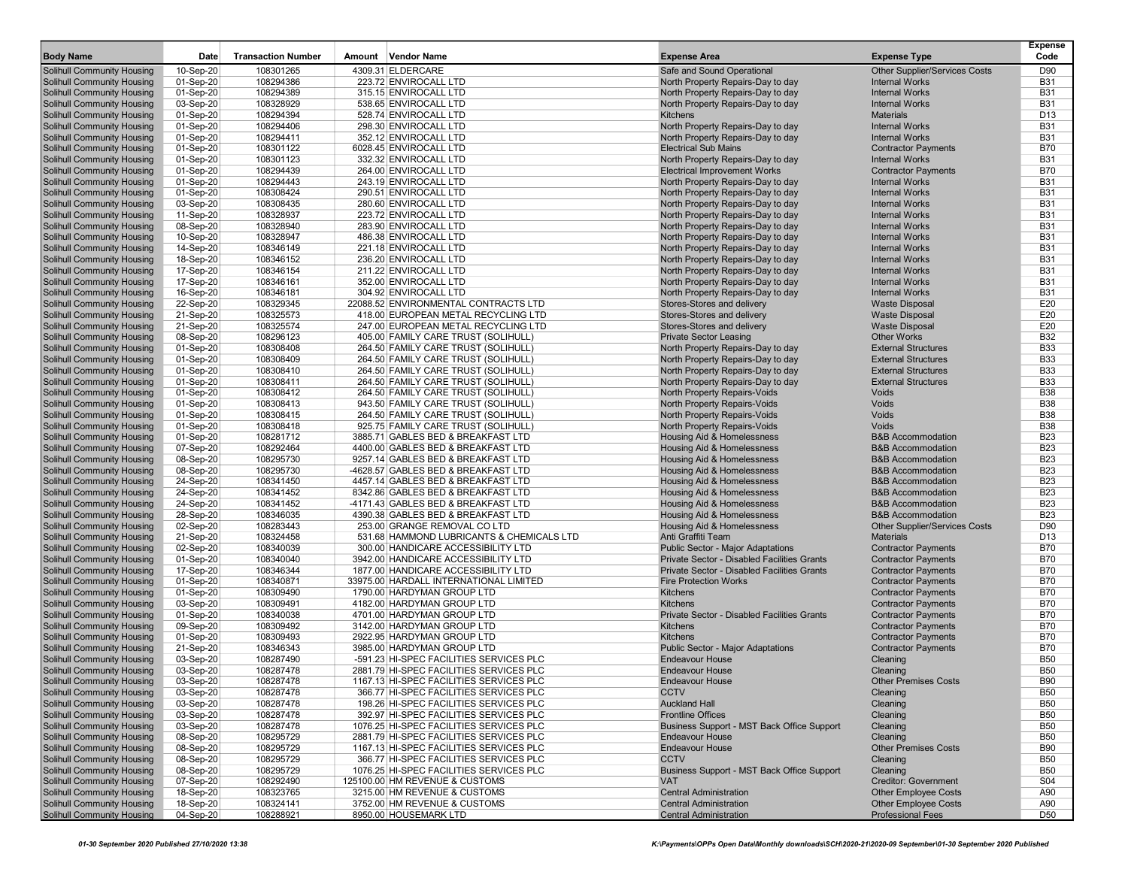| <b>Body Name</b>                                                       | Date                   | <b>Transaction Number</b> | Amount Vendor Name                                                                 | <b>Expense Area</b>                                                      | <b>Expense Type</b>                                      | <b>Expense</b><br>Code   |
|------------------------------------------------------------------------|------------------------|---------------------------|------------------------------------------------------------------------------------|--------------------------------------------------------------------------|----------------------------------------------------------|--------------------------|
| <b>Solihull Community Housing</b>                                      | 10-Sep-20              | 108301265                 | 4309.31 ELDERCARE                                                                  | Safe and Sound Operational                                               | <b>Other Supplier/Services Costs</b>                     | D90                      |
| Solihull Community Housing                                             | 01-Sep-20              | 108294386                 | 223.72 ENVIROCALL LTD                                                              | North Property Repairs-Day to day                                        | <b>Internal Works</b>                                    | <b>B31</b>               |
| <b>Solihull Community Housing</b>                                      | 01-Sep-20              | 108294389                 | 315.15 ENVIROCALL LTD                                                              | North Property Repairs-Day to day                                        | <b>Internal Works</b>                                    | <b>B31</b>               |
| Solihull Community Housing                                             | 03-Sep-20              | 108328929                 | 538.65 ENVIROCALL LTD                                                              | North Property Repairs-Day to day                                        | <b>Internal Works</b>                                    | <b>B31</b>               |
| Solihull Community Housing                                             | 01-Sep-20              | 108294394                 | 528.74 ENVIROCALL LTD                                                              | <b>Kitchens</b>                                                          | <b>Materials</b>                                         | D <sub>13</sub>          |
| <b>Solihull Community Housing</b>                                      | 01-Sep-20              | 108294406                 | 298.30 ENVIROCALL LTD                                                              | North Property Repairs-Day to day                                        | <b>Internal Works</b>                                    | <b>B31</b>               |
| <b>Solihull Community Housing</b>                                      | 01-Sep-20              | 108294411                 | 352.12 ENVIROCALL LTD                                                              | North Property Repairs-Day to day                                        | <b>Internal Works</b>                                    | <b>B31</b>               |
| Solihull Community Housing                                             | 01-Sep-20              | 108301122                 | 6028.45 ENVIROCALL LTD                                                             | <b>Electrical Sub Mains</b>                                              | <b>Contractor Payments</b>                               | <b>B70</b><br><b>B31</b> |
| <b>Solihull Community Housing</b><br><b>Solihull Community Housing</b> | 01-Sep-20<br>01-Sep-20 | 108301123<br>108294439    | 332.32 ENVIROCALL LTD<br>264.00 ENVIROCALL LTD                                     | North Property Repairs-Day to day<br><b>Electrical Improvement Works</b> | <b>Internal Works</b><br><b>Contractor Payments</b>      | <b>B70</b>               |
| <b>Solihull Community Housing</b>                                      | 01-Sep-20              | 108294443                 | 243.19 ENVIROCALL LTD                                                              | North Property Repairs-Day to day                                        | <b>Internal Works</b>                                    | <b>B31</b>               |
| <b>Solihull Community Housing</b>                                      | 01-Sep-20              | 108308424                 | 290.51 ENVIROCALL LTD                                                              | North Property Repairs-Day to day                                        | <b>Internal Works</b>                                    | <b>B31</b>               |
| <b>Solihull Community Housing</b>                                      | 03-Sep-20              | 108308435                 | 280.60 ENVIROCALL LTD                                                              | North Property Repairs-Day to day                                        | <b>Internal Works</b>                                    | <b>B31</b>               |
| <b>Solihull Community Housing</b>                                      | 11-Sep-20              | 108328937                 | 223.72 ENVIROCALL LTD                                                              | North Property Repairs-Day to day                                        | <b>Internal Works</b>                                    | <b>B31</b>               |
| Solihull Community Housing                                             | 08-Sep-20              | 108328940                 | 283.90 ENVIROCALL LTD                                                              | North Property Repairs-Day to day                                        | <b>Internal Works</b>                                    | <b>B31</b>               |
| <b>Solihull Community Housing</b>                                      | 10-Sep-20              | 108328947                 | 486.38 ENVIROCALL LTD                                                              | North Property Repairs-Day to day                                        | <b>Internal Works</b>                                    | <b>B31</b>               |
| <b>Solihull Community Housing</b>                                      | 14-Sep-20              | 108346149                 | 221.18 ENVIROCALL LTD                                                              | North Property Repairs-Day to day                                        | <b>Internal Works</b>                                    | <b>B31</b>               |
| <b>Solihull Community Housing</b>                                      | 18-Sep-20              | 108346152                 | 236.20 ENVIROCALL LTD                                                              | North Property Repairs-Day to day                                        | <b>Internal Works</b>                                    | <b>B31</b>               |
| <b>Solihull Community Housing</b>                                      | 17-Sep-20              | 108346154                 | 211.22 ENVIROCALL LTD                                                              | North Property Repairs-Day to day                                        | <b>Internal Works</b>                                    | <b>B31</b>               |
| <b>Solihull Community Housing</b>                                      | 17-Sep-20              | 108346161                 | 352.00 ENVIROCALL LTD                                                              | North Property Repairs-Day to day                                        | <b>Internal Works</b>                                    | <b>B31</b>               |
| <b>Solihull Community Housing</b>                                      | 16-Sep-20              | 108346181                 | 304.92 ENVIROCALL LTD                                                              | North Property Repairs-Day to day                                        | <b>Internal Works</b>                                    | <b>B31</b>               |
| <b>Solihull Community Housing</b>                                      | 22-Sep-20              | 108329345                 | 22088.52 ENVIRONMENTAL CONTRACTS LTD                                               | Stores-Stores and delivery                                               | <b>Waste Disposal</b>                                    | E20                      |
| <b>Solihull Community Housing</b>                                      | 21-Sep-20              | 108325573                 | 418.00 EUROPEAN METAL RECYCLING LTD                                                | Stores-Stores and delivery                                               | <b>Waste Disposal</b>                                    | E20                      |
| <b>Solihull Community Housing</b>                                      | 21-Sep-20              | 108325574                 | 247.00 EUROPEAN METAL RECYCLING LTD                                                | Stores-Stores and delivery                                               | <b>Waste Disposal</b>                                    | E20                      |
| Solihull Community Housing                                             | 08-Sep-20              | 108296123                 | 405.00 FAMILY CARE TRUST (SOLIHULL)                                                | <b>Private Sector Leasing</b>                                            | <b>Other Works</b>                                       | <b>B32</b>               |
| <b>Solihull Community Housing</b><br><b>Solihull Community Housing</b> | 01-Sep-20<br>01-Sep-20 | 108308408<br>108308409    | 264.50 FAMILY CARE TRUST (SOLIHULL)<br>264.50 FAMILY CARE TRUST (SOLIHULL)         | North Property Repairs-Day to day<br>North Property Repairs-Day to day   | <b>External Structures</b><br><b>External Structures</b> | <b>B33</b><br><b>B33</b> |
| Solihull Community Housing                                             | 01-Sep-20              | 108308410                 | 264.50 FAMILY CARE TRUST (SOLIHULL)                                                | North Property Repairs-Day to day                                        | <b>External Structures</b>                               | <b>B33</b>               |
| <b>Solihull Community Housing</b>                                      | 01-Sep-20              | 108308411                 | 264.50 FAMILY CARE TRUST (SOLIHULL)                                                | North Property Repairs-Day to day                                        | <b>External Structures</b>                               | <b>B33</b>               |
| <b>Solihull Community Housing</b>                                      | 01-Sep-20              | 108308412                 | 264.50 FAMILY CARE TRUST (SOLIHULL)                                                | North Property Repairs-Voids                                             | Voids                                                    | <b>B38</b>               |
| Solihull Community Housing                                             | 01-Sep-20              | 108308413                 | 943.50 FAMILY CARE TRUST (SOLIHULL)                                                | North Property Repairs-Voids                                             | Voids                                                    | <b>B38</b>               |
| <b>Solihull Community Housing</b>                                      | 01-Sep-20              | 108308415                 | 264.50 FAMILY CARE TRUST (SOLIHULL)                                                | North Property Repairs-Voids                                             | Voids                                                    | <b>B38</b>               |
| <b>Solihull Community Housing</b>                                      | 01-Sep-20              | 108308418                 | 925.75 FAMILY CARE TRUST (SOLIHULL                                                 | North Property Repairs-Voids                                             | Voids                                                    | <b>B38</b>               |
| <b>Solihull Community Housing</b>                                      | 01-Sep-20              | 108281712                 | 3885.71 GABLES BED & BREAKFAST LTD                                                 | Housing Aid & Homelessness                                               | <b>B&amp;B Accommodation</b>                             | <b>B23</b>               |
| <b>Solihull Community Housing</b>                                      | 07-Sep-20              | 108292464                 | 4400.00 GABLES BED & BREAKFAST LTD                                                 | Housing Aid & Homelessness                                               | <b>B&amp;B Accommodation</b>                             | <b>B23</b>               |
| <b>Solihull Community Housing</b>                                      | 08-Sep-20              | 108295730                 | 9257.14 GABLES BED & BREAKFAST LTD                                                 | <b>Housing Aid &amp; Homelessness</b>                                    | <b>B&amp;B Accommodation</b>                             | <b>B23</b>               |
| <b>Solihull Community Housing</b>                                      | 08-Sep-20              | 108295730                 | -4628.57 GABLES BED & BREAKFAST LTD                                                | Housing Aid & Homelessness                                               | <b>B&amp;B Accommodation</b>                             | <b>B23</b>               |
| <b>Solihull Community Housing</b>                                      | 24-Sep-20              | 108341450                 | 4457.14 GABLES BED & BREAKFAST LTD                                                 | Housing Aid & Homelessness                                               | <b>B&amp;B Accommodation</b>                             | <b>B23</b>               |
| <b>Solihull Community Housing</b>                                      | 24-Sep-20              | 108341452                 | 8342.86 GABLES BED & BREAKFAST LTD                                                 | Housing Aid & Homelessness                                               | <b>B&amp;B Accommodation</b>                             | <b>B23</b>               |
| <b>Solihull Community Housing</b>                                      | 24-Sep-20              | 108341452                 | -4171.43 GABLES BED & BREAKFAST LTD                                                | Housing Aid & Homelessness                                               | <b>B&amp;B Accommodation</b>                             | <b>B23</b>               |
| <b>Solihull Community Housing</b>                                      | 28-Sep-20              | 108346035                 | 4390.38 GABLES BED & BREAKFAST LTD                                                 | <b>Housing Aid &amp; Homelessness</b>                                    | <b>B&amp;B Accommodation</b>                             | <b>B23</b><br>D90        |
| <b>Solihull Community Housing</b><br><b>Solihull Community Housing</b> | 02-Sep-20<br>21-Sep-20 | 108283443<br>108324458    | 253.00 GRANGE REMOVAL CO LTD<br>531.68 HAMMOND LUBRICANTS & CHEMICALS LTD          | Housing Aid & Homelessness<br>Anti Graffiti Team                         | <b>Other Supplier/Services Costs</b><br><b>Materials</b> | D <sub>13</sub>          |
| <b>Solihull Community Housing</b>                                      | 02-Sep-20              | 108340039                 | 300.00 HANDICARE ACCESSIBILITY LTD                                                 | Public Sector - Major Adaptations                                        | <b>Contractor Payments</b>                               | <b>B70</b>               |
| <b>Solihull Community Housing</b>                                      | 01-Sep-20              | 108340040                 | 3942.00 HANDICARE ACCESSIBILITY LTD                                                | <b>Private Sector - Disabled Facilities Grants</b>                       | <b>Contractor Payments</b>                               | <b>B70</b>               |
| <b>Solihull Community Housing</b>                                      | 17-Sep-20              | 108346344                 | 1877.00 HANDICARE ACCESSIBILITY LTD                                                | Private Sector - Disabled Facilities Grants                              | <b>Contractor Payments</b>                               | <b>B70</b>               |
| <b>Solihull Community Housing</b>                                      | 01-Sep-20              | 108340871                 | 33975.00 HARDALL INTERNATIONAL LIMITED                                             | <b>Fire Protection Works</b>                                             | <b>Contractor Payments</b>                               | <b>B70</b>               |
| <b>Solihull Community Housing</b>                                      | 01-Sep-20              | 108309490                 | 1790.00 HARDYMAN GROUP LTD                                                         | <b>Kitchens</b>                                                          | <b>Contractor Payments</b>                               | <b>B70</b>               |
| <b>Solihull Community Housing</b>                                      | 03-Sep-20              | 108309491                 | 4182.00 HARDYMAN GROUP LTD                                                         | <b>Kitchens</b>                                                          | <b>Contractor Payments</b>                               | <b>B70</b>               |
| <b>Solihull Community Housing</b>                                      | 01-Sep-20              | 108340038                 | 4701.00 HARDYMAN GROUP LTD                                                         | Private Sector - Disabled Facilities Grants                              | <b>Contractor Payments</b>                               | <b>B70</b>               |
| <b>Solihull Community Housing</b>                                      | 09-Sep-20              | 108309492                 | 3142.00 HARDYMAN GROUP LTD                                                         | <b>Kitchens</b>                                                          | <b>Contractor Payments</b>                               | <b>B70</b>               |
| <b>Solihull Community Housing</b>                                      | 01-Sep-20              | 108309493                 | 2922.95 HARDYMAN GROUP LTD                                                         | <b>Kitchens</b>                                                          | <b>Contractor Payments</b>                               | <b>B70</b>               |
| <b>Solihull Community Housing</b>                                      | 21-Sep-20              | 108346343                 | 3985.00 HARDYMAN GROUP LTD                                                         | Public Sector - Major Adaptations                                        | <b>Contractor Payments</b>                               | <b>B70</b>               |
| <b>Solihull Community Housing</b>                                      | 03-Sep-20              | 108287490                 | -591.23 HI-SPEC FACILITIES SERVICES PLC                                            | <b>Endeavour House</b>                                                   | Cleaning                                                 | <b>B50</b>               |
| <b>Solihull Community Housing</b>                                      | 03-Sep-20              | 108287478                 | 2881.79 HI-SPEC FACILITIES SERVICES PLC                                            | <b>Endeavour House</b>                                                   | Cleaning                                                 | <b>B50</b>               |
| Solihull Community Housing                                             | 03-Sep-20              | 108287478                 | 1167.13 HI-SPEC FACILITIES SERVICES PLC                                            | <b>Endeavour House</b>                                                   | <b>Other Premises Costs</b>                              | <b>B90</b>               |
| <b>Solihull Community Housing</b>                                      | 03-Sep-20              | 108287478                 | 366.77 HI-SPEC FACILITIES SERVICES PLC                                             | <b>CCTV</b>                                                              | Cleaning                                                 | <b>B50</b>               |
| Solihull Community Housing                                             | 03-Sep-20              | 108287478                 | 198.26 HI-SPEC FACILITIES SERVICES PLC                                             | <b>Auckland Hall</b>                                                     | Cleaning                                                 | <b>B50</b>               |
| <b>Solihull Community Housing</b><br>Solihull Community Housing        | 03-Sep-20              | 108287478                 | 392.97 HI-SPEC FACILITIES SERVICES PLC                                             | <b>Frontline Offices</b>                                                 | Cleaning                                                 | <b>B50</b>               |
| Solihull Community Housing                                             | 03-Sep-20              | 108287478                 | 1076.25 HI-SPEC FACILITIES SERVICES PLC<br>2881.79 HI-SPEC FACILITIES SERVICES PLC | Business Support - MST Back Office Support<br><b>Endeavour House</b>     | Cleaning<br>Cleaning                                     | <b>B50</b><br><b>B50</b> |
| <b>Solihull Community Housing</b>                                      | 08-Sep-20<br>08-Sep-20 | 108295729<br>108295729    | 1167.13 HI-SPEC FACILITIES SERVICES PLC                                            | <b>Endeavour House</b>                                                   | <b>Other Premises Costs</b>                              | <b>B90</b>               |
| Solihull Community Housing                                             | 08-Sep-20              | 108295729                 | 366.77 HI-SPEC FACILITIES SERVICES PLC                                             | <b>CCTV</b>                                                              | Cleaning                                                 | <b>B50</b>               |
| <b>Solihull Community Housing</b>                                      | 08-Sep-20              | 108295729                 | 1076.25 HI-SPEC FACILITIES SERVICES PLC                                            | Business Support - MST Back Office Support                               | Cleaning                                                 | <b>B50</b>               |
| Solihull Community Housing                                             | 07-Sep-20              | 108292490                 | 125100.00 HM REVENUE & CUSTOMS                                                     | <b>VAT</b>                                                               | <b>Creditor: Government</b>                              | S04                      |
| Solihull Community Housing                                             | 18-Sep-20              | 108323765                 | 3215.00 HM REVENUE & CUSTOMS                                                       | <b>Central Administration</b>                                            | <b>Other Employee Costs</b>                              | A90                      |
| <b>Solihull Community Housing</b>                                      | 18-Sep-20              | 108324141                 | 3752.00 HM REVENUE & CUSTOMS                                                       | <b>Central Administration</b>                                            | <b>Other Employee Costs</b>                              | A90                      |
| <b>Solihull Community Housing</b>                                      | 04-Sep-20              | 108288921                 | 8950.00 HOUSEMARK LTD                                                              | <b>Central Administration</b>                                            | <b>Professional Fees</b>                                 | D50                      |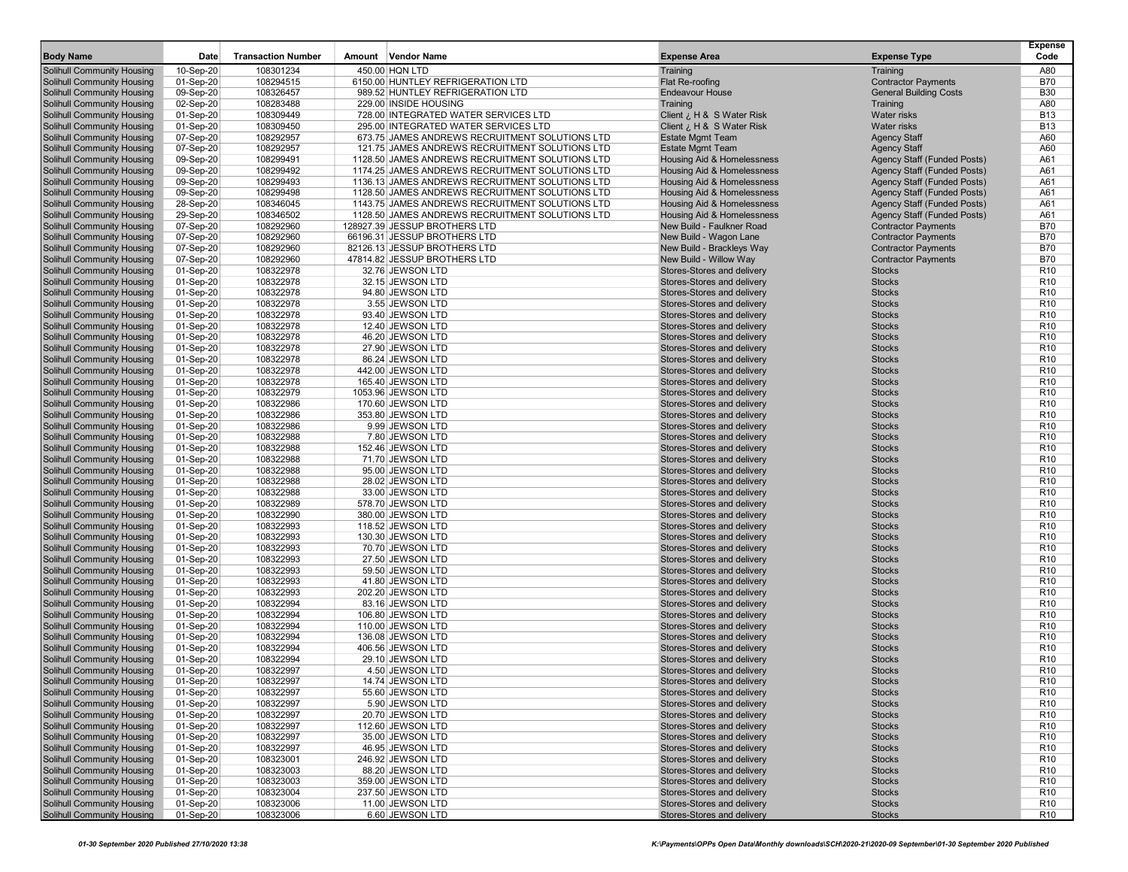| <b>Body Name</b>                                                       | Date                   | <b>Transaction Number</b> | Vendor Name<br>Amount                                                                             | <b>Expense Area</b>                                      | <b>Expense Type</b>                                               | <b>Expense</b><br>Code             |
|------------------------------------------------------------------------|------------------------|---------------------------|---------------------------------------------------------------------------------------------------|----------------------------------------------------------|-------------------------------------------------------------------|------------------------------------|
| <b>Solihull Community Housing</b>                                      | 10-Sep-20              | 108301234                 | 450.00 HQN LTD                                                                                    | Training                                                 | Training                                                          | A80                                |
| <b>Solihull Community Housing</b>                                      | 01-Sep-20              | 108294515                 | 6150.00 HUNTLEY REFRIGERATION LTD                                                                 | Flat Re-roofing                                          | <b>Contractor Payments</b>                                        | <b>B70</b>                         |
| <b>Solihull Community Housing</b>                                      | 09-Sep-20              | 108326457                 | 989.52 HUNTLEY REFRIGERATION LTD                                                                  | <b>Endeavour House</b>                                   | <b>General Building Costs</b>                                     | <b>B30</b>                         |
| <b>Solihull Community Housing</b>                                      | 02-Sep-20              | 108283488                 | 229.00 INSIDE HOUSING                                                                             | Training                                                 | Training                                                          | A80                                |
| <b>Solihull Community Housing</b>                                      | 01-Sep-20              | 108309449                 | 728.00 INTEGRATED WATER SERVICES LTD                                                              | Client ¿ H & S Water Risk                                | <b>Water risks</b>                                                | <b>B13</b>                         |
| <b>Solihull Community Housing</b>                                      | 01-Sep-20              | 108309450                 | 295.00 INTEGRATED WATER SERVICES LTD                                                              | Client ¿ H & S Water Risk                                | <b>Water risks</b>                                                | <b>B13</b>                         |
| <b>Solihull Community Housing</b>                                      | 07-Sep-20              | 108292957                 | 673.75 JAMES ANDREWS RECRUITMENT SOLUTIONS LTD                                                    | <b>Estate Mgmt Team</b>                                  | <b>Agency Staff</b>                                               | A60                                |
| <b>Solihull Community Housing</b><br><b>Solihull Community Housing</b> | 07-Sep-20<br>09-Sep-20 | 108292957<br>108299491    | 121.75 JAMES ANDREWS RECRUITMENT SOLUTIONS LTD<br>1128.50 JAMES ANDREWS RECRUITMENT SOLUTIONS LTD | <b>Estate Mgmt Team</b><br>Housing Aid & Homelessness    | <b>Agency Staff</b>                                               | A60<br>A61                         |
| <b>Solihull Community Housing</b>                                      | 09-Sep-20              | 108299492                 | 1174.25 JAMES ANDREWS RECRUITMENT SOLUTIONS LTD                                                   | Housing Aid & Homelessness                               | Agency Staff (Funded Posts)<br><b>Agency Staff (Funded Posts)</b> | A61                                |
| <b>Solihull Community Housing</b>                                      | 09-Sep-20              | 108299493                 | 1136.13 JAMES ANDREWS RECRUITMENT SOLUTIONS LTD                                                   | Housing Aid & Homelessness                               | <b>Agency Staff (Funded Posts)</b>                                | A61                                |
| <b>Solihull Community Housing</b>                                      | 09-Sep-20              | 108299498                 | 1128.50 JAMES ANDREWS RECRUITMENT SOLUTIONS LTD                                                   | Housing Aid & Homelessness                               | Agency Staff (Funded Posts)                                       | A61                                |
| <b>Solihull Community Housing</b>                                      | 28-Sep-20              | 108346045                 | 1143.75 JAMES ANDREWS RECRUITMENT SOLUTIONS LTD                                                   | Housing Aid & Homelessness                               | Agency Staff (Funded Posts)                                       | A61                                |
| <b>Solihull Community Housing</b>                                      | 29-Sep-20              | 108346502                 | 1128.50 JAMES ANDREWS RECRUITMENT SOLUTIONS LTD                                                   | Housing Aid & Homelessness                               | <b>Agency Staff (Funded Posts)</b>                                | A61                                |
| <b>Solihull Community Housing</b>                                      | 07-Sep-20              | 108292960                 | 128927.39 JESSUP BROTHERS LTD                                                                     | New Build - Faulkner Road                                | <b>Contractor Payments</b>                                        | <b>B70</b>                         |
| <b>Solihull Community Housing</b>                                      | 07-Sep-20              | 108292960                 | 66196.31 JESSUP BROTHERS LTD                                                                      | New Build - Wagon Lane                                   | <b>Contractor Payments</b>                                        | <b>B70</b>                         |
| <b>Solihull Community Housing</b>                                      | 07-Sep-20              | 108292960                 | 82126.13 JESSUP BROTHERS LTD                                                                      | New Build - Brackleys Way                                | <b>Contractor Payments</b>                                        | <b>B70</b>                         |
| <b>Solihull Community Housing</b>                                      | 07-Sep-20              | 108292960                 | 47814.82 JESSUP BROTHERS LTD                                                                      | New Build - Willow Way                                   | <b>Contractor Payments</b>                                        | <b>B70</b>                         |
| <b>Solihull Community Housing</b>                                      | 01-Sep-20              | 108322978                 | 32.76 JEWSON LTD                                                                                  | Stores-Stores and delivery                               | <b>Stocks</b>                                                     | R <sub>10</sub>                    |
| <b>Solihull Community Housing</b>                                      | 01-Sep-20              | 108322978                 | 32.15 JEWSON LTD                                                                                  | Stores-Stores and delivery                               | <b>Stocks</b>                                                     | R <sub>10</sub>                    |
| <b>Solihull Community Housing</b>                                      | 01-Sep-20              | 108322978                 | 94.80 JEWSON LTD                                                                                  | Stores-Stores and delivery                               | <b>Stocks</b>                                                     | R <sub>10</sub>                    |
| <b>Solihull Community Housing</b>                                      | 01-Sep-20              | 108322978                 | 3.55 JEWSON LTD                                                                                   | Stores-Stores and delivery                               | <b>Stocks</b>                                                     | R <sub>10</sub>                    |
| <b>Solihull Community Housing</b>                                      | 01-Sep-20              | 108322978                 | 93.40 JEWSON LTD                                                                                  | Stores-Stores and delivery                               | <b>Stocks</b>                                                     | R <sub>10</sub>                    |
| <b>Solihull Community Housing</b>                                      | 01-Sep-20              | 108322978                 | 12.40 JEWSON LTD                                                                                  | Stores-Stores and delivery                               | <b>Stocks</b>                                                     | R <sub>10</sub>                    |
| <b>Solihull Community Housing</b>                                      | 01-Sep-20              | 108322978                 | 46.20 JEWSON LTD                                                                                  | Stores-Stores and delivery                               | <b>Stocks</b>                                                     | R <sub>10</sub>                    |
| <b>Solihull Community Housing</b>                                      | 01-Sep-20              | 108322978                 | 27.90 JEWSON LTD                                                                                  | Stores-Stores and delivery                               | <b>Stocks</b>                                                     | R <sub>10</sub>                    |
| <b>Solihull Community Housing</b>                                      | 01-Sep-20              | 108322978                 | 86.24 JEWSON LTD                                                                                  | Stores-Stores and delivery                               | <b>Stocks</b>                                                     | R <sub>10</sub>                    |
| <b>Solihull Community Housing</b>                                      | 01-Sep-20              | 108322978                 | 442.00 JEWSON LTD                                                                                 | Stores-Stores and delivery                               | <b>Stocks</b>                                                     | R <sub>10</sub>                    |
| <b>Solihull Community Housing</b>                                      | 01-Sep-20              | 108322978                 | 165.40 JEWSON LTD                                                                                 | Stores-Stores and delivery                               | <b>Stocks</b>                                                     | R <sub>10</sub>                    |
| <b>Solihull Community Housing</b>                                      | 01-Sep-20              | 108322979                 | 1053.96 JEWSON LTD                                                                                | Stores-Stores and delivery                               | <b>Stocks</b>                                                     | R <sub>10</sub>                    |
| <b>Solihull Community Housing</b>                                      | 01-Sep-20              | 108322986                 | 170.60 JEWSON LTD                                                                                 | Stores-Stores and delivery                               | <b>Stocks</b>                                                     | R <sub>10</sub>                    |
| <b>Solihull Community Housing</b>                                      | 01-Sep-20              | 108322986                 | 353.80 JEWSON LTD<br>9.99 JEWSON LTD                                                              | Stores-Stores and delivery                               | <b>Stocks</b>                                                     | R <sub>10</sub>                    |
| <b>Solihull Community Housing</b><br><b>Solihull Community Housing</b> | 01-Sep-20              | 108322986<br>108322988    |                                                                                                   | Stores-Stores and delivery<br>Stores-Stores and delivery | <b>Stocks</b><br><b>Stocks</b>                                    | R <sub>10</sub><br>R <sub>10</sub> |
| <b>Solihull Community Housing</b>                                      | 01-Sep-20<br>01-Sep-20 | 108322988                 | 7.80 JEWSON LTD<br>152.46 JEWSON LTD                                                              | Stores-Stores and delivery                               | <b>Stocks</b>                                                     | R <sub>10</sub>                    |
| <b>Solihull Community Housing</b>                                      | 01-Sep-20              | 108322988                 | 71.70 JEWSON LTD                                                                                  | Stores-Stores and delivery                               | <b>Stocks</b>                                                     | R <sub>10</sub>                    |
| <b>Solihull Community Housing</b>                                      | 01-Sep-20              | 108322988                 | 95.00 JEWSON LTD                                                                                  | Stores-Stores and delivery                               | <b>Stocks</b>                                                     | R <sub>10</sub>                    |
| <b>Solihull Community Housing</b>                                      | 01-Sep-20              | 108322988                 | 28.02 JEWSON LTD                                                                                  | Stores-Stores and delivery                               | <b>Stocks</b>                                                     | R <sub>10</sub>                    |
| <b>Solihull Community Housing</b>                                      | 01-Sep-20              | 108322988                 | 33.00 JEWSON LTD                                                                                  | Stores-Stores and delivery                               | <b>Stocks</b>                                                     | R <sub>10</sub>                    |
| <b>Solihull Community Housing</b>                                      | 01-Sep-20              | 108322989                 | 578.70 JEWSON LTD                                                                                 | Stores-Stores and delivery                               | <b>Stocks</b>                                                     | R <sub>10</sub>                    |
| <b>Solihull Community Housing</b>                                      | 01-Sep-20              | 108322990                 | 380.00 JEWSON LTD                                                                                 | Stores-Stores and delivery                               | <b>Stocks</b>                                                     | R <sub>10</sub>                    |
| <b>Solihull Community Housing</b>                                      | 01-Sep-20              | 108322993                 | 118.52 JEWSON LTD                                                                                 | Stores-Stores and delivery                               | <b>Stocks</b>                                                     | R <sub>10</sub>                    |
| <b>Solihull Community Housing</b>                                      | 01-Sep-20              | 108322993                 | 130.30 JEWSON LTD                                                                                 | Stores-Stores and delivery                               | <b>Stocks</b>                                                     | R <sub>10</sub>                    |
| <b>Solihull Community Housing</b>                                      | 01-Sep-20              | 108322993                 | 70.70 JEWSON LTD                                                                                  | Stores-Stores and delivery                               | <b>Stocks</b>                                                     | R <sub>10</sub>                    |
| <b>Solihull Community Housing</b>                                      | 01-Sep-20              | 108322993                 | 27.50 JEWSON LTD                                                                                  | Stores-Stores and delivery                               | <b>Stocks</b>                                                     | R <sub>10</sub>                    |
| <b>Solihull Community Housing</b>                                      | 01-Sep-20              | 108322993                 | 59.50 JEWSON LTD                                                                                  | Stores-Stores and delivery                               | <b>Stocks</b>                                                     | R <sub>10</sub>                    |
| <b>Solihull Community Housing</b>                                      | 01-Sep-20              | 108322993                 | 41.80 JEWSON LTD                                                                                  | Stores-Stores and delivery                               | <b>Stocks</b>                                                     | R <sub>10</sub>                    |
| <b>Solihull Community Housing</b>                                      | 01-Sep-20              | 108322993                 | 202.20 JEWSON LTD                                                                                 | Stores-Stores and delivery                               | <b>Stocks</b>                                                     | R <sub>10</sub>                    |
| <b>Solihull Community Housing</b>                                      | 01-Sep-20              | 108322994                 | 83.16 JEWSON LTD                                                                                  | Stores-Stores and delivery                               | <b>Stocks</b>                                                     | R <sub>10</sub>                    |
| <b>Solihull Community Housing</b>                                      | 01-Sep-20              | 108322994                 | 106.80 JEWSON LTD                                                                                 | Stores-Stores and delivery                               | <b>Stocks</b>                                                     | R <sub>10</sub>                    |
| <b>Solihull Community Housing</b>                                      | 01-Sep-20              | 108322994                 | 110.00 JEWSON LTD                                                                                 | Stores-Stores and delivery                               | <b>Stocks</b>                                                     | R <sub>10</sub>                    |
| <b>Solihull Community Housing</b>                                      | 01-Sep-20              | 108322994                 | 136.08 JEWSON LTD                                                                                 | Stores-Stores and delivery                               | <b>Stocks</b>                                                     | R <sub>10</sub>                    |
| <b>Solihull Community Housing</b>                                      | 01-Sep-20              | 108322994                 | 406.56 JEWSON LTD                                                                                 | Stores-Stores and delivery                               | <b>Stocks</b>                                                     | R <sub>10</sub>                    |
| <b>Solihull Community Housing</b>                                      | 01-Sep-20              | 108322994                 | 29.10 JEWSON LTD                                                                                  | Stores-Stores and delivery                               | <b>Stocks</b>                                                     | R <sub>10</sub>                    |
| <b>Solihull Community Housing</b>                                      | 01-Sep-20              | 108322997                 | 4.50 JEWSON LTD                                                                                   | Stores-Stores and delivery                               | <b>Stocks</b>                                                     | R <sub>10</sub>                    |
| Solihull Community Housing<br><b>Solihull Community Housing</b>        | 01-Sep-20              | 108322997                 | 14.74 JEWSON LI D<br>55.60 JEWSON LTD                                                             | Stores-Stores and delivery                               | <b>Stocks</b>                                                     | R <sub>10</sub>                    |
| <b>Solihull Community Housing</b>                                      | 01-Sep-20              | 108322997                 |                                                                                                   | Stores-Stores and delivery                               | <b>Stocks</b>                                                     | R <sub>10</sub>                    |
| <b>Solihull Community Housing</b>                                      | 01-Sep-20<br>01-Sep-20 | 108322997<br>108322997    | 5.90 JEWSON LTD<br>20.70 JEWSON LTD                                                               | Stores-Stores and delivery<br>Stores-Stores and delivery | <b>Stocks</b><br><b>Stocks</b>                                    | R <sub>10</sub><br>R <sub>10</sub> |
| <b>Solihull Community Housing</b>                                      | 01-Sep-20              | 108322997                 | 112.60 JEWSON LTD                                                                                 | Stores-Stores and delivery                               | <b>Stocks</b>                                                     | R <sub>10</sub>                    |
| <b>Solihull Community Housing</b>                                      | 01-Sep-20              | 108322997                 | 35.00 JEWSON LTD                                                                                  | Stores-Stores and delivery                               | <b>Stocks</b>                                                     | R <sub>10</sub>                    |
| Solihull Community Housing                                             | 01-Sep-20              | 108322997                 | 46.95 JEWSON LTD                                                                                  | Stores-Stores and delivery                               | <b>Stocks</b>                                                     | R <sub>10</sub>                    |
| Solihull Community Housing                                             | 01-Sep-20              | 108323001                 | 246.92 JEWSON LTD                                                                                 | Stores-Stores and delivery                               | <b>Stocks</b>                                                     | R <sub>10</sub>                    |
| <b>Solihull Community Housing</b>                                      | 01-Sep-20              | 108323003                 | 88.20 JEWSON LTD                                                                                  | Stores-Stores and delivery                               | <b>Stocks</b>                                                     | R <sub>10</sub>                    |
| Solihull Community Housing                                             | 01-Sep-20              | 108323003                 | 359.00 JEWSON LTD                                                                                 | Stores-Stores and delivery                               | <b>Stocks</b>                                                     | R <sub>10</sub>                    |
| <b>Solihull Community Housing</b>                                      | 01-Sep-20              | 108323004                 | 237.50 JEWSON LTD                                                                                 | Stores-Stores and delivery                               | <b>Stocks</b>                                                     | R <sub>10</sub>                    |
| <b>Solihull Community Housing</b>                                      | 01-Sep-20              | 108323006                 | 11.00 JEWSON LTD                                                                                  | Stores-Stores and delivery                               | <b>Stocks</b>                                                     | R <sub>10</sub>                    |
| Solihull Community Housing                                             | $01-Sep-20$            | 108323006                 | 6.60 JEWSON LTD                                                                                   | Stores-Stores and delivery                               | <b>Stocks</b>                                                     | R <sub>10</sub>                    |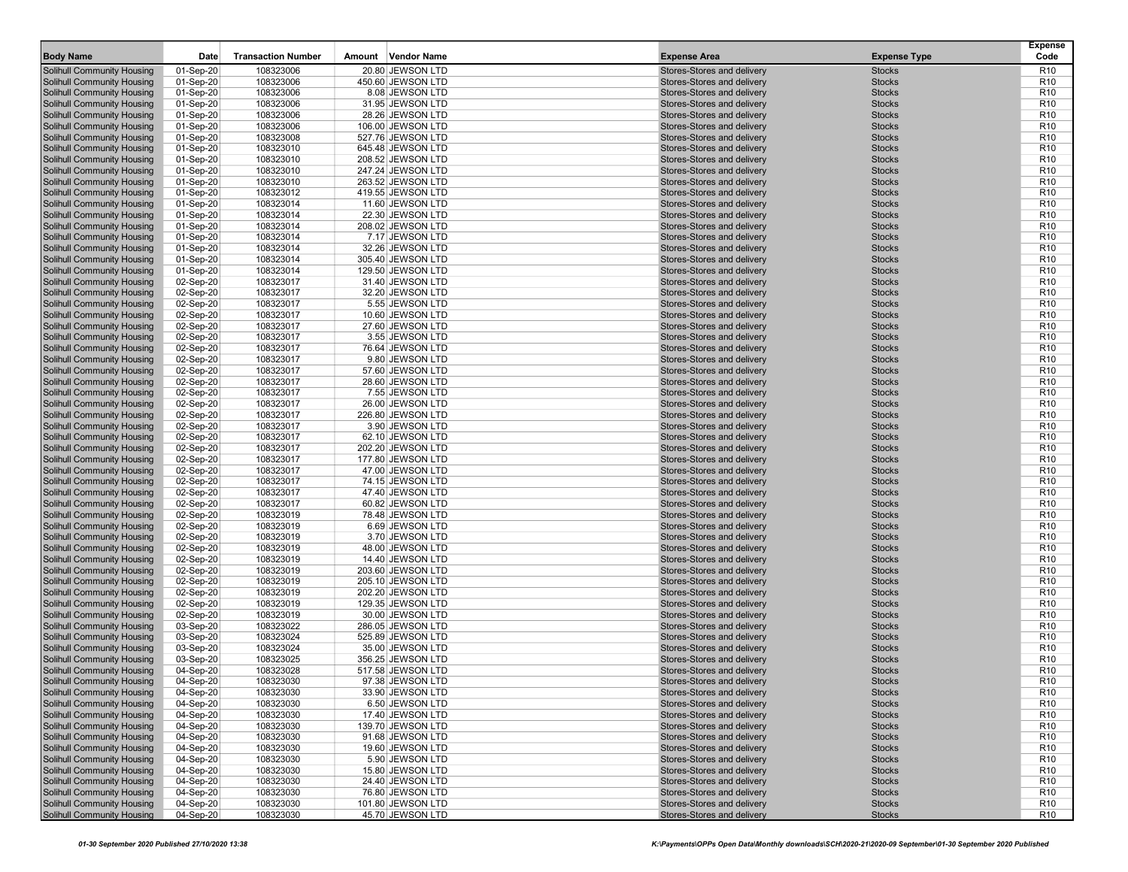| <b>Body Name</b>                                                       | Date                   | <b>Transaction Number</b> | Amount Vendor Name                     | <b>Expense Area</b>                                      | <b>Expense Type</b>            | <b>Expense</b><br>Code             |
|------------------------------------------------------------------------|------------------------|---------------------------|----------------------------------------|----------------------------------------------------------|--------------------------------|------------------------------------|
| Solihull Community Housing                                             | 01-Sep-20              | 108323006                 | 20.80 JEWSON LTD                       | Stores-Stores and delivery                               | <b>Stocks</b>                  | R <sub>10</sub>                    |
| Solihull Community Housing                                             | 01-Sep-20              | 108323006                 | 450.60 JEWSON LTD                      | Stores-Stores and delivery                               | <b>Stocks</b>                  | R <sub>10</sub>                    |
| <b>Solihull Community Housing</b>                                      | 01-Sep-20              | 108323006                 | 8.08 JEWSON LTD                        | Stores-Stores and delivery                               | <b>Stocks</b>                  | R <sub>10</sub>                    |
| <b>Solihull Community Housing</b>                                      | 01-Sep-20              | 108323006                 | 31.95 JEWSON LTD                       | Stores-Stores and delivery                               | <b>Stocks</b>                  | R <sub>10</sub>                    |
| Solihull Community Housing                                             | 01-Sep-20              | 108323006                 | 28.26 JEWSON LTD                       | Stores-Stores and delivery                               | <b>Stocks</b>                  | R <sub>10</sub>                    |
| <b>Solihull Community Housing</b>                                      | 01-Sep-20              | 108323006                 | 106.00 JEWSON LTD                      | Stores-Stores and delivery                               | <b>Stocks</b>                  | R <sub>10</sub>                    |
| <b>Solihull Community Housing</b>                                      | 01-Sep-20              | 108323008                 | 527.76 JEWSON LTD                      | Stores-Stores and delivery                               | <b>Stocks</b>                  | R <sub>10</sub>                    |
| Solihull Community Housing                                             | 01-Sep-20              | 108323010                 | 645.48 JEWSON LTD                      | Stores-Stores and delivery                               | <b>Stocks</b>                  | R <sub>10</sub>                    |
| <b>Solihull Community Housing</b>                                      | 01-Sep-20              | 108323010                 | 208.52 JEWSON LTD                      | Stores-Stores and delivery                               | <b>Stocks</b>                  | R <sub>10</sub>                    |
| Solihull Community Housing                                             | 01-Sep-20              | 108323010                 | 247.24 JEWSON LTD                      | Stores-Stores and delivery                               | <b>Stocks</b>                  | R <sub>10</sub>                    |
| <b>Solihull Community Housing</b>                                      | 01-Sep-20              | 108323010                 | 263.52 JEWSON LTD                      | Stores-Stores and delivery                               | <b>Stocks</b>                  | R <sub>10</sub>                    |
| <b>Solihull Community Housing</b>                                      | 01-Sep-20              | 108323012                 | 419.55 JEWSON LTD                      | Stores-Stores and delivery                               | <b>Stocks</b>                  | R <sub>10</sub>                    |
| Solihull Community Housing                                             | 01-Sep-20              | 108323014                 | 11.60 JEWSON LTD                       | Stores-Stores and delivery                               | <b>Stocks</b>                  | R <sub>10</sub>                    |
| <b>Solihull Community Housing</b>                                      | 01-Sep-20              | 108323014                 | 22.30 JEWSON LTD                       | Stores-Stores and delivery                               | <b>Stocks</b>                  | R <sub>10</sub>                    |
| Solihull Community Housing                                             | 01-Sep-20              | 108323014                 | 208.02 JEWSON LTD                      | Stores-Stores and delivery                               | <b>Stocks</b>                  | R <sub>10</sub>                    |
| <b>Solihull Community Housing</b>                                      | 01-Sep-20              | 108323014                 | 7.17 JEWSON LTD                        | Stores-Stores and delivery                               | <b>Stocks</b>                  | R <sub>10</sub>                    |
| <b>Solihull Community Housing</b>                                      | 01-Sep-20              | 108323014                 | 32.26 JEWSON LTD                       | Stores-Stores and delivery                               | <b>Stocks</b>                  | R <sub>10</sub>                    |
| <b>Solihull Community Housing</b><br><b>Solihull Community Housing</b> | 01-Sep-20              | 108323014<br>108323014    | 305.40 JEWSON LTD<br>129.50 JEWSON LTD | Stores-Stores and delivery<br>Stores-Stores and delivery | <b>Stocks</b><br><b>Stocks</b> | R <sub>10</sub><br>R <sub>10</sub> |
| Solihull Community Housing                                             | 01-Sep-20<br>02-Sep-20 | 108323017                 | 31.40 JEWSON LTD                       | Stores-Stores and delivery                               | <b>Stocks</b>                  | R <sub>10</sub>                    |
| <b>Solihull Community Housing</b>                                      | 02-Sep-20              | 108323017                 | 32.20 JEWSON LTD                       | Stores-Stores and delivery                               | <b>Stocks</b>                  | R <sub>10</sub>                    |
| <b>Solihull Community Housing</b>                                      | 02-Sep-20              | 108323017                 | 5.55 JEWSON LTD                        | Stores-Stores and delivery                               | <b>Stocks</b>                  | R <sub>10</sub>                    |
| <b>Solihull Community Housing</b>                                      | 02-Sep-20              | 108323017                 | 10.60 JEWSON LTD                       | Stores-Stores and delivery                               | <b>Stocks</b>                  | R <sub>10</sub>                    |
| <b>Solihull Community Housing</b>                                      | 02-Sep-20              | 108323017                 | 27.60 JEWSON LTD                       | Stores-Stores and delivery                               | <b>Stocks</b>                  | R <sub>10</sub>                    |
| Solihull Community Housing                                             | 02-Sep-20              | 108323017                 | 3.55 JEWSON LTD                        | Stores-Stores and delivery                               | <b>Stocks</b>                  | R <sub>10</sub>                    |
| <b>Solihull Community Housing</b>                                      | 02-Sep-20              | 108323017                 | 76.64 JEWSON LTD                       | Stores-Stores and delivery                               | <b>Stocks</b>                  | R <sub>10</sub>                    |
| <b>Solihull Community Housing</b>                                      | 02-Sep-20              | 108323017                 | 9.80 JEWSON LTD                        | Stores-Stores and delivery                               | <b>Stocks</b>                  | R <sub>10</sub>                    |
| Solihull Community Housing                                             | 02-Sep-20              | 108323017                 | 57.60 JEWSON LTD                       | Stores-Stores and delivery                               | <b>Stocks</b>                  | R <sub>10</sub>                    |
| <b>Solihull Community Housing</b>                                      | 02-Sep-20              | 108323017                 | 28.60 JEWSON LTD                       | Stores-Stores and delivery                               | <b>Stocks</b>                  | R <sub>10</sub>                    |
| Solihull Community Housing                                             | 02-Sep-20              | 108323017                 | 7.55 JEWSON LTD                        | Stores-Stores and delivery                               | <b>Stocks</b>                  | R <sub>10</sub>                    |
| <b>Solihull Community Housing</b>                                      | 02-Sep-20              | 108323017                 | 26.00 JEWSON LTD                       | Stores-Stores and delivery                               | <b>Stocks</b>                  | R <sub>10</sub>                    |
| <b>Solihull Community Housing</b>                                      | 02-Sep-20              | 108323017                 | 226.80 JEWSON LTD                      | Stores-Stores and delivery                               | <b>Stocks</b>                  | R <sub>10</sub>                    |
| <b>Solihull Community Housing</b>                                      | 02-Sep-20              | 108323017                 | 3.90 JEWSON LTD                        | Stores-Stores and delivery                               | <b>Stocks</b>                  | R <sub>10</sub>                    |
| <b>Solihull Community Housing</b>                                      | 02-Sep-20              | 108323017                 | 62.10 JEWSON LTD                       | Stores-Stores and delivery                               | <b>Stocks</b>                  | R <sub>10</sub>                    |
| Solihull Community Housing                                             | 02-Sep-20              | 108323017                 | 202.20 JEWSON LTD                      | Stores-Stores and delivery                               | <b>Stocks</b>                  | R <sub>10</sub>                    |
| Solihull Community Housing                                             | 02-Sep-20              | 108323017                 | 177.80 JEWSON LTD                      | Stores-Stores and delivery                               | <b>Stocks</b>                  | R <sub>10</sub>                    |
| <b>Solihull Community Housing</b>                                      | 02-Sep-20              | 108323017                 | 47.00 JEWSON LTD                       | Stores-Stores and delivery                               | <b>Stocks</b>                  | R <sub>10</sub>                    |
| <b>Solihull Community Housing</b>                                      | 02-Sep-20              | 108323017                 | 74.15 JEWSON LTD                       | Stores-Stores and delivery                               | <b>Stocks</b>                  | R <sub>10</sub>                    |
| <b>Solihull Community Housing</b>                                      | 02-Sep-20              | 108323017                 | 47.40 JEWSON LTD                       | Stores-Stores and delivery                               | <b>Stocks</b>                  | R <sub>10</sub>                    |
| Solihull Community Housing                                             | 02-Sep-20              | 108323017                 | 60.82 JEWSON LTD                       | Stores-Stores and delivery                               | <b>Stocks</b>                  | R <sub>10</sub>                    |
| <b>Solihull Community Housing</b>                                      | 02-Sep-20              | 108323019                 | 78.48 JEWSON LTD                       | Stores-Stores and delivery                               | <b>Stocks</b>                  | R <sub>10</sub>                    |
| Solihull Community Housing                                             | 02-Sep-20              | 108323019<br>108323019    | 6.69 JEWSON LTD                        | Stores-Stores and delivery<br>Stores-Stores and delivery | <b>Stocks</b><br><b>Stocks</b> | R <sub>10</sub><br>R <sub>10</sub> |
| Solihull Community Housing<br><b>Solihull Community Housing</b>        | 02-Sep-20              | 108323019                 | 3.70 JEWSON LTD<br>48.00 JEWSON LTD    | Stores-Stores and delivery                               | <b>Stocks</b>                  | R <sub>10</sub>                    |
| Solihull Community Housing                                             | 02-Sep-20<br>02-Sep-20 | 108323019                 | 14.40 JEWSON LTD                       | Stores-Stores and delivery                               | <b>Stocks</b>                  | R <sub>10</sub>                    |
| <b>Solihull Community Housing</b>                                      | 02-Sep-20              | 108323019                 | 203.60 JEWSON LTD                      | Stores-Stores and delivery                               | <b>Stocks</b>                  | R <sub>10</sub>                    |
| <b>Solihull Community Housing</b>                                      | 02-Sep-20              | 108323019                 | 205.10 JEWSON LTD                      | Stores-Stores and delivery                               | <b>Stocks</b>                  | R <sub>10</sub>                    |
| <b>Solihull Community Housing</b>                                      | 02-Sep-20              | 108323019                 | 202.20 JEWSON LTD                      | Stores-Stores and delivery                               | <b>Stocks</b>                  | R <sub>10</sub>                    |
| <b>Solihull Community Housing</b>                                      | 02-Sep-20              | 108323019                 | 129.35 JEWSON LTD                      | Stores-Stores and delivery                               | <b>Stocks</b>                  | R <sub>10</sub>                    |
| Solihull Community Housing                                             | 02-Sep-20              | 108323019                 | 30.00 JEWSON LTD                       | Stores-Stores and delivery                               | <b>Stocks</b>                  | R <sub>10</sub>                    |
| <b>Solihull Community Housing</b>                                      | 03-Sep-20              | 108323022                 | 286.05 JEWSON LTD                      | Stores-Stores and delivery                               | <b>Stocks</b>                  | R <sub>10</sub>                    |
| <b>Solihull Community Housing</b>                                      | 03-Sep-20              | 108323024                 | 525.89 JEWSON LTD                      | Stores-Stores and delivery                               | <b>Stocks</b>                  | R <sub>10</sub>                    |
| <b>Solihull Community Housing</b>                                      | 03-Sep-20              | 108323024                 | 35.00 JEWSON LTD                       | Stores-Stores and delivery                               | <b>Stocks</b>                  | R <sub>10</sub>                    |
| <b>Solihull Community Housing</b>                                      | 03-Sep-20              | 108323025                 | 356.25 JEWSON LTD                      | Stores-Stores and delivery                               | <b>Stocks</b>                  | R <sub>10</sub>                    |
| <b>Solihull Community Housing</b>                                      | 04-Sep-20              | 108323028                 | 517.58 JEWSON LTD                      | Stores-Stores and delivery                               | <b>Stocks</b>                  | R <sub>10</sub>                    |
| Solihull Community Housing                                             | 04-Sep-20              | 108323030                 | 97.38 JEWSON LTD                       | Stores-Stores and delivery                               | <b>Stocks</b>                  | R <sub>10</sub>                    |
| Solihull Community Housing                                             | 04-Sep-20              | 108323030                 | 33.90 JEWSON LTD                       | Stores-Stores and delivery                               | <b>Stocks</b>                  | R <sub>10</sub>                    |
| Solihull Community Housing                                             | 04-Sep-20              | 108323030                 | 6.50 JEWSON LTD                        | Stores-Stores and delivery                               | <b>Stocks</b>                  | R <sub>10</sub>                    |
| Solihull Community Housing                                             | 04-Sep-20              | 108323030                 | 17.40 JEWSON LTD                       | Stores-Stores and delivery                               | <b>Stocks</b>                  | R <sub>10</sub>                    |
| <b>Solihull Community Housing</b>                                      | 04-Sep-20              | 108323030                 | 139.70 JEWSON LTD                      | Stores-Stores and delivery                               | <b>Stocks</b>                  | R <sub>10</sub>                    |
| Solihull Community Housing                                             | 04-Sep-20              | 108323030                 | 91.68 JEWSON LTD                       | Stores-Stores and delivery                               | <b>Stocks</b>                  | R <sub>10</sub>                    |
| <b>Solihull Community Housing</b>                                      | 04-Sep-20              | 108323030                 | 19.60 JEWSON LTD                       | Stores-Stores and delivery                               | <b>Stocks</b>                  | R <sub>10</sub>                    |
| <b>Solihull Community Housing</b>                                      | 04-Sep-20              | 108323030                 | 5.90 JEWSON LTD                        | Stores-Stores and delivery                               | <b>Stocks</b>                  | R <sub>10</sub>                    |
| <b>Solihull Community Housing</b>                                      | 04-Sep-20              | 108323030                 | 15.80 JEWSON LTD                       | Stores-Stores and delivery                               | <b>Stocks</b>                  | R <sub>10</sub>                    |
| Solihull Community Housing                                             | 04-Sep-20              | 108323030                 | 24.40 JEWSON LTD                       | Stores-Stores and delivery                               | <b>Stocks</b>                  | R <sub>10</sub>                    |
| Solihull Community Housing                                             | 04-Sep-20              | 108323030                 | 76.80 JEWSON LTD                       | Stores-Stores and delivery<br>Stores-Stores and delivery | <b>Stocks</b>                  | R <sub>10</sub>                    |
| Solihull Community Housing<br>Solihull Community Housing               | 04-Sep-20<br>04-Sep-20 | 108323030<br>108323030    | 101.80 JEWSON LTD<br>45.70 JEWSON LTD  | Stores-Stores and delivery                               | <b>Stocks</b><br><b>Stocks</b> | R <sub>10</sub><br>R <sub>10</sub> |
|                                                                        |                        |                           |                                        |                                                          |                                |                                    |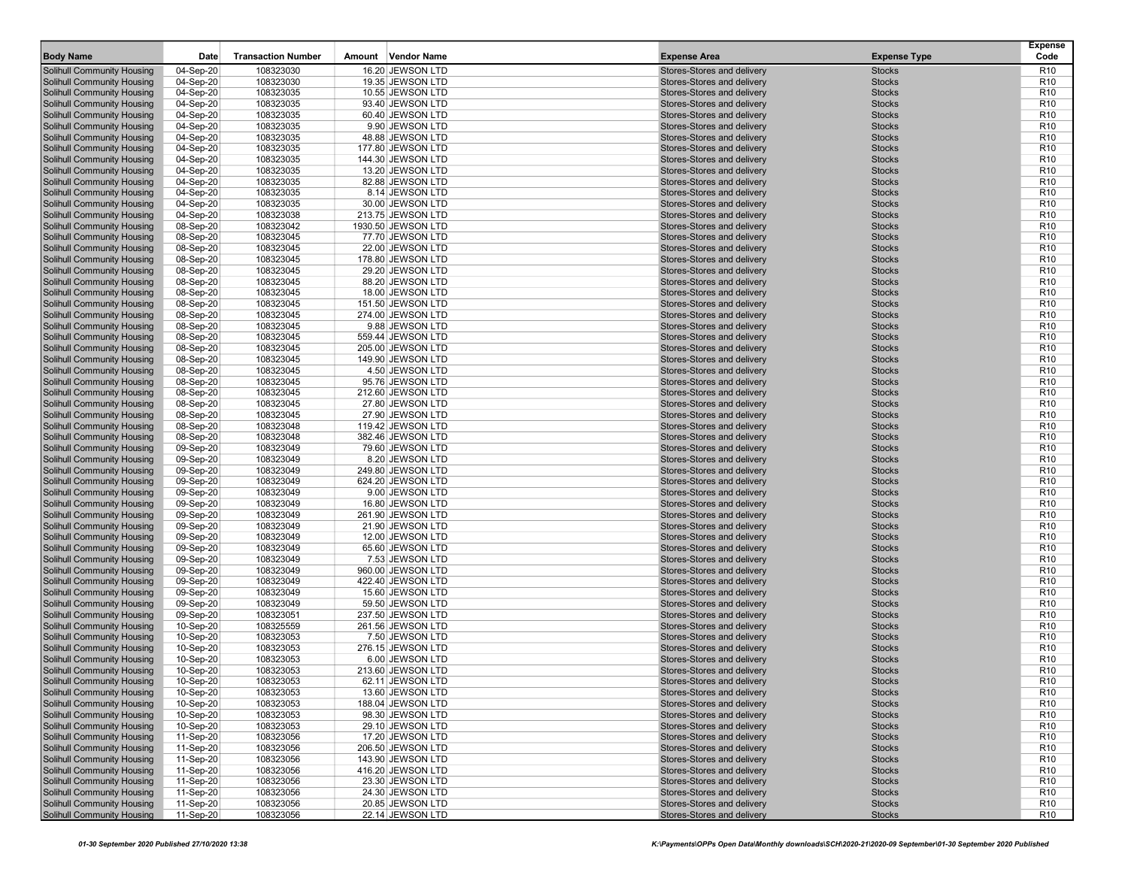| <b>Body Name</b>                                                       | Date                   | <b>Transaction Number</b> | Amount Vendor Name                     | <b>Expense Area</b>                                      | <b>Expense Type</b>            | <b>Expense</b><br>Code             |
|------------------------------------------------------------------------|------------------------|---------------------------|----------------------------------------|----------------------------------------------------------|--------------------------------|------------------------------------|
| Solihull Community Housing                                             | 04-Sep-20              | 108323030                 | 16.20 JEWSON LTD                       | Stores-Stores and delivery                               | <b>Stocks</b>                  | R <sub>10</sub>                    |
| Solihull Community Housing                                             | 04-Sep-20              | 108323030                 | 19.35 JEWSON LTD                       | Stores-Stores and delivery                               | <b>Stocks</b>                  | R <sub>10</sub>                    |
| <b>Solihull Community Housing</b>                                      | 04-Sep-20              | 108323035                 | 10.55 JEWSON LTD                       | Stores-Stores and delivery                               | <b>Stocks</b>                  | R <sub>10</sub>                    |
| <b>Solihull Community Housing</b>                                      | 04-Sep-20              | 108323035                 | 93.40 JEWSON LTD                       | Stores-Stores and delivery                               | <b>Stocks</b>                  | R <sub>10</sub>                    |
| Solihull Community Housing                                             | 04-Sep-20              | 108323035                 | 60.40 JEWSON LTD                       | Stores-Stores and delivery                               | <b>Stocks</b>                  | R <sub>10</sub>                    |
| <b>Solihull Community Housing</b>                                      | 04-Sep-20              | 108323035                 | 9.90 JEWSON LTD                        | Stores-Stores and delivery                               | <b>Stocks</b>                  | R <sub>10</sub>                    |
| Solihull Community Housing                                             | 04-Sep-20              | 108323035                 | 48.88 JEWSON LTD                       | Stores-Stores and delivery                               | <b>Stocks</b>                  | R <sub>10</sub>                    |
| Solihull Community Housing                                             | 04-Sep-20              | 108323035                 | 177.80 JEWSON LTD                      | Stores-Stores and delivery                               | <b>Stocks</b>                  | R <sub>10</sub>                    |
| <b>Solihull Community Housing</b>                                      | 04-Sep-20              | 108323035                 | 144.30 JEWSON LTD                      | Stores-Stores and delivery                               | <b>Stocks</b>                  | R <sub>10</sub>                    |
| Solihull Community Housing                                             | 04-Sep-20              | 108323035                 | 13.20 JEWSON LTD                       | Stores-Stores and delivery                               | <b>Stocks</b>                  | R <sub>10</sub>                    |
| <b>Solihull Community Housing</b>                                      | 04-Sep-20              | 108323035                 | 82.88 JEWSON LTD                       | Stores-Stores and delivery                               | <b>Stocks</b>                  | R <sub>10</sub>                    |
| <b>Solihull Community Housing</b>                                      | 04-Sep-20              | 108323035                 | 8.14 JEWSON LTD                        | Stores-Stores and delivery                               | <b>Stocks</b>                  | R <sub>10</sub>                    |
| <b>Solihull Community Housing</b>                                      | 04-Sep-20              | 108323035                 | 30.00 JEWSON LTD                       | Stores-Stores and delivery                               | <b>Stocks</b>                  | R <sub>10</sub>                    |
| <b>Solihull Community Housing</b>                                      | 04-Sep-20              | 108323038                 | 213.75 JEWSON LTD                      | Stores-Stores and delivery                               | <b>Stocks</b>                  | R <sub>10</sub>                    |
| Solihull Community Housing                                             | 08-Sep-20              | 108323042                 | 1930.50 JEWSON LTD                     | Stores-Stores and delivery                               | <b>Stocks</b>                  | R <sub>10</sub>                    |
| <b>Solihull Community Housing</b>                                      | 08-Sep-20              | 108323045                 | 77.70 JEWSON LTD                       | Stores-Stores and delivery                               | <b>Stocks</b>                  | R <sub>10</sub>                    |
| Solihull Community Housing                                             | 08-Sep-20              | 108323045                 | 22.00 JEWSON LTD                       | Stores-Stores and delivery                               | <b>Stocks</b>                  | R <sub>10</sub>                    |
| <b>Solihull Community Housing</b>                                      | 08-Sep-20              | 108323045                 | 178.80 JEWSON LTD                      | Stores-Stores and delivery                               | <b>Stocks</b>                  | R <sub>10</sub>                    |
| <b>Solihull Community Housing</b>                                      | 08-Sep-20              | 108323045                 | 29.20 JEWSON LTD                       | Stores-Stores and delivery                               | <b>Stocks</b>                  | R <sub>10</sub>                    |
| Solihull Community Housing                                             | 08-Sep-20              | 108323045                 | 88.20 JEWSON LTD                       | Stores-Stores and delivery                               | <b>Stocks</b>                  | R <sub>10</sub>                    |
| <b>Solihull Community Housing</b>                                      | 08-Sep-20              | 108323045                 | 18.00 JEWSON LTD                       | Stores-Stores and delivery                               | <b>Stocks</b>                  | R <sub>10</sub>                    |
| <b>Solihull Community Housing</b>                                      | 08-Sep-20              | 108323045                 | 151.50 JEWSON LTD                      | Stores-Stores and delivery                               | <b>Stocks</b>                  | R <sub>10</sub>                    |
| <b>Solihull Community Housing</b>                                      | 08-Sep-20              | 108323045                 | 274.00 JEWSON LTD                      | Stores-Stores and delivery                               | <b>Stocks</b>                  | R <sub>10</sub>                    |
| <b>Solihull Community Housing</b>                                      | 08-Sep-20              | 108323045                 | 9.88 JEWSON LTD                        | Stores-Stores and delivery                               | <b>Stocks</b>                  | R <sub>10</sub>                    |
| Solihull Community Housing                                             | 08-Sep-20              | 108323045                 | 559.44 JEWSON LTD                      | Stores-Stores and delivery                               | <b>Stocks</b>                  | R <sub>10</sub>                    |
| <b>Solihull Community Housing</b>                                      | 08-Sep-20              | 108323045                 | 205.00 JEWSON LTD                      | Stores-Stores and delivery                               | <b>Stocks</b>                  | R <sub>10</sub>                    |
| <b>Solihull Community Housing</b>                                      | 08-Sep-20              | 108323045                 | 149.90 JEWSON LTD                      | Stores-Stores and delivery                               | <b>Stocks</b>                  | R <sub>10</sub>                    |
| Solihull Community Housing                                             | 08-Sep-20              | 108323045                 | 4.50 JEWSON LTD                        | Stores-Stores and delivery                               | <b>Stocks</b>                  | R <sub>10</sub>                    |
| <b>Solihull Community Housing</b>                                      | 08-Sep-20              | 108323045                 | 95.76 JEWSON LTD                       | Stores-Stores and delivery                               | <b>Stocks</b>                  | R <sub>10</sub>                    |
| Solihull Community Housing                                             | 08-Sep-20              | 108323045                 | 212.60 JEWSON LTD                      | Stores-Stores and delivery                               | <b>Stocks</b>                  | R <sub>10</sub>                    |
| <b>Solihull Community Housing</b>                                      | 08-Sep-20              | 108323045                 | 27.80 JEWSON LTD                       | Stores-Stores and delivery                               | <b>Stocks</b>                  | R <sub>10</sub>                    |
| <b>Solihull Community Housing</b>                                      | 08-Sep-20              | 108323045                 | 27.90 JEWSON LTD                       | Stores-Stores and delivery                               | <b>Stocks</b>                  | R <sub>10</sub>                    |
| <b>Solihull Community Housing</b>                                      | 08-Sep-20              | 108323048                 | 119.42 JEWSON LTD                      | Stores-Stores and delivery                               | <b>Stocks</b>                  | R <sub>10</sub>                    |
| <b>Solihull Community Housing</b>                                      | 08-Sep-20              | 108323048                 | 382.46 JEWSON LTD                      | Stores-Stores and delivery                               | <b>Stocks</b>                  | R <sub>10</sub>                    |
| Solihull Community Housing                                             | 09-Sep-20              | 108323049                 | 79.60 JEWSON LTD                       | Stores-Stores and delivery                               | <b>Stocks</b>                  | R <sub>10</sub>                    |
| Solihull Community Housing                                             | 09-Sep-20              | 108323049                 | 8.20 JEWSON LTD                        | Stores-Stores and delivery                               | <b>Stocks</b>                  | R <sub>10</sub>                    |
| <b>Solihull Community Housing</b>                                      | 09-Sep-20              | 108323049<br>108323049    | 249.80 JEWSON LTD<br>624.20 JEWSON LTD | Stores-Stores and delivery<br>Stores-Stores and delivery | <b>Stocks</b><br><b>Stocks</b> | R <sub>10</sub><br>R <sub>10</sub> |
| <b>Solihull Community Housing</b><br><b>Solihull Community Housing</b> | 09-Sep-20<br>09-Sep-20 | 108323049                 | 9.00 JEWSON LTD                        | Stores-Stores and delivery                               | <b>Stocks</b>                  | R <sub>10</sub>                    |
| Solihull Community Housing                                             | 09-Sep-20              | 108323049                 | 16.80 JEWSON LTD                       | Stores-Stores and delivery                               | <b>Stocks</b>                  | R <sub>10</sub>                    |
| <b>Solihull Community Housing</b>                                      | 09-Sep-20              | 108323049                 | 261.90 JEWSON LTD                      | Stores-Stores and delivery                               | <b>Stocks</b>                  | R <sub>10</sub>                    |
| Solihull Community Housing                                             | 09-Sep-20              | 108323049                 | 21.90 JEWSON LTD                       | Stores-Stores and delivery                               | <b>Stocks</b>                  | R <sub>10</sub>                    |
| Solihull Community Housing                                             | 09-Sep-20              | 108323049                 | 12.00 JEWSON LTD                       | Stores-Stores and delivery                               | <b>Stocks</b>                  | R <sub>10</sub>                    |
| <b>Solihull Community Housing</b>                                      | 09-Sep-20              | 108323049                 | 65.60 JEWSON LTD                       | Stores-Stores and delivery                               | <b>Stocks</b>                  | R <sub>10</sub>                    |
| Solihull Community Housing                                             | 09-Sep-20              | 108323049                 | 7.53 JEWSON LTD                        | Stores-Stores and delivery                               | <b>Stocks</b>                  | R <sub>10</sub>                    |
| <b>Solihull Community Housing</b>                                      | 09-Sep-20              | 108323049                 | 960.00 JEWSON LTD                      | Stores-Stores and delivery                               | <b>Stocks</b>                  | R <sub>10</sub>                    |
| <b>Solihull Community Housing</b>                                      | 09-Sep-20              | 108323049                 | 422.40 JEWSON LTD                      | Stores-Stores and delivery                               | <b>Stocks</b>                  | R <sub>10</sub>                    |
| <b>Solihull Community Housing</b>                                      | 09-Sep-20              | 108323049                 | 15.60 JEWSON LTD                       | Stores-Stores and delivery                               | <b>Stocks</b>                  | R <sub>10</sub>                    |
| <b>Solihull Community Housing</b>                                      | 09-Sep-20              | 108323049                 | 59.50 JEWSON LTD                       | Stores-Stores and delivery                               | <b>Stocks</b>                  | R <sub>10</sub>                    |
| Solihull Community Housing                                             | 09-Sep-20              | 108323051                 | 237.50 JEWSON LTD                      | Stores-Stores and delivery                               | <b>Stocks</b>                  | R <sub>10</sub>                    |
| <b>Solihull Community Housing</b>                                      | 10-Sep-20              | 108325559                 | 261.56 JEWSON LTD                      | Stores-Stores and delivery                               | <b>Stocks</b>                  | R <sub>10</sub>                    |
| <b>Solihull Community Housing</b>                                      | 10-Sep-20              | 108323053                 | 7.50 JEWSON LTD                        | Stores-Stores and delivery                               | <b>Stocks</b>                  | R <sub>10</sub>                    |
| <b>Solihull Community Housing</b>                                      | 10-Sep-20              | 108323053                 | 276.15 JEWSON LTD                      | Stores-Stores and delivery                               | <b>Stocks</b>                  | R <sub>10</sub>                    |
| <b>Solihull Community Housing</b>                                      | 10-Sep-20              | 108323053                 | 6.00 JEWSON LTD                        | Stores-Stores and delivery                               | <b>Stocks</b>                  | R <sub>10</sub>                    |
| <b>Solihull Community Housing</b>                                      | 10-Sep-20              | 108323053                 | 213.60 JEWSON LTD                      | Stores-Stores and delivery                               | <b>Stocks</b>                  | R <sub>10</sub>                    |
| Solihull Community Housing                                             | 10-Sep-20              | 108323053                 | 62.11 JEWSON LTD                       | Stores-Stores and delivery                               | <b>Stocks</b>                  | R <sub>10</sub>                    |
| Solihull Community Housing                                             | 10-Sep-20              | 108323053                 | 13.60 JEWSON LTD                       | Stores-Stores and delivery                               | <b>Stocks</b>                  | R <sub>10</sub>                    |
| Solihull Community Housing                                             | 10-Sep-20              | 108323053                 | 188.04 JEWSON LTD                      | Stores-Stores and delivery                               | <b>Stocks</b>                  | R <sub>10</sub>                    |
| Solihull Community Housing                                             | 10-Sep-20              | 108323053                 | 98.30 JEWSON LTD                       | Stores-Stores and delivery                               | <b>Stocks</b>                  | R <sub>10</sub>                    |
| Solihull Community Housing                                             | 10-Sep-20              | 108323053                 | 29.10 JEWSON LTD                       | Stores-Stores and delivery                               | <b>Stocks</b>                  | R <sub>10</sub>                    |
| Solihull Community Housing                                             | 11-Sep-20              | 108323056                 | 17.20 JEWSON LTD                       | Stores-Stores and delivery                               | <b>Stocks</b>                  | R <sub>10</sub>                    |
| Solihull Community Housing                                             | 11-Sep-20              | 108323056                 | 206.50 JEWSON LTD                      | Stores-Stores and delivery                               | <b>Stocks</b>                  | R <sub>10</sub>                    |
| Solihull Community Housing                                             | 11-Sep-20              | 108323056                 | 143.90 JEWSON LTD                      | Stores-Stores and delivery                               | <b>Stocks</b>                  | R <sub>10</sub>                    |
| Solihull Community Housing                                             | 11-Sep-20              | 108323056                 | 416.20 JEWSON LTD                      | Stores-Stores and delivery                               | <b>Stocks</b>                  | R <sub>10</sub>                    |
| Solihull Community Housing                                             | 11-Sep-20              | 108323056                 | 23.30 JEWSON LTD                       | Stores-Stores and delivery                               | <b>Stocks</b>                  | R <sub>10</sub>                    |
| <b>Solihull Community Housing</b>                                      | 11-Sep-20              | 108323056                 | 24.30 JEWSON LTD                       | Stores-Stores and delivery                               | <b>Stocks</b>                  | R <sub>10</sub>                    |
| Solihull Community Housing                                             | 11-Sep-20              | 108323056                 | 20.85 JEWSON LTD                       | Stores-Stores and delivery                               | <b>Stocks</b>                  | R <sub>10</sub>                    |
| <b>Solihull Community Housing</b>                                      | 11-Sep-20              | 108323056                 | 22.14 JEWSON LTD                       | Stores-Stores and delivery                               | <b>Stocks</b>                  | R <sub>10</sub>                    |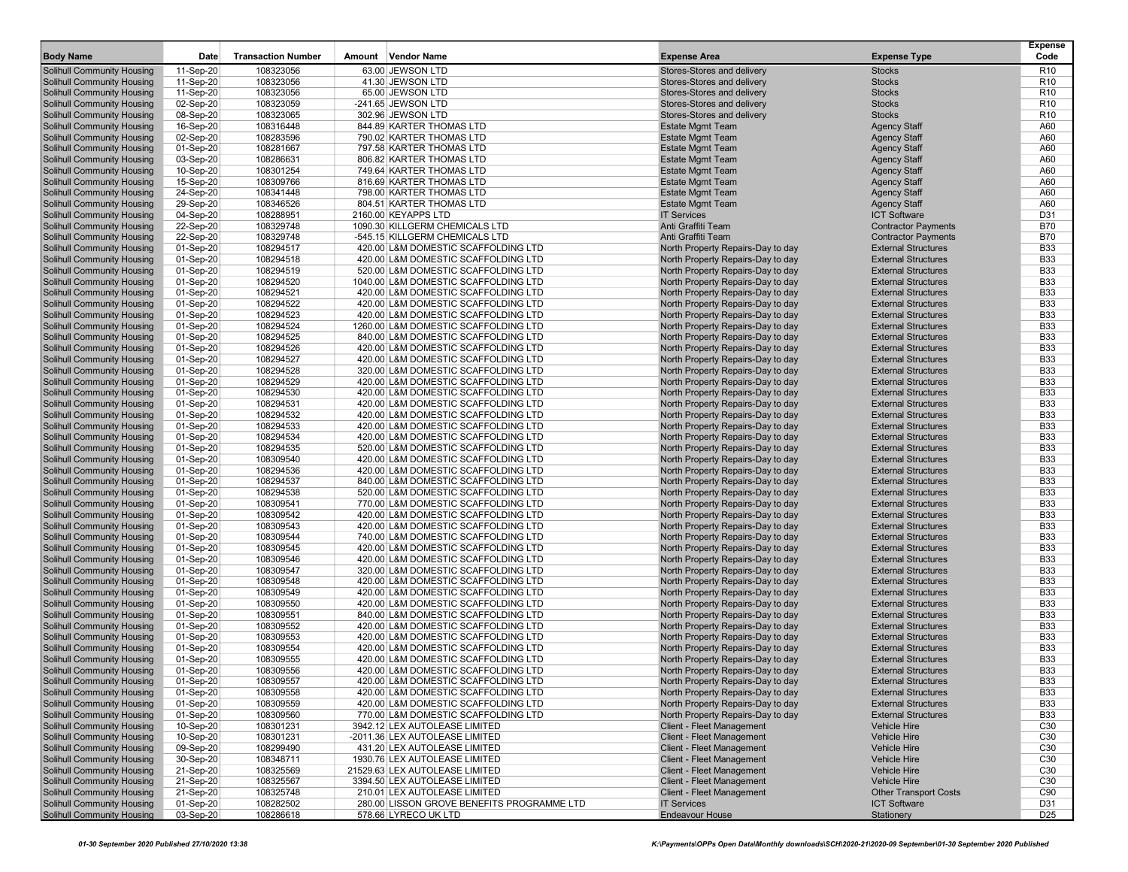| <b>Body Name</b>                                                | Date                   | <b>Transaction Number</b> | Amount Vendor Name                                                          | <b>Expense Area</b>                                                    | <b>Expense Type</b>                                      | <b>Expense</b><br>Code   |
|-----------------------------------------------------------------|------------------------|---------------------------|-----------------------------------------------------------------------------|------------------------------------------------------------------------|----------------------------------------------------------|--------------------------|
| <b>Solihull Community Housing</b>                               | 11-Sep-20              | 108323056                 | 63.00 JEWSON LTD                                                            | Stores-Stores and delivery                                             | <b>Stocks</b>                                            | R <sub>10</sub>          |
| <b>Solihull Community Housing</b>                               | 11-Sep-20              | 108323056                 | 41.30 JEWSON LTD                                                            | Stores-Stores and delivery                                             | <b>Stocks</b>                                            | R <sub>10</sub>          |
| Solihull Community Housing                                      | 11-Sep-20              | 108323056                 | 65.00 JEWSON LTD                                                            | Stores-Stores and delivery                                             | <b>Stocks</b>                                            | R <sub>10</sub>          |
| <b>Solihull Community Housing</b>                               | 02-Sep-20              | 108323059                 | -241.65 JEWSON LTD                                                          | Stores-Stores and delivery                                             | <b>Stocks</b>                                            | R <sub>10</sub>          |
| Solihull Community Housing                                      | 08-Sep-20              | 108323065                 | 302.96 JEWSON LTD                                                           | Stores-Stores and delivery                                             | <b>Stocks</b>                                            | R <sub>10</sub>          |
| Solihull Community Housing                                      | 16-Sep-20              | 108316448                 | 844.89 KARTER THOMAS LTD                                                    | <b>Estate Mgmt Team</b>                                                | <b>Agency Staff</b>                                      | A60                      |
| Solihull Community Housing<br>Solihull Community Housing        | 02-Sep-20<br>01-Sep-20 | 108283596<br>108281667    | 790.02 KARTER THOMAS LTD<br>797.58 KARTER THOMAS LTD                        | <b>Estate Mgmt Team</b><br><b>Estate Mgmt Team</b>                     | <b>Agency Staff</b><br><b>Agency Staff</b>               | A60<br>A60               |
| Solihull Community Housing                                      | 03-Sep-20              | 108286631                 | 806.82 KARTER THOMAS LTD                                                    | <b>Estate Mgmt Team</b>                                                | <b>Agency Staff</b>                                      | A60                      |
| Solihull Community Housing                                      | 10-Sep-20              | 108301254                 | 749.64 KARTER THOMAS LTD                                                    | <b>Estate Mgmt Team</b>                                                | <b>Agency Staff</b>                                      | A60                      |
| Solihull Community Housing                                      | 15-Sep-20              | 108309766                 | 816.69 KARTER THOMAS LTD                                                    | <b>Estate Mgmt Team</b>                                                | <b>Agency Staff</b>                                      | A60                      |
| <b>Solihull Community Housing</b>                               | 24-Sep-20              | 108341448                 | 798.00 KARTER THOMAS LTD                                                    | <b>Estate Mgmt Team</b>                                                | <b>Agency Staff</b>                                      | A60                      |
| Solihull Community Housing                                      | 29-Sep-20              | 108346526                 | 804.51 KARTER THOMAS LTD                                                    | <b>Estate Mgmt Team</b>                                                | <b>Agency Staff</b>                                      | A60                      |
| Solihull Community Housing                                      | 04-Sep-20              | 108288951                 | 2160.00 KEYAPPS LTD                                                         | <b>IT Services</b>                                                     | <b>ICT Software</b>                                      | D31                      |
| Solihull Community Housing                                      | 22-Sep-20              | 108329748                 | 1090.30 KILLGERM CHEMICALS LTD                                              | Anti Graffiti Team                                                     | <b>Contractor Payments</b>                               | <b>B70</b>               |
| Solihull Community Housing                                      | 22-Sep-20              | 108329748                 | -545.15 KILLGERM CHEMICALS LTD                                              | Anti Graffiti Team                                                     | <b>Contractor Payments</b>                               | <b>B70</b>               |
| <b>Solihull Community Housing</b>                               | 01-Sep-20              | 108294517                 | 420.00 L&M DOMESTIC SCAFFOLDING LTD                                         | North Property Repairs-Day to day                                      | <b>External Structures</b>                               | <b>B33</b>               |
| Solihull Community Housing                                      | 01-Sep-20              | 108294518<br>108294519    | 420.00 L&M DOMESTIC SCAFFOLDING LTD                                         | North Property Repairs-Day to day                                      | <b>External Structures</b>                               | <b>B33</b><br><b>B33</b> |
| Solihull Community Housing<br>Solihull Community Housing        | 01-Sep-20<br>01-Sep-20 | 108294520                 | 520.00 L&M DOMESTIC SCAFFOLDING LTD<br>1040.00 L&M DOMESTIC SCAFFOLDING LTD | North Property Repairs-Day to day<br>North Property Repairs-Day to day | <b>External Structures</b><br><b>External Structures</b> | <b>B33</b>               |
| Solihull Community Housing                                      | 01-Sep-20              | 108294521                 | 420.00 L&M DOMESTIC SCAFFOLDING LTD                                         | North Property Repairs-Day to day                                      | <b>External Structures</b>                               | <b>B33</b>               |
| <b>Solihull Community Housing</b>                               | 01-Sep-20              | 108294522                 | 420.00 L&M DOMESTIC SCAFFOLDING LTD                                         | North Property Repairs-Day to day                                      | <b>External Structures</b>                               | <b>B33</b>               |
| Solihull Community Housing                                      | 01-Sep-20              | 108294523                 | 420.00 L&M DOMESTIC SCAFFOLDING LTD                                         | North Property Repairs-Day to day                                      | <b>External Structures</b>                               | <b>B33</b>               |
| <b>Solihull Community Housing</b>                               | 01-Sep-20              | 108294524                 | 1260.00 L&M DOMESTIC SCAFFOLDING LTD                                        | North Property Repairs-Day to day                                      | <b>External Structures</b>                               | <b>B33</b>               |
| Solihull Community Housing                                      | 01-Sep-20              | 108294525                 | 840.00 L&M DOMESTIC SCAFFOLDING LTD                                         | North Property Repairs-Day to day                                      | <b>External Structures</b>                               | <b>B33</b>               |
| Solihull Community Housing                                      | 01-Sep-20              | 108294526                 | 420.00 L&M DOMESTIC SCAFFOLDING LTD                                         | North Property Repairs-Day to day                                      | <b>External Structures</b>                               | <b>B33</b>               |
| Solihull Community Housing                                      | 01-Sep-20              | 108294527                 | 420.00 L&M DOMESTIC SCAFFOLDING LTD                                         | North Property Repairs-Day to day                                      | <b>External Structures</b>                               | <b>B33</b>               |
| Solihull Community Housing                                      | 01-Sep-20              | 108294528                 | 320.00 L&M DOMESTIC SCAFFOLDING LTD                                         | North Property Repairs-Day to day                                      | <b>External Structures</b>                               | <b>B33</b>               |
| Solihull Community Housing                                      | 01-Sep-20              | 108294529                 | 420.00 L&M DOMESTIC SCAFFOLDING LTD                                         | North Property Repairs-Day to day                                      | <b>External Structures</b>                               | <b>B33</b>               |
| Solihull Community Housing<br>Solihull Community Housing        | 01-Sep-20<br>01-Sep-20 | 108294530<br>108294531    | 420.00 L&M DOMESTIC SCAFFOLDING LTD<br>420.00 L&M DOMESTIC SCAFFOLDING LTD  | North Property Repairs-Day to day<br>North Property Repairs-Day to day | <b>External Structures</b><br><b>External Structures</b> | <b>B33</b><br><b>B33</b> |
| <b>Solihull Community Housing</b>                               | 01-Sep-20              | 108294532                 | 420.00 L&M DOMESTIC SCAFFOLDING LTD                                         | North Property Repairs-Day to day                                      | <b>External Structures</b>                               | <b>B33</b>               |
| Solihull Community Housing                                      | 01-Sep-20              | 108294533                 | 420.00 L&M DOMESTIC SCAFFOLDING LTD                                         | North Property Repairs-Day to day                                      | <b>External Structures</b>                               | <b>B33</b>               |
| Solihull Community Housing                                      | 01-Sep-20              | 108294534                 | 420.00 L&M DOMESTIC SCAFFOLDING LTD                                         | North Property Repairs-Day to day                                      | <b>External Structures</b>                               | <b>B33</b>               |
| Solihull Community Housing                                      | 01-Sep-20              | 108294535                 | 520.00 L&M DOMESTIC SCAFFOLDING LTD                                         | North Property Repairs-Day to day                                      | <b>External Structures</b>                               | <b>B33</b>               |
| Solihull Community Housing                                      | 01-Sep-20              | 108309540                 | 420.00 L&M DOMESTIC SCAFFOLDING LTD                                         | North Property Repairs-Day to day                                      | <b>External Structures</b>                               | <b>B33</b>               |
| <b>Solihull Community Housing</b>                               | 01-Sep-20              | 108294536                 | 420.00 L&M DOMESTIC SCAFFOLDING LTD                                         | North Property Repairs-Day to day                                      | <b>External Structures</b>                               | <b>B33</b>               |
| Solihull Community Housing                                      | 01-Sep-20              | 108294537                 | 840.00 L&M DOMESTIC SCAFFOLDING LTD                                         | North Property Repairs-Day to day                                      | <b>External Structures</b>                               | <b>B33</b>               |
| Solihull Community Housing                                      | 01-Sep-20              | 108294538                 | 520.00 L&M DOMESTIC SCAFFOLDING LTD                                         | North Property Repairs-Day to day                                      | <b>External Structures</b>                               | <b>B33</b>               |
| Solihull Community Housing                                      | 01-Sep-20              | 108309541                 | 770.00 L&M DOMESTIC SCAFFOLDING LTD                                         | North Property Repairs-Day to day                                      | <b>External Structures</b>                               | <b>B33</b>               |
| Solihull Community Housing<br><b>Solihull Community Housing</b> | 01-Sep-20<br>01-Sep-20 | 108309542<br>108309543    | 420.00 L&M DOMESTIC SCAFFOLDING LTD<br>420.00 L&M DOMESTIC SCAFFOLDING LTD  | North Property Repairs-Day to day<br>North Property Repairs-Day to day | <b>External Structures</b><br><b>External Structures</b> | <b>B33</b><br><b>B33</b> |
| Solihull Community Housing                                      | 01-Sep-20              | 108309544                 | 740.00 L&M DOMESTIC SCAFFOLDING LTD                                         | North Property Repairs-Day to day                                      | <b>External Structures</b>                               | <b>B33</b>               |
| Solihull Community Housing                                      | 01-Sep-20              | 108309545                 | 420.00 L&M DOMESTIC SCAFFOLDING LTD                                         | North Property Repairs-Day to day                                      | <b>External Structures</b>                               | <b>B33</b>               |
| Solihull Community Housing                                      | 01-Sep-20              | 108309546                 | 420.00 L&M DOMESTIC SCAFFOLDING LTD                                         | North Property Repairs-Day to day                                      | <b>External Structures</b>                               | <b>B33</b>               |
| Solihull Community Housing                                      | 01-Sep-20              | 108309547                 | 320.00 L&M DOMESTIC SCAFFOLDING LTD                                         | North Property Repairs-Day to day                                      | <b>External Structures</b>                               | <b>B33</b>               |
| Solihull Community Housing                                      | 01-Sep-20              | 108309548                 | 420.00 L&M DOMESTIC SCAFFOLDING LTD                                         | North Property Repairs-Day to day                                      | <b>External Structures</b>                               | <b>B33</b>               |
| Solihull Community Housing                                      | 01-Sep-20              | 108309549                 | 420.00 L&M DOMESTIC SCAFFOLDING LTD                                         | North Property Repairs-Day to day                                      | <b>External Structures</b>                               | <b>B33</b>               |
| Solihull Community Housing                                      | 01-Sep-20              | 108309550                 | 420.00 L&M DOMESTIC SCAFFOLDING LTD                                         | North Property Repairs-Day to day                                      | <b>External Structures</b>                               | <b>B33</b>               |
| Solihull Community Housing                                      | 01-Sep-20              | 108309551                 | 840.00 L&M DOMESTIC SCAFFOLDING LTD                                         | North Property Repairs-Day to day                                      | <b>External Structures</b>                               | <b>B33</b>               |
| Solihull Community Housing                                      | 01-Sep-20              | 108309552                 | 420.00 L&M DOMESTIC SCAFFOLDING LTD                                         | North Property Repairs-Day to day                                      | <b>External Structures</b>                               | <b>B33</b>               |
| <b>Solihull Community Housing</b>                               | 01-Sep-20              | 108309553<br>108309554    | 420.00 L&M DOMESTIC SCAFFOLDING LTD                                         | North Property Repairs-Day to day<br>North Property Repairs-Day to day | <b>External Structures</b><br><b>External Structures</b> | <b>B33</b><br><b>B33</b> |
| Solihull Community Housing<br>Solihull Community Housing        | 01-Sep-20<br>01-Sep-20 | 108309555                 | 420.00 L&M DOMESTIC SCAFFOLDING LTD<br>420.00 L&M DOMESTIC SCAFFOLDING LTD  | North Property Repairs-Day to day                                      | <b>External Structures</b>                               | <b>B33</b>               |
| Solihull Community Housing                                      | 01-Sep-20              | 108309556                 | 420.00 L&M DOMESTIC SCAFFOLDING LTD                                         | North Property Repairs-Day to day                                      | <b>External Structures</b>                               | <b>B33</b>               |
| Solihull Community Housing                                      | 01-Sep-20              | 108309557                 | 420.00 L&M DOMESTIC SCAFFOLDING LTD                                         | North Property Repairs-Day to day                                      | <b>External Structures</b>                               | B33                      |
| Solihull Community Housing                                      | 01-Sep-20              | 108309558                 | 420.00 L&M DOMESTIC SCAFFOLDING LTD                                         | North Property Repairs-Day to day                                      | <b>External Structures</b>                               | <b>B33</b>               |
| Solihull Community Housing                                      | 01-Sep-20              | 108309559                 | 420.00 L&M DOMESTIC SCAFFOLDING LTD                                         | North Property Repairs-Day to day                                      | <b>External Structures</b>                               | <b>B33</b>               |
| Solihull Community Housing                                      | 01-Sep-20              | 108309560                 | 770.00 L&M DOMESTIC SCAFFOLDING LTD                                         | North Property Repairs-Day to day                                      | <b>External Structures</b>                               | <b>B33</b>               |
| Solihull Community Housing                                      | 10-Sep-20              | 108301231                 | 3942.12 LEX AUTOLEASE LIMITED                                               | Client - Fleet Management                                              | <b>Vehicle Hire</b>                                      | C30                      |
| Solihull Community Housing                                      | 10-Sep-20              | 108301231                 | -2011.36 LEX AUTOLEASE LIMITED                                              | <b>Client - Fleet Management</b>                                       | <b>Vehicle Hire</b>                                      | C <sub>30</sub>          |
| Solihull Community Housing                                      | 09-Sep-20              | 108299490                 | 431.20 LEX AUTOLEASE LIMITED                                                | <b>Client - Fleet Management</b>                                       | Vehicle Hire                                             | C <sub>30</sub>          |
| Solihull Community Housing                                      | 30-Sep-20              | 108348711                 | 1930.76 LEX AUTOLEASE LIMITED                                               | <b>Client - Fleet Management</b><br><b>Client - Fleet Management</b>   | Vehicle Hire                                             | C <sub>30</sub>          |
| Solihull Community Housing<br>Solihull Community Housing        | 21-Sep-20<br>21-Sep-20 | 108325569<br>108325567    | 21529.63 LEX AUTOLEASE LIMITED<br>3394.50 LEX AUTOLEASE LIMITED             | <b>Client - Fleet Management</b>                                       | Vehicle Hire<br><b>Vehicle Hire</b>                      | C30<br>C30               |
| Solihull Community Housing                                      | 21-Sep-20              | 108325748                 | 210.01 LEX AUTOLEASE LIMITED                                                | <b>Client - Fleet Management</b>                                       | <b>Other Transport Costs</b>                             | C90                      |
| Solihull Community Housing                                      | 01-Sep-20              | 108282502                 | 280.00 LISSON GROVE BENEFITS PROGRAMME LTD                                  | <b>IT Services</b>                                                     | <b>ICT Software</b>                                      | D31                      |
| <b>Solihull Community Housing</b>                               | 03-Sep-20              | 108286618                 | 578.66 LYRECO UK LTD                                                        | Endeavour House                                                        | Stationery                                               | D <sub>25</sub>          |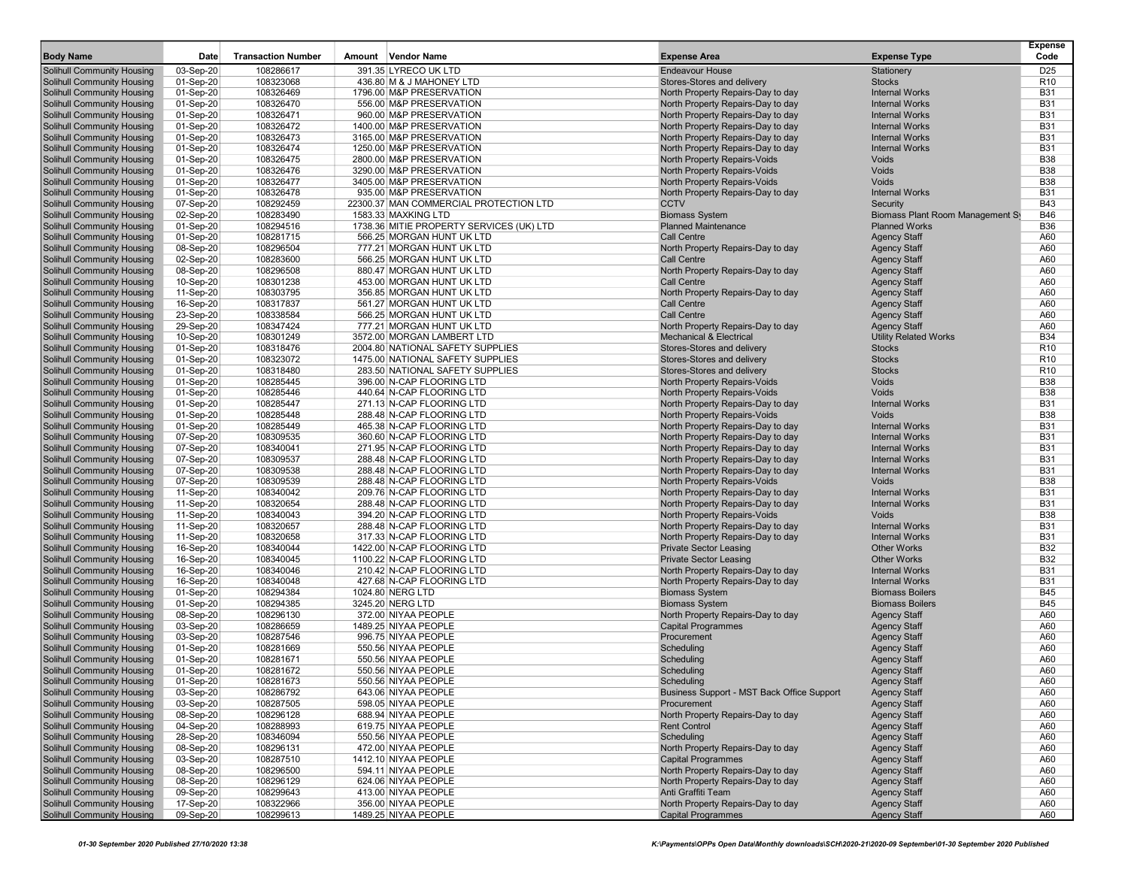| <b>Body Name</b>                                                       | Date                   | <b>Transaction Number</b> | Amount Vendor Name                            | <b>Expense Area</b>                                        | <b>Expense Type</b>                             | <b>Expense</b><br>Code   |
|------------------------------------------------------------------------|------------------------|---------------------------|-----------------------------------------------|------------------------------------------------------------|-------------------------------------------------|--------------------------|
| <b>Solihull Community Housing</b>                                      | 03-Sep-20              | 108286617                 | 391.35 LYRECO UK LTD                          | <b>Endeavour House</b>                                     | Stationery                                      | D <sub>25</sub>          |
| <b>Solihull Community Housing</b>                                      | 01-Sep-20              | 108323068                 | 436.80 M & J MAHONEY LTD                      | Stores-Stores and delivery                                 | <b>Stocks</b>                                   | R <sub>10</sub>          |
| <b>Solihull Community Housing</b>                                      | 01-Sep-20              | 108326469                 | 1796.00 M&P PRESERVATION                      | North Property Repairs-Day to day                          | <b>Internal Works</b>                           | <b>B31</b>               |
| <b>Solihull Community Housing</b>                                      | 01-Sep-20              | 108326470                 | 556.00 M&P PRESERVATION                       | North Property Repairs-Day to day                          | <b>Internal Works</b>                           | <b>B31</b>               |
| <b>Solihull Community Housing</b>                                      | 01-Sep-20              | 108326471                 | 960.00 M&P PRESERVATION                       | North Property Repairs-Day to day                          | <b>Internal Works</b>                           | <b>B31</b>               |
| <b>Solihull Community Housing</b>                                      | 01-Sep-20              | 108326472                 | 1400.00 M&P PRESERVATION                      | North Property Repairs-Day to day                          | <b>Internal Works</b>                           | <b>B31</b>               |
| <b>Solihull Community Housing</b>                                      | 01-Sep-20              | 108326473                 | 3165.00 M&P PRESERVATION                      | North Property Repairs-Day to day                          | <b>Internal Works</b>                           | <b>B31</b>               |
| <b>Solihull Community Housing</b>                                      | 01-Sep-20              | 108326474                 | 1250.00 M&P PRESERVATION                      | North Property Repairs-Day to day                          | <b>Internal Works</b>                           | <b>B31</b>               |
| <b>Solihull Community Housing</b>                                      | 01-Sep-20              | 108326475                 | 2800.00 M&P PRESERVATION                      | North Property Repairs-Voids                               | Voids                                           | <b>B38</b>               |
| <b>Solihull Community Housing</b>                                      | 01-Sep-20              | 108326476                 | 3290.00 M&P PRESERVATION                      | North Property Repairs-Voids                               | Voids                                           | <b>B38</b>               |
| <b>Solihull Community Housing</b>                                      | 01-Sep-20              | 108326477                 | 3405.00 M&P PRESERVATION                      | North Property Repairs-Voids                               | Voids                                           | <b>B38</b>               |
| <b>Solihull Community Housing</b>                                      | 01-Sep-20              | 108326478                 | 935.00 M&P PRESERVATION                       | North Property Repairs-Day to day                          | <b>Internal Works</b>                           | <b>B31</b>               |
| <b>Solihull Community Housing</b>                                      | 07-Sep-20              | 108292459                 | 22300.37 MAN COMMERCIAL PROTECTION LTD        | <b>CCTV</b>                                                | Security                                        | <b>B43</b>               |
| <b>Solihull Community Housing</b>                                      | 02-Sep-20              | 108283490                 | 1583.33 MAXKING LTD                           | <b>Biomass System</b>                                      | Biomass Plant Room Management Sy                | <b>B46</b>               |
| <b>Solihull Community Housing</b>                                      | 01-Sep-20              | 108294516                 | 1738.36 MITIE PROPERTY SERVICES (UK) LTD      | <b>Planned Maintenance</b>                                 | <b>Planned Works</b>                            | <b>B36</b>               |
| <b>Solihull Community Housing</b>                                      | 01-Sep-20              | 108281715                 | 566.25 MORGAN HUNT UK LTD                     | <b>Call Centre</b>                                         | <b>Agency Staff</b>                             | A60                      |
| <b>Solihull Community Housing</b>                                      | 08-Sep-20              | 108296504                 | 777.21 MORGAN HUNT UK LTD                     | North Property Repairs-Day to day                          | <b>Agency Staff</b>                             | A60                      |
| <b>Solihull Community Housing</b>                                      | 02-Sep-20              | 108283600                 | 566.25 MORGAN HUNT UK LTD                     | <b>Call Centre</b>                                         | <b>Agency Staff</b>                             | A60                      |
| <b>Solihull Community Housing</b>                                      | 08-Sep-20              | 108296508                 | 880.47 MORGAN HUNT UK LTD                     | North Property Repairs-Day to day                          | <b>Agency Staff</b>                             | A60                      |
| <b>Solihull Community Housing</b>                                      | 10-Sep-20              | 108301238                 | 453.00 MORGAN HUNT UK LTD                     | <b>Call Centre</b>                                         | <b>Agency Staff</b>                             | A60                      |
| <b>Solihull Community Housing</b>                                      | 11-Sep-20              | 108303795                 | 356.85 MORGAN HUNT UK LTD                     | North Property Repairs-Day to day                          | <b>Agency Staff</b>                             | A60                      |
| <b>Solihull Community Housing</b>                                      | 16-Sep-20              | 108317837                 | 561.27 MORGAN HUNT UK LTD                     | Call Centre                                                | <b>Agency Staff</b>                             | A60                      |
| <b>Solihull Community Housing</b>                                      | 23-Sep-20              | 108338584                 | 566.25 MORGAN HUNT UK LTD                     | <b>Call Centre</b>                                         | <b>Agency Staff</b>                             | A60                      |
| <b>Solihull Community Housing</b>                                      | 29-Sep-20              | 108347424                 | 777.21 MORGAN HUNT UK LTD                     | North Property Repairs-Day to day                          | <b>Agency Staff</b>                             | A60                      |
| <b>Solihull Community Housing</b>                                      | 10-Sep-20              | 108301249                 | 3572.00 MORGAN LAMBERT LTD                    | <b>Mechanical &amp; Electrical</b>                         | <b>Utility Related Works</b>                    | <b>B34</b>               |
| <b>Solihull Community Housing</b>                                      | 01-Sep-20              | 108318476                 | 2004.80 NATIONAL SAFETY SUPPLIES              | Stores-Stores and delivery                                 | <b>Stocks</b>                                   | R <sub>10</sub>          |
| <b>Solihull Community Housing</b>                                      | 01-Sep-20              | 108323072                 | 1475.00 NATIONAL SAFETY SUPPLIES              | Stores-Stores and delivery                                 | <b>Stocks</b>                                   | R <sub>10</sub>          |
| <b>Solihull Community Housing</b>                                      | 01-Sep-20              | 108318480                 | 283.50 NATIONAL SAFETY SUPPLIES               | Stores-Stores and delivery                                 | <b>Stocks</b>                                   | R <sub>10</sub>          |
| <b>Solihull Community Housing</b>                                      | 01-Sep-20              | 108285445                 | 396.00 N-CAP FLOORING LTD                     | North Property Repairs-Voids                               | Voids                                           | <b>B38</b>               |
| <b>Solihull Community Housing</b>                                      | 01-Sep-20              | 108285446                 | 440.64 N-CAP FLOORING LTD                     | North Property Repairs-Voids                               | Voids                                           | <b>B38</b>               |
| <b>Solihull Community Housing</b>                                      | 01-Sep-20              | 108285447                 | 271.13 N-CAP FLOORING LTD                     | North Property Repairs-Day to day                          | <b>Internal Works</b>                           | <b>B31</b>               |
| <b>Solihull Community Housing</b>                                      | 01-Sep-20              | 108285448                 | 288.48 N-CAP FLOORING LTD                     | <b>North Property Repairs-Voids</b>                        | Voids                                           | <b>B38</b>               |
| <b>Solihull Community Housing</b>                                      | 01-Sep-20              | 108285449                 | 465.38 N-CAP FLOORING LTD                     | North Property Repairs-Day to day                          | <b>Internal Works</b>                           | <b>B31</b>               |
| <b>Solihull Community Housing</b>                                      | 07-Sep-20              | 108309535                 | 360.60 N-CAP FLOORING LTD                     | North Property Repairs-Day to day                          | <b>Internal Works</b>                           | <b>B31</b>               |
| <b>Solihull Community Housing</b>                                      | 07-Sep-20              | 108340041                 | 271.95 N-CAP FLOORING LTD                     | North Property Repairs-Day to day                          | <b>Internal Works</b>                           | <b>B31</b>               |
| <b>Solihull Community Housing</b>                                      | 07-Sep-20              | 108309537                 | 288.48 N-CAP FLOORING LTD                     | North Property Repairs-Day to day                          | <b>Internal Works</b>                           | <b>B31</b>               |
| <b>Solihull Community Housing</b>                                      | 07-Sep-20              | 108309538                 | 288.48 N-CAP FLOORING LTD                     | North Property Repairs-Day to day                          | <b>Internal Works</b>                           | <b>B31</b>               |
| <b>Solihull Community Housing</b>                                      | 07-Sep-20              | 108309539                 | 288.48 N-CAP FLOORING LTD                     | North Property Repairs-Voids                               | Voids                                           | <b>B38</b>               |
| <b>Solihull Community Housing</b>                                      | 11-Sep-20              | 108340042                 | 209.76 N-CAP FLOORING LTD                     | North Property Repairs-Day to day                          | <b>Internal Works</b>                           | <b>B31</b>               |
| <b>Solihull Community Housing</b>                                      | 11-Sep-20              | 108320654                 | 288.48 N-CAP FLOORING LTD                     | North Property Repairs-Day to day                          | <b>Internal Works</b>                           | <b>B31</b>               |
| <b>Solihull Community Housing</b>                                      | 11-Sep-20              | 108340043                 | 394.20 N-CAP FLOORING LTD                     | <b>North Property Repairs-Voids</b>                        | Voids                                           | <b>B38</b>               |
| <b>Solihull Community Housing</b>                                      | 11-Sep-20              | 108320657                 | 288.48 N-CAP FLOORING LTD                     | North Property Repairs-Day to day                          | <b>Internal Works</b>                           | <b>B31</b>               |
| <b>Solihull Community Housing</b>                                      | 11-Sep-20              | 108320658                 | 317.33 N-CAP FLOORING LTD                     | North Property Repairs-Day to day                          | <b>Internal Works</b>                           | <b>B31</b>               |
| <b>Solihull Community Housing</b>                                      | 16-Sep-20              | 108340044                 | 1422.00 N-CAP FLOORING LTD                    | <b>Private Sector Leasing</b>                              | <b>Other Works</b>                              | <b>B32</b><br><b>B32</b> |
| <b>Solihull Community Housing</b>                                      | 16-Sep-20              | 108340045<br>108340046    | 1100.22 N-CAP FLOORING LTD                    | <b>Private Sector Leasing</b>                              | <b>Other Works</b>                              | <b>B31</b>               |
| <b>Solihull Community Housing</b>                                      | 16-Sep-20              |                           | 210.42 N-CAP FLOORING LTD                     | North Property Repairs-Day to day                          | <b>Internal Works</b>                           | <b>B31</b>               |
| <b>Solihull Community Housing</b><br><b>Solihull Community Housing</b> | 16-Sep-20<br>01-Sep-20 | 108340048<br>108294384    | 427.68 N-CAP FLOORING LTD<br>1024.80 NERG LTD | North Property Repairs-Day to day<br><b>Biomass System</b> | <b>Internal Works</b><br><b>Biomass Boilers</b> | <b>B45</b>               |
| <b>Solihull Community Housing</b>                                      | 01-Sep-20              | 108294385                 | 3245.20 NERG LTD                              | <b>Biomass System</b>                                      | <b>Biomass Boilers</b>                          | <b>B45</b>               |
| <b>Solihull Community Housing</b>                                      | 08-Sep-20              | 108296130                 | 372.00 NIYAA PEOPLE                           | North Property Repairs-Day to day                          | <b>Agency Staff</b>                             | A60                      |
| <b>Solihull Community Housing</b>                                      | 03-Sep-20              | 108286659                 | 1489.25 NIYAA PEOPLE                          | <b>Capital Programmes</b>                                  | <b>Agency Staff</b>                             | A60                      |
| <b>Solihull Community Housing</b>                                      | 03-Sep-20              | 108287546                 | 996.75 NIYAA PEOPLE                           | Procurement                                                | <b>Agency Staff</b>                             | A60                      |
| <b>Solihull Community Housing</b>                                      | 01-Sep-20              | 108281669                 | 550.56 NIYAA PEOPLE                           | Scheduling                                                 | <b>Agency Staff</b>                             | A60                      |
| <b>Solihull Community Housing</b>                                      | 01-Sep-20              | 108281671                 | 550.56 NIYAA PEOPLE                           | Scheduling                                                 | <b>Agency Staff</b>                             | A60                      |
| <b>Solihull Community Housing</b>                                      | 01-Sep-20              | 108281672                 | 550.56 NIYAA PEOPLE                           | Scheduling                                                 | <b>Agency Staff</b>                             | A60                      |
| Solihull Community Housing                                             | 01-Sep-20              | 108281673                 | 550.56 NIYAA PEOPLE                           | Scheduling                                                 | Agency Staff                                    | A60                      |
| <b>Solihull Community Housing</b>                                      | 03-Sep-20              | 108286792                 | 643.06 NIYAA PEOPLE                           | Business Support - MST Back Office Support                 | <b>Agency Staff</b>                             | A60                      |
| <b>Solihull Community Housing</b>                                      | 03-Sep-20              | 108287505                 | 598.05 NIYAA PEOPLE                           | Procurement                                                | <b>Agency Staff</b>                             | A60                      |
| <b>Solihull Community Housing</b>                                      | 08-Sep-20              | 108296128                 | 688.94 NIYAA PEOPLE                           | North Property Repairs-Day to day                          | <b>Agency Staff</b>                             | A60                      |
| <b>Solihull Community Housing</b>                                      | 04-Sep-20              | 108288993                 | 619.75 NIYAA PEOPLE                           | <b>Rent Control</b>                                        | <b>Agency Staff</b>                             | A60                      |
| <b>Solihull Community Housing</b>                                      | 28-Sep-20              | 108346094                 | 550.56 NIYAA PEOPLE                           | Schedulina                                                 | <b>Agency Staff</b>                             | A60                      |
| <b>Solihull Community Housing</b>                                      | 08-Sep-20              | 108296131                 | 472.00 NIYAA PEOPLE                           | North Property Repairs-Day to day                          | <b>Agency Staff</b>                             | A60                      |
| <b>Solihull Community Housing</b>                                      | 03-Sep-20              | 108287510                 | 1412.10 NIYAA PEOPLE                          | <b>Capital Programmes</b>                                  | <b>Agency Staff</b>                             | A60                      |
| <b>Solihull Community Housing</b>                                      | 08-Sep-20              | 108296500                 | 594.11 NIYAA PEOPLE                           | North Property Repairs-Day to day                          | <b>Agency Staff</b>                             | A60                      |
| <b>Solihull Community Housing</b>                                      | 08-Sep-20              | 108296129                 | 624.06 NIYAA PEOPLE                           | North Property Repairs-Day to day                          | <b>Agency Staff</b>                             | A60                      |
| Solihull Community Housing                                             | 09-Sep-20              | 108299643                 | 413.00 NIYAA PEOPLE                           | Anti Graffiti Team                                         | <b>Agency Staff</b>                             | A60                      |
| <b>Solihull Community Housing</b>                                      | 17-Sep-20              | 108322966                 | 356.00 NIYAA PEOPLE                           | North Property Repairs-Day to day                          | <b>Agency Staff</b>                             | A60                      |
| <b>Solihull Community Housing</b>                                      | 09-Sep-20              | 108299613                 | 1489.25 NIYAA PEOPLE                          | <b>Capital Programmes</b>                                  | <b>Agency Staff</b>                             | A60                      |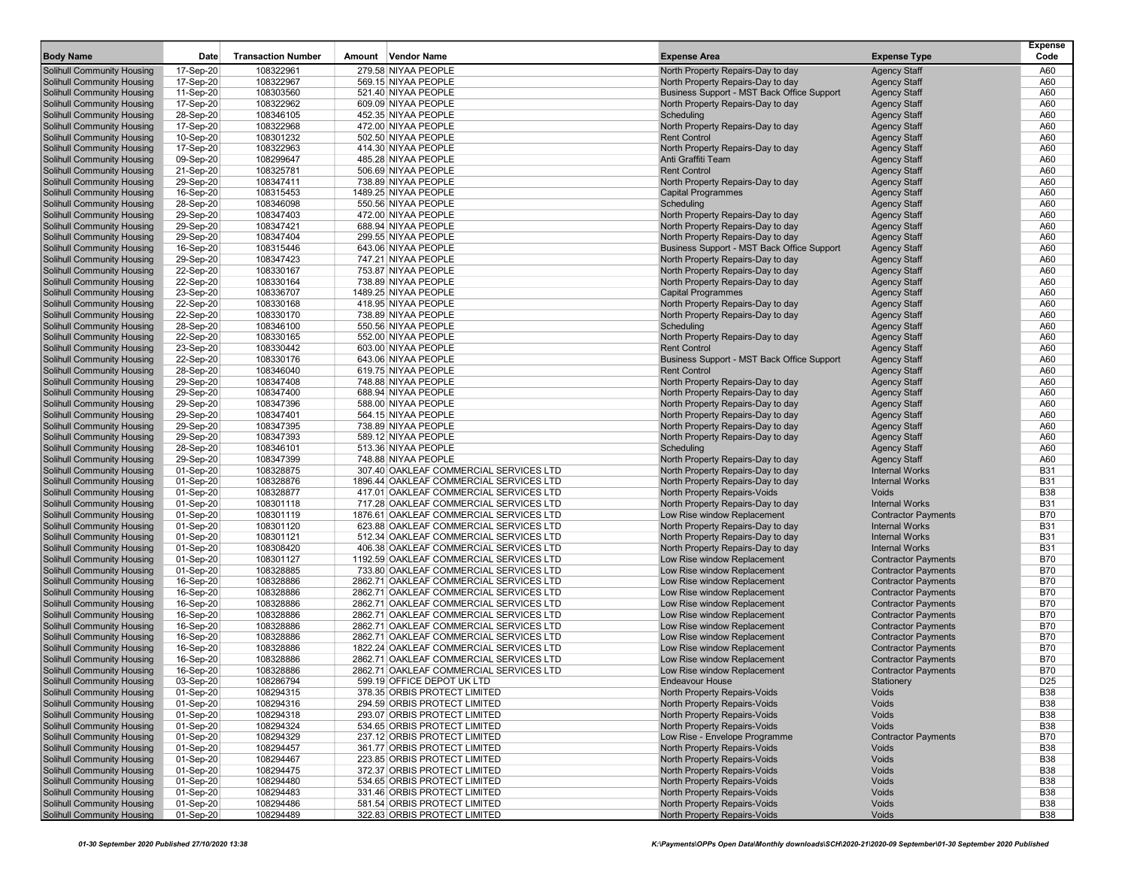| <b>Body Name</b>                                         | Date                   | <b>Transaction Number</b> | Amount Vendor Name                                                               | <b>Expense Area</b>                                                             | <b>Expense Type</b>                        | <b>Expense</b><br>Code   |
|----------------------------------------------------------|------------------------|---------------------------|----------------------------------------------------------------------------------|---------------------------------------------------------------------------------|--------------------------------------------|--------------------------|
| <b>Solihull Community Housing</b>                        | 17-Sep-20              | 108322961                 | 279.58 NIYAA PEOPLE                                                              | North Property Repairs-Day to day                                               | <b>Agency Staff</b>                        | A60                      |
| <b>Solihull Community Housing</b>                        | 17-Sep-20              | 108322967                 | 569.15 NIYAA PEOPLE                                                              | North Property Repairs-Day to day                                               | <b>Agency Staff</b>                        | A60                      |
| Solihull Community Housing                               | 11-Sep-20              | 108303560                 | 521.40 NIYAA PEOPLE                                                              | Business Support - MST Back Office Support                                      | <b>Agency Staff</b>                        | A60                      |
| <b>Solihull Community Housing</b>                        | 17-Sep-20              | 108322962                 | 609.09 NIYAA PEOPLE                                                              | North Property Repairs-Day to day                                               | <b>Agency Staff</b>                        | A60                      |
| <b>Solihull Community Housing</b>                        | 28-Sep-20              | 108346105                 | 452.35 NIYAA PEOPLE                                                              | Scheduling                                                                      | <b>Agency Staff</b>                        | A60                      |
| Solihull Community Housing                               | 17-Sep-20              | 108322968                 | 472.00 NIYAA PEOPLE                                                              | North Property Repairs-Day to day                                               | <b>Agency Staff</b>                        | A60                      |
| Solihull Community Housing                               | 10-Sep-20              | 108301232                 | 502.50 NIYAA PEOPLE                                                              | <b>Rent Control</b>                                                             | <b>Agency Staff</b>                        | A60                      |
| Solihull Community Housing                               | 17-Sep-20              | 108322963                 | 414.30 NIYAA PEOPLE                                                              | North Property Repairs-Day to day                                               | <b>Agency Staff</b>                        | A60                      |
| <b>Solihull Community Housing</b>                        | 09-Sep-20              | 108299647                 | 485.28 NIYAA PEOPLE                                                              | Anti Graffiti Team                                                              | <b>Agency Staff</b>                        | A60                      |
| Solihull Community Housing                               | 21-Sep-20              | 108325781                 | 506.69 NIYAA PEOPLE                                                              | <b>Rent Control</b>                                                             | <b>Agency Staff</b>                        | A60                      |
| Solihull Community Housing                               | 29-Sep-20              | 108347411                 | 738.89 NIYAA PEOPLE                                                              | North Property Repairs-Day to day                                               | <b>Agency Staff</b>                        | A60                      |
| Solihull Community Housing                               | 16-Sep-20              | 108315453                 | 1489.25 NIYAA PEOPLE                                                             | <b>Capital Programmes</b>                                                       | <b>Agency Staff</b>                        | A60                      |
| <b>Solihull Community Housing</b>                        | 28-Sep-20              | 108346098                 | 550.56 NIYAA PEOPLE                                                              | Scheduling                                                                      | <b>Agency Staff</b>                        | A60                      |
| <b>Solihull Community Housing</b>                        | 29-Sep-20              | 108347403                 | 472.00 NIYAA PEOPLE                                                              | North Property Repairs-Day to day                                               | <b>Agency Staff</b>                        | A60                      |
| Solihull Community Housing                               | 29-Sep-20              | 108347421                 | 688.94 NIYAA PEOPLE                                                              | North Property Repairs-Day to day                                               | <b>Agency Staff</b>                        | A60                      |
| Solihull Community Housing                               | 29-Sep-20              | 108347404                 | 299.55 NIYAA PEOPLE<br>643.06 NIYAA PEOPLE                                       | North Property Repairs-Day to day                                               | <b>Agency Staff</b>                        | A60<br>A60               |
| Solihull Community Housing<br>Solihull Community Housing | 16-Sep-20<br>29-Sep-20 | 108315446<br>108347423    | 747.21 NIYAA PEOPLE                                                              | Business Support - MST Back Office Support<br>North Property Repairs-Day to day | <b>Agency Staff</b><br><b>Agency Staff</b> | A60                      |
| <b>Solihull Community Housing</b>                        | 22-Sep-20              | 108330167                 | 753.87 NIYAA PEOPLE                                                              | North Property Repairs-Day to day                                               | <b>Agency Staff</b>                        | A60                      |
| Solihull Community Housing                               | 22-Sep-20              | 108330164                 | 738.89 NIYAA PEOPLE                                                              | North Property Repairs-Day to day                                               | <b>Agency Staff</b>                        | A60                      |
| Solihull Community Housing                               | 23-Sep-20              | 108336707                 | 1489.25 NIYAA PEOPLE                                                             | <b>Capital Programmes</b>                                                       | <b>Agency Staff</b>                        | A60                      |
| <b>Solihull Community Housing</b>                        | 22-Sep-20              | 108330168                 | 418.95 NIYAA PEOPLE                                                              | North Property Repairs-Day to day                                               | <b>Agency Staff</b>                        | A60                      |
| <b>Solihull Community Housing</b>                        | 22-Sep-20              | 108330170                 | 738.89 NIYAA PEOPLE                                                              | North Property Repairs-Day to day                                               | <b>Agency Staff</b>                        | A60                      |
| <b>Solihull Community Housing</b>                        | 28-Sep-20              | 108346100                 | 550.56 NIYAA PEOPLE                                                              | Scheduling                                                                      | <b>Agency Staff</b>                        | A60                      |
| <b>Solihull Community Housing</b>                        | 22-Sep-20              | 108330165                 | 552.00 NIYAA PEOPLE                                                              | North Property Repairs-Day to day                                               | <b>Agency Staff</b>                        | A60                      |
| Solihull Community Housing                               | 23-Sep-20              | 108330442                 | 603.00 NIYAA PEOPLE                                                              | <b>Rent Control</b>                                                             | <b>Agency Staff</b>                        | A60                      |
| Solihull Community Housing                               | 22-Sep-20              | 108330176                 | 643.06 NIYAA PEOPLE                                                              | Business Support - MST Back Office Support                                      | <b>Agency Staff</b>                        | A60                      |
| Solihull Community Housing                               | 28-Sep-20              | 108346040                 | 619.75 NIYAA PEOPLE                                                              | <b>Rent Control</b>                                                             | <b>Agency Staff</b>                        | A60                      |
| <b>Solihull Community Housing</b>                        | 29-Sep-20              | 108347408                 | 748.88 NIYAA PEOPLE                                                              | North Property Repairs-Day to day                                               | <b>Agency Staff</b>                        | A60                      |
| Solihull Community Housing                               | 29-Sep-20              | 108347400                 | 688.94 NIYAA PEOPLE                                                              | North Property Repairs-Day to day                                               | <b>Agency Staff</b>                        | A60                      |
| Solihull Community Housing                               | 29-Sep-20              | 108347396                 | 588.00 NIYAA PEOPLE                                                              | North Property Repairs-Day to day                                               | <b>Agency Staff</b>                        | A60                      |
| Solihull Community Housing                               | 29-Sep-20              | 108347401                 | 564.15 NIYAA PEOPLE                                                              | North Property Repairs-Day to day                                               | <b>Agency Staff</b>                        | A60                      |
| <b>Solihull Community Housing</b>                        | 29-Sep-20              | 108347395                 | 738.89 NIYAA PEOPLE                                                              | North Property Repairs-Day to day                                               | <b>Agency Staff</b>                        | A60                      |
| <b>Solihull Community Housing</b>                        | 29-Sep-20              | 108347393                 | 589.12 NIYAA PEOPLE                                                              | North Property Repairs-Day to day                                               | <b>Agency Staff</b>                        | A60                      |
| Solihull Community Housing                               | 28-Sep-20              | 108346101                 | 513.36 NIYAA PEOPLE                                                              | Scheduling                                                                      | <b>Agency Staff</b>                        | A60                      |
| Solihull Community Housing                               | 29-Sep-20              | 108347399                 | 748.88 NIYAA PEOPLE                                                              | North Property Repairs-Day to day                                               | <b>Agency Staff</b>                        | A60                      |
| Solihull Community Housing                               | 01-Sep-20              | 108328875                 | 307.40 OAKLEAF COMMERCIAL SERVICES LTD                                           | North Property Repairs-Day to day                                               | <b>Internal Works</b>                      | <b>B31</b>               |
| <b>Solihull Community Housing</b>                        | 01-Sep-20              | 108328876                 | 1896.44 OAKLEAF COMMERCIAL SERVICES LTD                                          | North Property Repairs-Day to day                                               | <b>Internal Works</b>                      | <b>B31</b>               |
| <b>Solihull Community Housing</b>                        | 01-Sep-20              | 108328877<br>108301118    | 417.01 OAKLEAF COMMERCIAL SERVICES LTD<br>717.28 OAKLEAF COMMERCIAL SERVICES LTD | North Property Repairs-Voids                                                    | Voids<br><b>Internal Works</b>             | <b>B38</b><br><b>B31</b> |
| Solihull Community Housing<br>Solihull Community Housing | 01-Sep-20<br>01-Sep-20 | 108301119                 | 1876.61 OAKLEAF COMMERCIAL SERVICES LTD                                          | North Property Repairs-Day to day<br>Low Rise window Replacement                | <b>Contractor Payments</b>                 | <b>B70</b>               |
| <b>Solihull Community Housing</b>                        | $01-Sep-20$            | 108301120                 | 623.88 OAKLEAF COMMERCIAL SERVICES LTD                                           | North Property Repairs-Day to day                                               | <b>Internal Works</b>                      | <b>B31</b>               |
| <b>Solihull Community Housing</b>                        | 01-Sep-20              | 108301121                 | 512.34 OAKLEAF COMMERCIAL SERVICES LTD                                           | North Property Repairs-Day to day                                               | <b>Internal Works</b>                      | <b>B31</b>               |
| <b>Solihull Community Housing</b>                        | 01-Sep-20              | 108308420                 | 406.38 OAKLEAF COMMERCIAL SERVICES LTD                                           | North Property Repairs-Day to day                                               | <b>Internal Works</b>                      | <b>B31</b>               |
| <b>Solihull Community Housing</b>                        | 01-Sep-20              | 108301127                 | 1192.59 OAKLEAF COMMERCIAL SERVICES LTD                                          | Low Rise window Replacement                                                     | <b>Contractor Payments</b>                 | <b>B70</b>               |
| Solihull Community Housing                               | 01-Sep-20              | 108328885                 | 733.80 OAKLEAF COMMERCIAL SERVICES LTD                                           | Low Rise window Replacement                                                     | <b>Contractor Payments</b>                 | <b>B70</b>               |
| Solihull Community Housing                               | 16-Sep-20              | 108328886                 | 2862.71 OAKLEAF COMMERCIAL SERVICES LTD                                          | Low Rise window Replacement                                                     | <b>Contractor Payments</b>                 | <b>B70</b>               |
| <b>Solihull Community Housing</b>                        | 16-Sep-20              | 108328886                 | 2862.71 OAKLEAF COMMERCIAL SERVICES LTD                                          | Low Rise window Replacement                                                     | <b>Contractor Payments</b>                 | <b>B70</b>               |
| <b>Solihull Community Housing</b>                        | 16-Sep-20              | 108328886                 | 2862.71 OAKLEAF COMMERCIAL SERVICES LTD                                          | Low Rise window Replacement                                                     | <b>Contractor Payments</b>                 | <b>B70</b>               |
| Solihull Community Housing                               | 16-Sep-20              | 108328886                 | 2862.71 OAKLEAF COMMERCIAL SERVICES LTD                                          | Low Rise window Replacement                                                     | <b>Contractor Payments</b>                 | <b>B70</b>               |
| Solihull Community Housing                               | 16-Sep-20              | 108328886                 | 2862.71 OAKLEAF COMMERCIAL SERVICES LTD                                          | Low Rise window Replacement                                                     | <b>Contractor Payments</b>                 | <b>B70</b>               |
| Solihull Community Housing                               | 16-Sep-20              | 108328886                 | 2862.71 OAKLEAF COMMERCIAL SERVICES LTD                                          | Low Rise window Replacement                                                     | <b>Contractor Payments</b>                 | <b>B70</b>               |
| <b>Solihull Community Housing</b>                        | 16-Sep-20              | 108328886                 | 1822.24 OAKLEAF COMMERCIAL SERVICES LTD                                          | Low Rise window Replacement                                                     | <b>Contractor Payments</b>                 | <b>B70</b>               |
| Solihull Community Housing                               | 16-Sep-20              | 108328886                 | 2862.71 OAKLEAF COMMERCIAL SERVICES LTD                                          | Low Rise window Replacement                                                     | <b>Contractor Payments</b>                 | <b>B70</b>               |
| <b>Solihull Community Housing</b>                        | 16-Sep-20              | 108328886                 | 2862.71 OAKLEAF COMMERCIAL SERVICES LTD                                          | Low Rise window Replacement                                                     | <b>Contractor Payments</b>                 | <b>B70</b>               |
| Solihull Community Housing                               | 03-Sep-20              | 108286794                 | 599.19 OFFICE DEPOT UK LTD                                                       | <b>Endeavour House</b>                                                          | <b>Stationery</b>                          | D <sub>25</sub>          |
| Solihull Community Housing                               | 01-Sep-20              | 108294315                 | 378.35 ORBIS PROTECT LIMITED                                                     | North Property Repairs-Voids                                                    | Voids                                      | <b>B38</b>               |
| Solihull Community Housing<br>Solihull Community Housing | 01-Sep-20              | 108294316                 | 294.59 ORBIS PROTECT LIMITED                                                     | North Property Repairs-Voids                                                    | Voids                                      | <b>B38</b>               |
|                                                          | 01-Sep-20              | 108294318                 | 293.07 ORBIS PROTECT LIMITED                                                     | North Property Repairs-Voids                                                    | Voids                                      | <b>B38</b>               |
| <b>Solihull Community Housing</b>                        | 01-Sep-20              | 108294324                 | 534.65 ORBIS PROTECT LIMITED<br>237.12 ORBIS PROTECT LIMITED                     | North Property Repairs-Voids                                                    | Voids                                      | <b>B38</b>               |
| Solihull Community Housing<br>Solihull Community Housing | 01-Sep-20<br>01-Sep-20 | 108294329<br>108294457    | 361.77 ORBIS PROTECT LIMITED                                                     | Low Rise - Envelope Programme<br>North Property Repairs-Voids                   | <b>Contractor Payments</b><br>Voids        | <b>B70</b><br><b>B38</b> |
| Solihull Community Housing                               | 01-Sep-20              | 108294467                 | 223.85 ORBIS PROTECT LIMITED                                                     | North Property Repairs-Voids                                                    | Voids                                      | <b>B38</b>               |
| Solihull Community Housing                               | 01-Sep-20              | 108294475                 | 372.37 ORBIS PROTECT LIMITED                                                     | North Property Repairs-Voids                                                    | Voids                                      | <b>B38</b>               |
| Solihull Community Housing                               | 01-Sep-20              | 108294480                 | 534.65 ORBIS PROTECT LIMITED                                                     | North Property Repairs-Voids                                                    | Voids                                      | <b>B38</b>               |
| Solihull Community Housing                               | 01-Sep-20              | 108294483                 | 331.46 ORBIS PROTECT LIMITED                                                     | North Property Repairs-Voids                                                    | Voids                                      | <b>B38</b>               |
| Solihull Community Housing                               | 01-Sep-20              | 108294486                 | 581.54 ORBIS PROTECT LIMITED                                                     | North Property Repairs-Voids                                                    | Voids                                      | <b>B38</b>               |
| <b>Solihull Community Housing</b>                        | 01-Sep-20              | 108294489                 | 322.83 ORBIS PROTECT LIMITED                                                     | North Property Repairs-Voids                                                    | Voids                                      | <b>B38</b>               |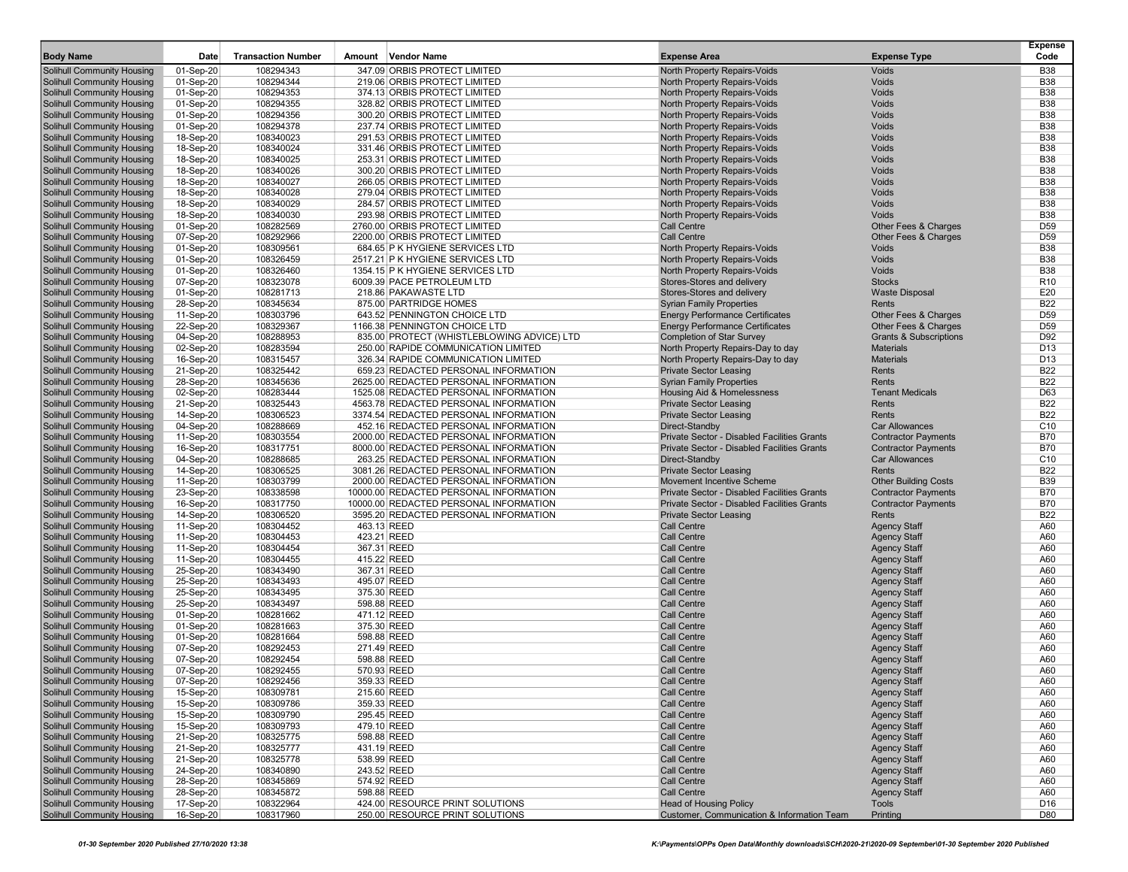|                                                                        |                        |                           |        |                                                                                |                                                                   |                                            | <b>Expense</b>                |
|------------------------------------------------------------------------|------------------------|---------------------------|--------|--------------------------------------------------------------------------------|-------------------------------------------------------------------|--------------------------------------------|-------------------------------|
| <b>Body Name</b>                                                       | Date                   | <b>Transaction Number</b> | Amount | <b>Vendor Name</b>                                                             | <b>Expense Area</b>                                               | <b>Expense Type</b>                        | Code                          |
| <b>Solihull Community Housing</b>                                      | 01-Sep-20              | 108294343                 |        | 347.09 ORBIS PROTECT LIMITED                                                   | North Property Repairs-Voids                                      | Voids                                      | <b>B38</b>                    |
| <b>Solihull Community Housing</b>                                      | 01-Sep-20              | 108294344                 |        | 219.06 ORBIS PROTECT LIMITED                                                   | North Property Repairs-Voids                                      | Voids                                      | <b>B38</b>                    |
| <b>Solihull Community Housing</b>                                      | 01-Sep-20              | 108294353                 |        | 374.13 ORBIS PROTECT LIMITED                                                   | North Property Repairs-Voids                                      | Voids                                      | <b>B38</b>                    |
| <b>Solihull Community Housing</b>                                      | 01-Sep-20              | 108294355                 |        | 328.82 ORBIS PROTECT LIMITED                                                   | North Property Repairs-Voids                                      | Voids                                      | <b>B38</b>                    |
| <b>Solihull Community Housing</b>                                      | 01-Sep-20              | 108294356                 |        | 300.20 ORBIS PROTECT LIMITED                                                   | North Property Repairs-Voids                                      | Voids                                      | <b>B38</b>                    |
| <b>Solihull Community Housing</b>                                      | 01-Sep-20              | 108294378                 |        | 237.74 ORBIS PROTECT LIMITED                                                   | North Property Repairs-Voids                                      | Voids                                      | <b>B38</b>                    |
| <b>Solihull Community Housing</b>                                      | 18-Sep-20              | 108340023                 |        | 291.53 ORBIS PROTECT LIMITED                                                   | North Property Repairs-Voids                                      | Voids                                      | <b>B38</b>                    |
| <b>Solihull Community Housing</b>                                      | 18-Sep-20              | 108340024                 |        | 331.46 ORBIS PROTECT LIMITED                                                   | North Property Repairs-Voids                                      | Voids                                      | <b>B38</b>                    |
| <b>Solihull Community Housing</b>                                      | 18-Sep-20              | 108340025                 |        | 253.31 ORBIS PROTECT LIMITED                                                   | North Property Repairs-Voids                                      | Voids                                      | <b>B38</b><br><b>B38</b>      |
| <b>Solihull Community Housing</b><br><b>Solihull Community Housing</b> | 18-Sep-20<br>18-Sep-20 | 108340026<br>108340027    |        | 300.20 ORBIS PROTECT LIMITED<br>266.05 ORBIS PROTECT LIMITED                   | North Property Repairs-Voids<br>North Property Repairs-Voids      | Voids<br>Voids                             | <b>B38</b>                    |
| <b>Solihull Community Housing</b>                                      | 18-Sep-20              | 108340028                 |        | 279.04 ORBIS PROTECT LIMITED                                                   | North Property Repairs-Voids                                      | Voids                                      | <b>B38</b>                    |
| <b>Solihull Community Housing</b>                                      | 18-Sep-20              | 108340029                 |        | 284.57 ORBIS PROTECT LIMITED                                                   | North Property Repairs-Voids                                      | Voids                                      | <b>B38</b>                    |
| <b>Solihull Community Housing</b>                                      | 18-Sep-20              | 108340030                 |        | 293.98 ORBIS PROTECT LIMITED                                                   | North Property Repairs-Voids                                      | Voids                                      | <b>B38</b>                    |
| <b>Solihull Community Housing</b>                                      | 01-Sep-20              | 108282569                 |        | 2760.00 ORBIS PROTECT LIMITED                                                  | Call Centre                                                       | Other Fees & Charges                       | D <sub>59</sub>               |
| <b>Solihull Community Housing</b>                                      | 07-Sep-20              | 108292966                 |        | 2200.00 ORBIS PROTECT LIMITED                                                  | Call Centre                                                       | Other Fees & Charges                       | D <sub>59</sub>               |
| <b>Solihull Community Housing</b>                                      | 01-Sep-20              | 108309561                 |        | 684.65 P K HYGIENE SERVICES LTD                                                | North Property Repairs-Voids                                      | Voids                                      | <b>B38</b>                    |
| <b>Solihull Community Housing</b>                                      | 01-Sep-20              | 108326459                 |        | 2517.21 P K HYGIENE SERVICES LTD                                               | North Property Repairs-Voids                                      | Voids                                      | <b>B38</b>                    |
| <b>Solihull Community Housing</b>                                      | 01-Sep-20              | 108326460                 |        | 1354.15 P K HYGIENE SERVICES LTD                                               | North Property Repairs-Voids                                      | Voids                                      | <b>B38</b>                    |
| <b>Solihull Community Housing</b>                                      | 07-Sep-20              | 108323078                 |        | 6009.39 PACE PETROLEUM LTD                                                     | Stores-Stores and delivery                                        | <b>Stocks</b>                              | R <sub>10</sub>               |
| <b>Solihull Community Housing</b>                                      | 01-Sep-20              | 108281713                 |        | 218.86 PAKAWASTE LTD                                                           | Stores-Stores and delivery                                        | <b>Waste Disposal</b>                      | E20                           |
| <b>Solihull Community Housing</b>                                      | 28-Sep-20              | 108345634                 |        | 875.00 PARTRIDGE HOMES                                                         | <b>Syrian Family Properties</b>                                   | Rents                                      | <b>B22</b>                    |
| <b>Solihull Community Housing</b>                                      | 11-Sep-20              | 108303796                 |        | 643.52 PENNINGTON CHOICE LTD                                                   | <b>Energy Performance Certificates</b>                            | Other Fees & Charges                       | D <sub>59</sub>               |
| <b>Solihull Community Housing</b>                                      | 22-Sep-20              | 108329367                 |        | 1166.38 PENNINGTON CHOICE LTD                                                  | <b>Energy Performance Certificates</b>                            | Other Fees & Charges                       | D <sub>59</sub>               |
| <b>Solihull Community Housing</b>                                      | 04-Sep-20              | 108288953                 |        | 835.00 PROTECT (WHISTLEBLOWING ADVICE) LTD                                     | <b>Completion of Star Survey</b>                                  | <b>Grants &amp; Subscriptions</b>          | D92                           |
| <b>Solihull Community Housing</b>                                      | 02-Sep-20              | 108283594                 |        | 250.00 RAPIDE COMMUNICATION LIMITED                                            | North Property Repairs-Day to day                                 | <b>Materials</b>                           | D <sub>13</sub>               |
| <b>Solihull Community Housing</b>                                      | 16-Sep-20              | 108315457                 |        | 326.34 RAPIDE COMMUNICATION LIMITED                                            | North Property Repairs-Day to day                                 | <b>Materials</b>                           | D <sub>13</sub>               |
| <b>Solihull Community Housing</b>                                      | 21-Sep-20              | 108325442                 |        | 659.23 REDACTED PERSONAL INFORMATION                                           | <b>Private Sector Leasing</b>                                     | Rents                                      | <b>B22</b>                    |
| <b>Solihull Community Housing</b>                                      | 28-Sep-20              | 108345636                 |        | 2625.00 REDACTED PERSONAL INFORMATION                                          | <b>Syrian Family Properties</b>                                   | Rents                                      | <b>B22</b>                    |
| <b>Solihull Community Housing</b>                                      | 02-Sep-20              | 108283444                 |        | 1525.08 REDACTED PERSONAL INFORMATION                                          | Housing Aid & Homelessness                                        | <b>Tenant Medicals</b>                     | D63                           |
| <b>Solihull Community Housing</b>                                      | 21-Sep-20              | 108325443                 |        | 4563.78 REDACTED PERSONAL INFORMATION                                          | <b>Private Sector Leasing</b>                                     | Rents                                      | <b>B22</b>                    |
| <b>Solihull Community Housing</b>                                      | 14-Sep-20              | 108306523                 |        | 3374.54 REDACTED PERSONAL INFORMATION                                          | <b>Private Sector Leasing</b>                                     | Rents                                      | <b>B22</b>                    |
| <b>Solihull Community Housing</b>                                      | 04-Sep-20              | 108288669                 |        | 452.16 REDACTED PERSONAL INFORMATION                                           | Direct-Standby                                                    | <b>Car Allowances</b>                      | C <sub>10</sub>               |
| <b>Solihull Community Housing</b>                                      | 11-Sep-20              | 108303554                 |        | 2000.00 REDACTED PERSONAL INFORMATION                                          | <b>Private Sector - Disabled Facilities Grants</b>                | <b>Contractor Payments</b>                 | <b>B70</b>                    |
| <b>Solihull Community Housing</b>                                      | 16-Sep-20              | 108317751                 |        | 8000.00 REDACTED PERSONAL INFORMATION                                          | Private Sector - Disabled Facilities Grants                       | <b>Contractor Payments</b>                 | <b>B70</b>                    |
| <b>Solihull Community Housing</b>                                      | 04-Sep-20              | 108288685                 |        | 263.25 REDACTED PERSONAL INFORMATION                                           | Direct-Standby                                                    | <b>Car Allowances</b>                      | C <sub>10</sub><br><b>B22</b> |
| <b>Solihull Community Housing</b><br><b>Solihull Community Housing</b> | 14-Sep-20<br>11-Sep-20 | 108306525<br>108303799    |        | 3081.26 REDACTED PERSONAL INFORMATION<br>2000.00 REDACTED PERSONAL INFORMATION | <b>Private Sector Leasing</b><br><b>Movement Incentive Scheme</b> | Rents<br><b>Other Building Costs</b>       | <b>B39</b>                    |
| <b>Solihull Community Housing</b>                                      | 23-Sep-20              | 108338598                 |        | 10000.00 REDACTED PERSONAL INFORMATION                                         | <b>Private Sector - Disabled Facilities Grants</b>                | <b>Contractor Payments</b>                 | <b>B70</b>                    |
| <b>Solihull Community Housing</b>                                      | 16-Sep-20              | 108317750                 |        | 10000.00 REDACTED PERSONAL INFORMATION                                         | <b>Private Sector - Disabled Facilities Grants</b>                | <b>Contractor Payments</b>                 | <b>B70</b>                    |
| <b>Solihull Community Housing</b>                                      | 14-Sep-20              | 108306520                 |        | 3595.20 REDACTED PERSONAL INFORMATION                                          | <b>Private Sector Leasing</b>                                     | Rents                                      | <b>B22</b>                    |
| <b>Solihull Community Housing</b>                                      | 11-Sep-20              | 108304452                 |        | 463.13 REED                                                                    | Call Centre                                                       | <b>Agency Staff</b>                        | A60                           |
| <b>Solihull Community Housing</b>                                      | 11-Sep-20              | 108304453                 |        | 423.21 REED                                                                    | <b>Call Centre</b>                                                | <b>Agency Staff</b>                        | A60                           |
| <b>Solihull Community Housing</b>                                      | 11-Sep-20              | 108304454                 |        | 367.31 REED                                                                    | <b>Call Centre</b>                                                | <b>Agency Staff</b>                        | A60                           |
| <b>Solihull Community Housing</b>                                      | 11-Sep-20              | 108304455                 |        | 415.22 REED                                                                    | <b>Call Centre</b>                                                | <b>Agency Staff</b>                        | A60                           |
| <b>Solihull Community Housing</b>                                      | 25-Sep-20              | 108343490                 |        | 367.31 REED                                                                    | <b>Call Centre</b>                                                | <b>Agency Staff</b>                        | A60                           |
| <b>Solihull Community Housing</b>                                      | 25-Sep-20              | 108343493                 |        | 495.07 REED                                                                    | <b>Call Centre</b>                                                | <b>Agency Staff</b>                        | A60                           |
| <b>Solihull Community Housing</b>                                      | 25-Sep-20              | 108343495                 |        | 375.30 REED                                                                    | <b>Call Centre</b>                                                | <b>Agency Staff</b>                        | A60                           |
| <b>Solihull Community Housing</b>                                      | 25-Sep-20              | 108343497                 |        | 598.88 REED                                                                    | <b>Call Centre</b>                                                | <b>Agency Staff</b>                        | A60                           |
| <b>Solihull Community Housing</b>                                      | 01-Sep-20              | 108281662                 |        | 471.12 REED                                                                    | <b>Call Centre</b>                                                | <b>Agency Staff</b>                        | A60                           |
| <b>Solihull Community Housing</b>                                      | 01-Sep-20              | 108281663                 |        | 375.30 REED                                                                    | <b>Call Centre</b>                                                | <b>Agency Staff</b>                        | A60                           |
| <b>Solihull Community Housing</b>                                      | 01-Sep-20              | 108281664                 |        | 598.88 REED                                                                    | <b>Call Centre</b>                                                | <b>Agency Staff</b>                        | A60                           |
| <b>Solihull Community Housing</b>                                      | 07-Sep-20              | 108292453                 |        | 271.49 REED                                                                    | <b>Call Centre</b>                                                | <b>Agency Staff</b>                        | A60                           |
| <b>Solihull Community Housing</b>                                      | 07-Sep-20              | 108292454                 |        | 598.88 REED                                                                    | Call Centre                                                       | <b>Agency Staff</b>                        | A60                           |
| <b>Solihull Community Housing</b>                                      | 07-Sep-20              | 108292455                 |        | 570.93 REED                                                                    | <b>Call Centre</b>                                                | <b>Agency Staff</b>                        | A60                           |
| Solihull Community Housing                                             | 07-Sep-20              | 108292456                 |        | 359.33 REED                                                                    | <b>Call Centre</b>                                                | <b>Agency Staff</b>                        | A60                           |
| <b>Solihull Community Housing</b>                                      | 15-Sep-20              | 108309781                 |        | 215.60 REED                                                                    | Call Centre                                                       | <b>Agency Staff</b>                        | A60                           |
| <b>Solihull Community Housing</b>                                      | 15-Sep-20              | 108309786                 |        | 359.33 REED                                                                    | <b>Call Centre</b>                                                | <b>Agency Staff</b>                        | A60                           |
| <b>Solihull Community Housing</b>                                      | 15-Sep-20              | 108309790                 |        | 295.45 REED                                                                    | Call Centre                                                       | <b>Agency Staff</b>                        | A60                           |
| <b>Solihull Community Housing</b>                                      | 15-Sep-20              | 108309793                 |        | 479.10 REED                                                                    | Call Centre                                                       | <b>Agency Staff</b>                        | A60                           |
| <b>Solihull Community Housing</b>                                      | 21-Sep-20              | 108325775                 |        | 598.88 REED                                                                    | Call Centre                                                       | <b>Agency Staff</b><br><b>Agency Staff</b> | A60                           |
| <b>Solihull Community Housing</b>                                      | 21-Sep-20              | 108325777                 |        | 431.19 REED                                                                    | Call Centre                                                       |                                            | A60                           |
| <b>Solihull Community Housing</b><br><b>Solihull Community Housing</b> | 21-Sep-20              | 108325778                 |        | 538.99 REED                                                                    | Call Centre<br><b>Call Centre</b>                                 | <b>Agency Staff</b>                        | A60                           |
| <b>Solihull Community Housing</b>                                      | 24-Sep-20<br>28-Sep-20 | 108340890<br>108345869    |        | 243.52 REED<br>574.92 REED                                                     | Call Centre                                                       | <b>Agency Staff</b><br><b>Agency Staff</b> | A60<br>A60                    |
| <b>Solihull Community Housing</b>                                      | 28-Sep-20              | 108345872                 |        | 598.88 REED                                                                    | <b>Call Centre</b>                                                | <b>Agency Staff</b>                        | A60                           |
| <b>Solihull Community Housing</b>                                      | 17-Sep-20              | 108322964                 |        | 424.00 RESOURCE PRINT SOLUTIONS                                                | <b>Head of Housing Policy</b>                                     | <b>Tools</b>                               | D16                           |
| <b>Solihull Community Housing</b>                                      | 16-Sep-20              | 108317960                 |        | 250.00 RESOURCE PRINT SOLUTIONS                                                | Customer, Communication & Information Team                        | Printing                                   | D80                           |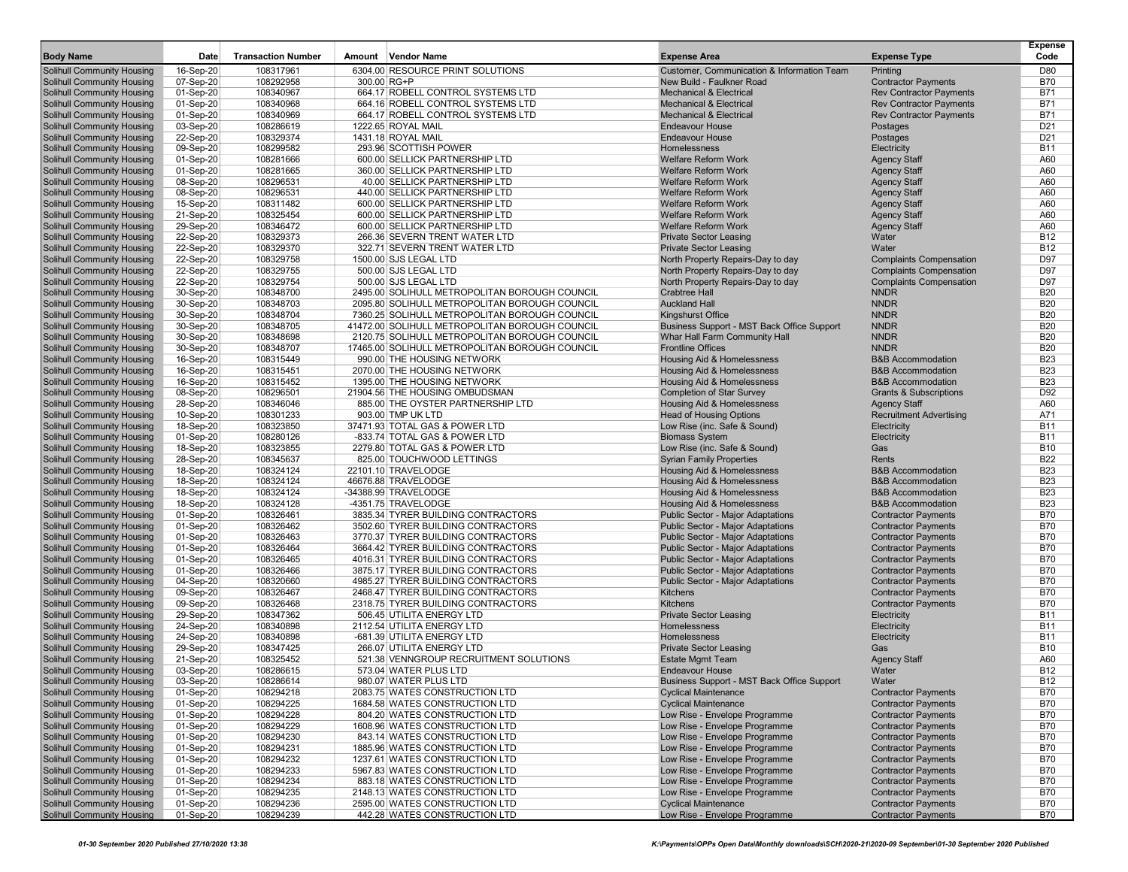| <b>Body Name</b>                                                       | Date                   | <b>Transaction Number</b> | Amount Vendor Name                                                       | <b>Expense Area</b>                                                    | <b>Expense Type</b>                                      | <b>Expense</b><br>Code        |
|------------------------------------------------------------------------|------------------------|---------------------------|--------------------------------------------------------------------------|------------------------------------------------------------------------|----------------------------------------------------------|-------------------------------|
| <b>Solihull Community Housing</b>                                      | 16-Sep-20              | 108317961                 | 6304.00 RESOURCE PRINT SOLUTIONS                                         | Customer, Communication & Information Team                             | Printing                                                 | D80                           |
| <b>Solihull Community Housing</b>                                      | 07-Sep-20              | 108292958                 | 300.00 RG+P                                                              | New Build - Faulkner Road                                              | <b>Contractor Payments</b>                               | <b>B70</b>                    |
| <b>Solihull Community Housing</b>                                      | 01-Sep-20              | 108340967                 | 664.17 ROBELL CONTROL SYSTEMS LTD                                        | <b>Mechanical &amp; Electrical</b>                                     | <b>Rev Contractor Payments</b>                           | <b>B71</b>                    |
| <b>Solihull Community Housing</b>                                      | 01-Sep-20              | 108340968                 | 664.16 ROBELL CONTROL SYSTEMS LTD                                        | <b>Mechanical &amp; Electrical</b>                                     | <b>Rev Contractor Payments</b>                           | <b>B71</b>                    |
| <b>Solihull Community Housing</b>                                      | 01-Sep-20              | 108340969                 | 664.17 ROBELL CONTROL SYSTEMS LTD                                        | <b>Mechanical &amp; Electrical</b>                                     | <b>Rev Contractor Payments</b>                           | <b>B71</b>                    |
| <b>Solihull Community Housing</b>                                      | 03-Sep-20              | 108286619                 | 1222.65 ROYAL MAIL                                                       | <b>Endeavour House</b>                                                 | Postages                                                 | D <sub>21</sub>               |
| <b>Solihull Community Housing</b>                                      | 22-Sep-20              | 108329374                 | 1431.18 ROYAL MAIL                                                       | <b>Endeavour House</b>                                                 | Postages                                                 | D <sub>21</sub><br><b>B11</b> |
| <b>Solihull Community Housing</b>                                      | 09-Sep-20              | 108299582<br>108281666    | 293.96 SCOTTISH POWER<br>600.00 SELLICK PARTNERSHIP LTD                  | Homelessness<br><b>Welfare Reform Work</b>                             | Electricity                                              | A60                           |
| <b>Solihull Community Housing</b>                                      | 01-Sep-20              |                           |                                                                          | <b>Welfare Reform Work</b>                                             | <b>Agency Staff</b>                                      | A60                           |
| <b>Solihull Community Housing</b><br>Solihull Community Housing        | 01-Sep-20<br>08-Sep-20 | 108281665<br>108296531    | 360.00 SELLICK PARTNERSHIP LTD<br>40.00 SELLICK PARTNERSHIP LTD          | <b>Welfare Reform Work</b>                                             | <b>Agency Staff</b><br><b>Agency Staff</b>               | A60                           |
| <b>Solihull Community Housing</b>                                      | 08-Sep-20              | 108296531                 | 440.00 SELLICK PARTNERSHIP LTD                                           | <b>Welfare Reform Work</b>                                             | <b>Agency Staff</b>                                      | A60                           |
| <b>Solihull Community Housing</b>                                      | 15-Sep-20              | 108311482                 | 600.00 SELLICK PARTNERSHIP LTD                                           | Welfare Reform Work                                                    | <b>Agency Staff</b>                                      | A60                           |
| <b>Solihull Community Housing</b>                                      | 21-Sep-20              | 108325454                 | 600.00 SELLICK PARTNERSHIP LTD                                           | <b>Welfare Reform Work</b>                                             | <b>Agency Staff</b>                                      | A60                           |
| <b>Solihull Community Housing</b>                                      | 29-Sep-20              | 108346472                 | 600.00 SELLICK PARTNERSHIP LTD                                           | <b>Welfare Reform Work</b>                                             | <b>Agency Staff</b>                                      | A60                           |
| <b>Solihull Community Housing</b>                                      | 22-Sep-20              | 108329373                 | 266.36 SEVERN TRENT WATER LTD                                            | <b>Private Sector Leasing</b>                                          | Water                                                    | <b>B12</b>                    |
| <b>Solihull Community Housing</b>                                      | 22-Sep-20              | 108329370                 | 322.71 SEVERN TRENT WATER LTD                                            | <b>Private Sector Leasing</b>                                          | Water                                                    | <b>B12</b>                    |
| <b>Solihull Community Housing</b>                                      | 22-Sep-20              | 108329758                 | 1500.00 SJS LEGAL LTD                                                    | North Property Repairs-Day to day                                      | <b>Complaints Compensation</b>                           | D97                           |
| <b>Solihull Community Housing</b>                                      | 22-Sep-20              | 108329755                 | 500.00 SJS LEGAL LTD                                                     | North Property Repairs-Day to day                                      | <b>Complaints Compensation</b>                           | D97                           |
| <b>Solihull Community Housing</b>                                      | 22-Sep-20              | 108329754                 | 500.00 SJS LEGAL LTD                                                     | North Property Repairs-Day to day                                      | <b>Complaints Compensation</b>                           | D97                           |
| <b>Solihull Community Housing</b>                                      | 30-Sep-20              | 108348700                 | 2495.00 SOLIHULL METROPOLITAN BOROUGH COUNCIL                            | <b>Crabtree Hall</b>                                                   | <b>NNDR</b>                                              | <b>B20</b>                    |
| <b>Solihull Community Housing</b>                                      | 30-Sep-20              | 108348703                 | 2095.80 SOLIHULL METROPOLITAN BOROUGH COUNCIL                            | <b>Auckland Hall</b>                                                   | <b>NNDR</b>                                              | <b>B20</b>                    |
| <b>Solihull Community Housing</b>                                      | 30-Sep-20              | 108348704                 | 7360.25 SOLIHULL METROPOLITAN BOROUGH COUNCIL                            | Kingshurst Office                                                      | <b>NNDR</b>                                              | <b>B20</b>                    |
| <b>Solihull Community Housing</b>                                      | 30-Sep-20              | 108348705                 | 41472.00 SOLIHULL METROPOLITAN BOROUGH COUNCIL                           | Business Support - MST Back Office Support                             | <b>NNDR</b>                                              | <b>B20</b>                    |
| <b>Solihull Community Housing</b>                                      | 30-Sep-20              | 108348698                 | 2120.75 SOLIHULL METROPOLITAN BOROUGH COUNCIL                            | Whar Hall Farm Community Hall                                          | <b>NNDR</b>                                              | <b>B20</b>                    |
| <b>Solihull Community Housing</b>                                      | 30-Sep-20              | 108348707                 | 17465.00 SOLIHULL METROPOLITAN BOROUGH COUNCIL                           | <b>Frontline Offices</b>                                               | <b>NNDR</b>                                              | <b>B20</b>                    |
| <b>Solihull Community Housing</b>                                      | 16-Sep-20              | 108315449                 | 990.00 THE HOUSING NETWORK                                               | Housing Aid & Homelessness                                             | <b>B&amp;B Accommodation</b>                             | <b>B23</b>                    |
| <b>Solihull Community Housing</b>                                      | 16-Sep-20              | 108315451                 | 2070.00 THE HOUSING NETWORK                                              | Housing Aid & Homelessness                                             | <b>B&amp;B Accommodation</b>                             | <b>B23</b>                    |
| <b>Solihull Community Housing</b>                                      | 16-Sep-20              | 108315452                 | 1395.00 THE HOUSING NETWORK                                              | Housing Aid & Homelessness                                             | <b>B&amp;B Accommodation</b>                             | <b>B23</b>                    |
| <b>Solihull Community Housing</b>                                      | 08-Sep-20              | 108296501                 | 21904.56 THE HOUSING OMBUDSMAN                                           | <b>Completion of Star Survey</b>                                       | <b>Grants &amp; Subscriptions</b>                        | D92                           |
| Solihull Community Housing                                             | 28-Sep-20              | 108346046                 | 885.00 THE OYSTER PARTNERSHIP LTD                                        | Housing Aid & Homelessness                                             | <b>Agency Staff</b>                                      | A60                           |
| <b>Solihull Community Housing</b>                                      | 10-Sep-20              | 108301233                 | 903.00 TMP UK LTD                                                        | <b>Head of Housing Options</b>                                         | <b>Recruitment Advertising</b>                           | A71                           |
| <b>Solihull Community Housing</b>                                      | 18-Sep-20              | 108323850                 | 37471.93 TOTAL GAS & POWER LTD                                           | Low Rise (inc. Safe & Sound)                                           | Electricity                                              | <b>B11</b>                    |
| <b>Solihull Community Housing</b>                                      | 01-Sep-20              | 108280126                 | -833.74 TOTAL GAS & POWER LTD                                            | <b>Biomass System</b>                                                  | Electricity                                              | <b>B11</b>                    |
| <b>Solihull Community Housing</b>                                      | 18-Sep-20              | 108323855                 | 2279.80 TOTAL GAS & POWER LTD                                            | Low Rise (inc. Safe & Sound)                                           | Gas                                                      | <b>B10</b>                    |
| <b>Solihull Community Housing</b>                                      | 28-Sep-20              | 108345637                 | 825.00 TOUCHWOOD LETTINGS                                                | <b>Syrian Family Properties</b>                                        | Rents                                                    | <b>B22</b>                    |
| <b>Solihull Community Housing</b>                                      | 18-Sep-20              | 108324124                 | 22101.10 TRAVELODGE                                                      | Housing Aid & Homelessness                                             | <b>B&amp;B Accommodation</b>                             | <b>B23</b>                    |
| <b>Solihull Community Housing</b>                                      | 18-Sep-20              | 108324124                 | 46676.88 TRAVELODGE                                                      | Housing Aid & Homelessness                                             | <b>B&amp;B Accommodation</b>                             | <b>B23</b>                    |
| <b>Solihull Community Housing</b>                                      | 18-Sep-20              | 108324124                 | -34388.99 TRAVELODGE                                                     | Housing Aid & Homelessness                                             | <b>B&amp;B Accommodation</b>                             | <b>B23</b>                    |
| <b>Solihull Community Housing</b>                                      | 18-Sep-20              | 108324128                 | -4351.75 TRAVELODGE                                                      | Housing Aid & Homelessness                                             | <b>B&amp;B Accommodation</b>                             | <b>B23</b>                    |
| <b>Solihull Community Housing</b>                                      | $01-Sep-20$            | 108326461                 | 3835.34 TYRER BUILDING CONTRACTORS                                       | <b>Public Sector - Major Adaptations</b>                               | <b>Contractor Payments</b>                               | <b>B70</b><br><b>B70</b>      |
| <b>Solihull Community Housing</b>                                      | 01-Sep-20              | 108326462<br>108326463    | 3502.60 TYRER BUILDING CONTRACTORS<br>3770.37 TYRER BUILDING CONTRACTORS | Public Sector - Major Adaptations                                      | <b>Contractor Payments</b>                               | <b>B70</b>                    |
| <b>Solihull Community Housing</b><br><b>Solihull Community Housing</b> | 01-Sep-20              | 108326464                 | 3664.42 TYRER BUILDING CONTRACTORS                                       | Public Sector - Major Adaptations<br>Public Sector - Major Adaptations | <b>Contractor Payments</b><br><b>Contractor Payments</b> | <b>B70</b>                    |
| <b>Solihull Community Housing</b>                                      | 01-Sep-20<br>01-Sep-20 | 108326465                 | 4016.31 TYRER BUILDING CONTRACTORS                                       | Public Sector - Major Adaptations                                      | <b>Contractor Payments</b>                               | <b>B70</b>                    |
| <b>Solihull Community Housing</b>                                      | 01-Sep-20              | 108326466                 | 3875.17 TYRER BUILDING CONTRACTORS                                       | <b>Public Sector - Major Adaptations</b>                               | <b>Contractor Payments</b>                               | <b>B70</b>                    |
| <b>Solihull Community Housing</b>                                      | 04-Sep-20              | 108320660                 | 4985.27 TYRER BUILDING CONTRACTORS                                       | Public Sector - Major Adaptations                                      | <b>Contractor Payments</b>                               | <b>B70</b>                    |
| <b>Solihull Community Housing</b>                                      | 09-Sep-20              | 108326467                 | 2468.47 TYRER BUILDING CONTRACTORS                                       | <b>Kitchens</b>                                                        | <b>Contractor Payments</b>                               | <b>B70</b>                    |
| <b>Solihull Community Housing</b>                                      | 09-Sep-20              | 108326468                 | 2318.75 TYRER BUILDING CONTRACTORS                                       | <b>Kitchens</b>                                                        | <b>Contractor Payments</b>                               | <b>B70</b>                    |
| <b>Solihull Community Housing</b>                                      | 29-Sep-20              | 108347362                 | 506.45 UTILITA ENERGY LTD                                                | <b>Private Sector Leasing</b>                                          | Electricity                                              | <b>B11</b>                    |
| <b>Solihull Community Housing</b>                                      | 24-Sep-20              | 108340898                 | 2112.54 UTILITA ENERGY LTD                                               | Homelessness                                                           | Electricity                                              | <b>B11</b>                    |
| <b>Solihull Community Housing</b>                                      | 24-Sep-20              | 108340898                 | -681.39 UTILITA ENERGY LTD                                               | Homelessness                                                           | Electricity                                              | <b>B11</b>                    |
| <b>Solihull Community Housing</b>                                      | 29-Sep-20              | 108347425                 | 266.07 UTILITA ENERGY LTD                                                | <b>Private Sector Leasing</b>                                          | Gas                                                      | <b>B10</b>                    |
| <b>Solihull Community Housing</b>                                      | 21-Sep-20              | 108325452                 | 521.38 VENNGROUP RECRUITMENT SOLUTIONS                                   | <b>Estate Mgmt Team</b>                                                | <b>Agency Staff</b>                                      | A60                           |
| <b>Solihull Community Housing</b>                                      | 03-Sep-20              | 108286615                 | 573.04 WATER PLUS LTD                                                    | <b>Endeavour House</b>                                                 | Water                                                    | <b>B12</b>                    |
| <b>Solihull Community Housing</b>                                      | 03-Sep-20              | 108286614                 | 980.07 WATER PLUS LTD                                                    | Business Support - MST Back Office Support                             | Water                                                    | B12                           |
| <b>Solihull Community Housing</b>                                      | 01-Sep-20              | 108294218                 | 2083.75 WATES CONSTRUCTION LTD                                           | <b>Cyclical Maintenance</b>                                            | <b>Contractor Payments</b>                               | <b>B70</b>                    |
| <b>Solihull Community Housing</b>                                      | 01-Sep-20              | 108294225                 | 1684.58 WATES CONSTRUCTION LTD                                           | <b>Cyclical Maintenance</b>                                            | <b>Contractor Payments</b>                               | <b>B70</b>                    |
| <b>Solihull Community Housing</b>                                      | 01-Sep-20              | 108294228                 | 804.20 WATES CONSTRUCTION LTD                                            | Low Rise - Envelope Programme                                          | <b>Contractor Payments</b>                               | <b>B70</b>                    |
| <b>Solihull Community Housing</b>                                      | 01-Sep-20              | 108294229                 | 1608.96 WATES CONSTRUCTION LTD                                           | Low Rise - Envelope Programme                                          | <b>Contractor Payments</b>                               | <b>B70</b>                    |
| Solihull Community Housing                                             | 01-Sep-20              | 108294230                 | 843.14 WATES CONSTRUCTION LTD                                            | Low Rise - Envelope Programme                                          | <b>Contractor Payments</b>                               | <b>B70</b>                    |
| Solihull Community Housing                                             | 01-Sep-20              | 108294231                 | 1885.96 WATES CONSTRUCTION LTD                                           | Low Rise - Envelope Programme                                          | <b>Contractor Payments</b>                               | <b>B70</b>                    |
| Solihull Community Housing                                             | 01-Sep-20              | 108294232                 | 1237.61 WATES CONSTRUCTION LTD                                           | Low Rise - Envelope Programme                                          | <b>Contractor Payments</b>                               | <b>B70</b>                    |
| <b>Solihull Community Housing</b>                                      | 01-Sep-20              | 108294233                 | 5967.83 WATES CONSTRUCTION LTD                                           | Low Rise - Envelope Programme                                          | <b>Contractor Payments</b>                               | <b>B70</b>                    |
| <b>Solihull Community Housing</b>                                      | 01-Sep-20              | 108294234                 | 883.18 WATES CONSTRUCTION LTD                                            | Low Rise - Envelope Programme                                          | <b>Contractor Payments</b>                               | <b>B70</b>                    |
| Solihull Community Housing                                             | 01-Sep-20              | 108294235                 | 2148.13 WATES CONSTRUCTION LTD                                           | Low Rise - Envelope Programme                                          | <b>Contractor Payments</b>                               | <b>B70</b>                    |
| Solihull Community Housing                                             | 01-Sep-20              | 108294236                 | 2595.00 WATES CONSTRUCTION LTD                                           | <b>Cyclical Maintenance</b>                                            | <b>Contractor Payments</b>                               | <b>B70</b>                    |
| <b>Solihull Community Housing</b>                                      | 01-Sep-20              | 108294239                 | 442.28 WATES CONSTRUCTION LTD                                            | Low Rise - Envelope Programme                                          | <b>Contractor Payments</b>                               | <b>B70</b>                    |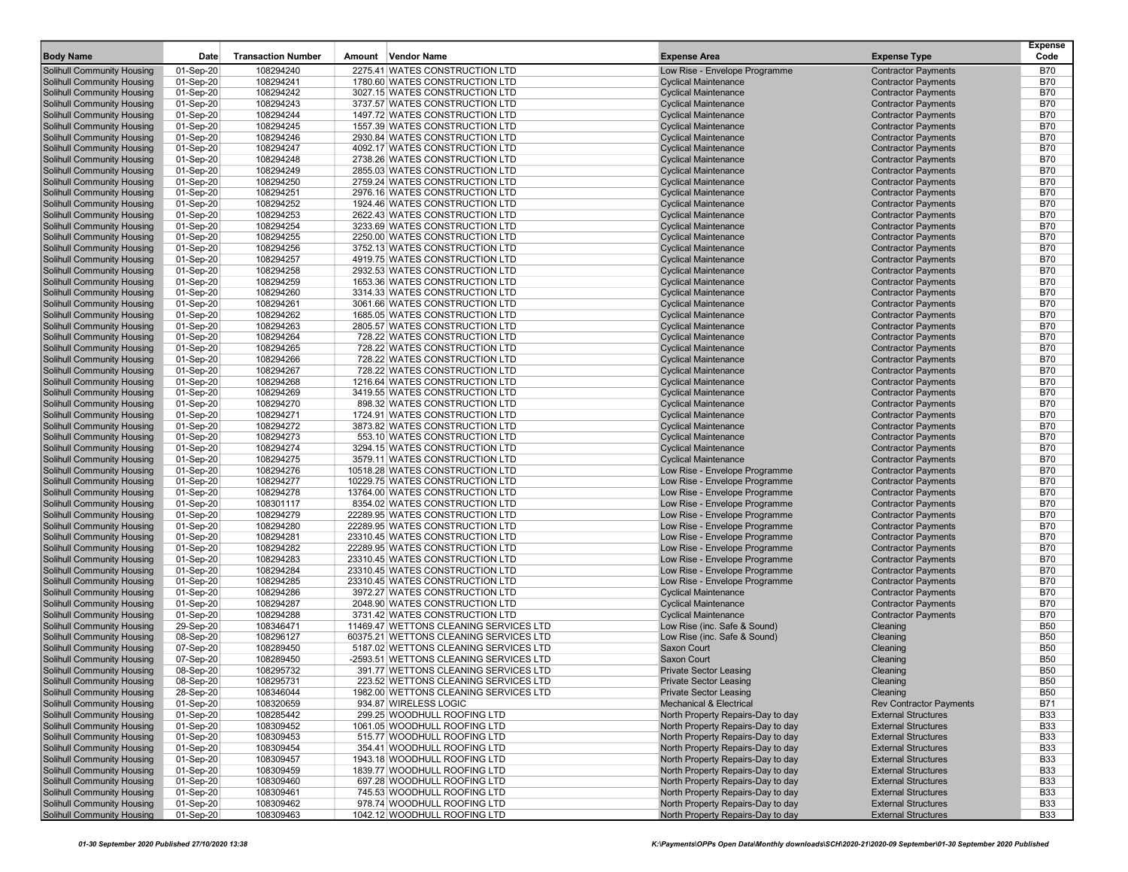|                                                                 |                        |                           |                                                                    |                                                                |                                                          | Expense                  |
|-----------------------------------------------------------------|------------------------|---------------------------|--------------------------------------------------------------------|----------------------------------------------------------------|----------------------------------------------------------|--------------------------|
| <b>Body Name</b>                                                | Date                   | <b>Transaction Number</b> | Amount Vendor Name                                                 | <b>Expense Area</b>                                            | <b>Expense Type</b>                                      | Code                     |
| Solihull Community Housing                                      | 01-Sep-20              | 108294240                 | 2275.41 WATES CONSTRUCTION LTD                                     | Low Rise - Envelope Programme                                  | <b>Contractor Payments</b>                               | <b>B70</b>               |
| <b>Solihull Community Housing</b>                               | 01-Sep-20              | 108294241                 | 1780.60 WATES CONSTRUCTION LTD                                     | <b>Cyclical Maintenance</b>                                    | <b>Contractor Payments</b>                               | <b>B70</b>               |
| Solihull Community Housing                                      | 01-Sep-20              | 108294242                 | 3027.15 WATES CONSTRUCTION LTD                                     | <b>Cyclical Maintenance</b>                                    | <b>Contractor Payments</b>                               | <b>B70</b>               |
| <b>Solihull Community Housing</b>                               | 01-Sep-20              | 108294243                 | 3737.57 WATES CONSTRUCTION LTD<br>1497.72 WATES CONSTRUCTION LTD   | <b>Cyclical Maintenance</b>                                    | <b>Contractor Payments</b>                               | <b>B70</b>               |
| Solihull Community Housing                                      | 01-Sep-20              | 108294244<br>108294245    |                                                                    | <b>Cyclical Maintenance</b>                                    | <b>Contractor Payments</b>                               | <b>B70</b><br><b>B70</b> |
| Solihull Community Housing<br>Solihull Community Housing        | 01-Sep-20<br>01-Sep-20 | 108294246                 | 1557.39 WATES CONSTRUCTION LTD<br>2930.84 WATES CONSTRUCTION LTD   | <b>Cyclical Maintenance</b><br><b>Cyclical Maintenance</b>     | <b>Contractor Payments</b><br><b>Contractor Payments</b> | <b>B70</b>               |
| Solihull Community Housing                                      | 01-Sep-20              | 108294247                 | 4092.17 WATES CONSTRUCTION LTD                                     | <b>Cyclical Maintenance</b>                                    | <b>Contractor Payments</b>                               | <b>B70</b>               |
| Solihull Community Housing                                      | 01-Sep-20              | 108294248                 | 2738.26 WATES CONSTRUCTION LTD                                     | <b>Cyclical Maintenance</b>                                    | <b>Contractor Payments</b>                               | <b>B70</b>               |
| <b>Solihull Community Housing</b>                               | 01-Sep-20              | 108294249                 | 2855.03 WATES CONSTRUCTION LTD                                     | <b>Cyclical Maintenance</b>                                    | <b>Contractor Payments</b>                               | <b>B70</b>               |
| Solihull Community Housing                                      | 01-Sep-20              | 108294250                 | 2759.24 WATES CONSTRUCTION LTD                                     | <b>Cyclical Maintenance</b>                                    | <b>Contractor Payments</b>                               | <b>B70</b>               |
| <b>Solihull Community Housing</b>                               | 01-Sep-20              | 108294251                 | 2976.16 WATES CONSTRUCTION LTD                                     | <b>Cyclical Maintenance</b>                                    | <b>Contractor Payments</b>                               | <b>B70</b>               |
| Solihull Community Housing                                      | 01-Sep-20              | 108294252                 | 1924.46 WATES CONSTRUCTION LTD                                     | <b>Cyclical Maintenance</b>                                    | <b>Contractor Payments</b>                               | <b>B70</b>               |
| Solihull Community Housing                                      | 01-Sep-20              | 108294253                 | 2622.43 WATES CONSTRUCTION LTD                                     | <b>Cyclical Maintenance</b>                                    | <b>Contractor Payments</b>                               | <b>B70</b>               |
| <b>Solihull Community Housing</b>                               | 01-Sep-20              | 108294254                 | 3233.69 WATES CONSTRUCTION LTD                                     | <b>Cyclical Maintenance</b>                                    | <b>Contractor Payments</b>                               | <b>B70</b>               |
| Solihull Community Housing                                      | 01-Sep-20              | 108294255                 | 2250.00 WATES CONSTRUCTION LTD                                     | <b>Cyclical Maintenance</b>                                    | <b>Contractor Payments</b>                               | <b>B70</b>               |
| <b>Solihull Community Housing</b>                               | 01-Sep-20              | 108294256                 | 3752.13 WATES CONSTRUCTION LTD                                     | <b>Cyclical Maintenance</b>                                    | <b>Contractor Payments</b>                               | <b>B70</b>               |
| Solihull Community Housing                                      | 01-Sep-20              | 108294257                 | 4919.75 WATES CONSTRUCTION LTD                                     | <b>Cyclical Maintenance</b>                                    | <b>Contractor Payments</b>                               | <b>B70</b>               |
| Solihull Community Housing                                      | 01-Sep-20              | 108294258                 | 2932.53 WATES CONSTRUCTION LTD                                     | <b>Cyclical Maintenance</b>                                    | <b>Contractor Payments</b>                               | <b>B70</b>               |
| <b>Solihull Community Housing</b>                               | 01-Sep-20              | 108294259                 | 1653.36 WATES CONSTRUCTION LTD                                     | <b>Cyclical Maintenance</b>                                    | <b>Contractor Payments</b>                               | <b>B70</b>               |
| Solihull Community Housing                                      | 01-Sep-20              | 108294260                 | 3314.33 WATES CONSTRUCTION LTD                                     | <b>Cyclical Maintenance</b>                                    | <b>Contractor Payments</b>                               | <b>B70</b>               |
| <b>Solihull Community Housing</b>                               | 01-Sep-20              | 108294261                 | 3061.66 WATES CONSTRUCTION LTD                                     | <b>Cyclical Maintenance</b>                                    | <b>Contractor Payments</b>                               | <b>B70</b>               |
| Solihull Community Housing                                      | 01-Sep-20              | 108294262                 | 1685.05 WATES CONSTRUCTION LTD                                     | <b>Cyclical Maintenance</b>                                    | <b>Contractor Payments</b>                               | <b>B70</b>               |
| <b>Solihull Community Housing</b>                               | 01-Sep-20              | 108294263                 | 2805.57 WATES CONSTRUCTION LTD                                     | <b>Cyclical Maintenance</b>                                    | <b>Contractor Payments</b>                               | <b>B70</b>               |
| Solihull Community Housing                                      | 01-Sep-20              | 108294264                 | 728.22 WATES CONSTRUCTION LTD                                      | <b>Cyclical Maintenance</b>                                    | <b>Contractor Payments</b>                               | <b>B70</b>               |
| Solihull Community Housing                                      | 01-Sep-20              | 108294265                 | 728.22 WATES CONSTRUCTION LTD                                      | <b>Cyclical Maintenance</b>                                    | <b>Contractor Payments</b>                               | <b>B70</b>               |
| Solihull Community Housing                                      | 01-Sep-20              | 108294266                 | 728.22 WATES CONSTRUCTION LTD                                      | <b>Cyclical Maintenance</b>                                    | <b>Contractor Payments</b>                               | <b>B70</b>               |
| Solihull Community Housing                                      | 01-Sep-20              | 108294267                 | 728.22 WATES CONSTRUCTION LTD                                      | <b>Cyclical Maintenance</b>                                    | <b>Contractor Payments</b>                               | <b>B70</b>               |
| <b>Solihull Community Housing</b>                               | 01-Sep-20              | 108294268                 | 1216.64 WATES CONSTRUCTION LTD                                     | <b>Cyclical Maintenance</b>                                    | <b>Contractor Payments</b>                               | <b>B70</b>               |
| <b>Solihull Community Housing</b>                               | 01-Sep-20              | 108294269                 | 3419.55 WATES CONSTRUCTION LTD                                     | <b>Cyclical Maintenance</b>                                    | <b>Contractor Payments</b>                               | <b>B70</b>               |
| Solihull Community Housing                                      | 01-Sep-20              | 108294270                 | 898.32 WATES CONSTRUCTION LTD                                      | <b>Cyclical Maintenance</b>                                    | <b>Contractor Payments</b>                               | <b>B70</b>               |
| Solihull Community Housing                                      | 01-Sep-20              | 108294271                 | 1724.91 WATES CONSTRUCTION LTD                                     | <b>Cyclical Maintenance</b>                                    | <b>Contractor Payments</b>                               | <b>B70</b>               |
| Solihull Community Housing                                      | 01-Sep-20              | 108294272                 | 3873.82 WATES CONSTRUCTION LTD                                     | <b>Cyclical Maintenance</b>                                    | <b>Contractor Payments</b>                               | <b>B70</b>               |
| <b>Solihull Community Housing</b>                               | 01-Sep-20              | 108294273                 | 553.10 WATES CONSTRUCTION LTD                                      | <b>Cyclical Maintenance</b>                                    | <b>Contractor Payments</b>                               | <b>B70</b>               |
| <b>Solihull Community Housing</b>                               | 01-Sep-20              | 108294274                 | 3294.15 WATES CONSTRUCTION LTD                                     | <b>Cyclical Maintenance</b>                                    | <b>Contractor Payments</b>                               | <b>B70</b>               |
| Solihull Community Housing                                      | 01-Sep-20              | 108294275                 | 3579.11 WATES CONSTRUCTION LTD                                     | <b>Cyclical Maintenance</b>                                    | <b>Contractor Payments</b>                               | <b>B70</b>               |
| <b>Solihull Community Housing</b>                               | 01-Sep-20              | 108294276                 | 10518.28 WATES CONSTRUCTION LTD                                    | Low Rise - Envelope Programme                                  | <b>Contractor Payments</b>                               | <b>B70</b>               |
| <b>Solihull Community Housing</b>                               | 01-Sep-20              | 108294277                 | 10229.75 WATES CONSTRUCTION LTD                                    | Low Rise - Envelope Programme                                  | <b>Contractor Payments</b>                               | <b>B70</b>               |
| Solihull Community Housing                                      | 01-Sep-20              | 108294278                 | 13764.00 WATES CONSTRUCTION LTD                                    | Low Rise - Envelope Programme                                  | <b>Contractor Payments</b>                               | <b>B70</b>               |
| <b>Solihull Community Housing</b>                               | 01-Sep-20              | 108301117                 | 8354.02 WATES CONSTRUCTION LTD                                     | Low Rise - Envelope Programme                                  | <b>Contractor Payments</b>                               | <b>B70</b>               |
| Solihull Community Housing                                      | 01-Sep-20              | 108294279<br>108294280    | 22289.95 WATES CONSTRUCTION LTD                                    | Low Rise - Envelope Programme<br>Low Rise - Envelope Programme | <b>Contractor Payments</b>                               | <b>B70</b><br><b>B70</b> |
| <b>Solihull Community Housing</b><br>Solihull Community Housing | 01-Sep-20<br>01-Sep-20 | 108294281                 | 22289.95 WATES CONSTRUCTION LTD<br>23310.45 WATES CONSTRUCTION LTD | Low Rise - Envelope Programme                                  | <b>Contractor Payments</b><br><b>Contractor Payments</b> | <b>B70</b>               |
| <b>Solihull Community Housing</b>                               | 01-Sep-20              | 108294282                 | 22289.95 WATES CONSTRUCTION LTD                                    | Low Rise - Envelope Programme                                  | <b>Contractor Payments</b>                               | <b>B70</b>               |
| <b>Solihull Community Housing</b>                               | 01-Sep-20              | 108294283                 | 23310.45 WATES CONSTRUCTION LTD                                    | Low Rise - Envelope Programme                                  | <b>Contractor Payments</b>                               | <b>B70</b>               |
| Solihull Community Housing                                      | 01-Sep-20              | 108294284                 | 23310.45 WATES CONSTRUCTION LTD                                    | Low Rise - Envelope Programme                                  | <b>Contractor Payments</b>                               | <b>B70</b>               |
| Solihull Community Housing                                      | 01-Sep-20              | 108294285                 | 23310.45 WATES CONSTRUCTION LTD                                    | Low Rise - Envelope Programme                                  | <b>Contractor Payments</b>                               | <b>B70</b>               |
| Solihull Community Housing                                      | 01-Sep-20              | 108294286                 | 3972.27 WATES CONSTRUCTION LTD                                     | <b>Cyclical Maintenance</b>                                    | <b>Contractor Payments</b>                               | <b>B70</b>               |
| Solihull Community Housing                                      | 01-Sep-20              | 108294287                 | 2048.90 WATES CONSTRUCTION LTD                                     | <b>Cyclical Maintenance</b>                                    | <b>Contractor Payments</b>                               | <b>B70</b>               |
| Solihull Community Housing                                      | 01-Sep-20              | 108294288                 | 3731.42 WATES CONSTRUCTION LTD                                     | <b>Cyclical Maintenance</b>                                    | <b>Contractor Payments</b>                               | <b>B70</b>               |
| Solihull Community Housing                                      | 29-Sep-20              | 108346471                 | 11469.47 WETTONS CLEANING SERVICES LTD                             | Low Rise (inc. Safe & Sound)                                   | Cleaning                                                 | <b>B50</b>               |
| <b>Solihull Community Housing</b>                               | 08-Sep-20              | 108296127                 | 60375.21 WETTONS CLEANING SERVICES LTD                             | Low Rise (inc. Safe & Sound)                                   | Cleaning                                                 | <b>B50</b>               |
| Solihull Community Housing                                      | 07-Sep-20              | 108289450                 | 5187.02 WETTONS CLEANING SERVICES LTD                              | <b>Saxon Court</b>                                             | Cleaning                                                 | <b>B50</b>               |
| Solihull Community Housing                                      | 07-Sep-20              | 108289450                 | -2593.51 WETTONS CLEANING SERVICES LTD                             | <b>Saxon Court</b>                                             | Cleaning                                                 | <b>B50</b>               |
| Solihull Community Housing                                      | 08-Sep-20              | 108295732                 | 391.77 WETTONS CLEANING SERVICES LTD                               | <b>Private Sector Leasing</b>                                  | Cleaning                                                 | <b>B50</b>               |
| Solihull Community Housing                                      | 08-Sep-20              | 108295731                 | 223.52 WETTONS CLEANING SERVICES LTD                               | <b>Private Sector Leasing</b>                                  | Cleaning                                                 | <b>B50</b>               |
| Solihull Community Housing                                      | 28-Sep-20              | 108346044                 | 1982.00 WETTONS CLEANING SERVICES LTD                              | <b>Private Sector Leasing</b>                                  | Cleaning                                                 | <b>B50</b>               |
| Solihull Community Housing                                      | 01-Sep-20              | 108320659                 | 934.87 WIRELESS LOGIC                                              | <b>Mechanical &amp; Electrical</b>                             | <b>Rev Contractor Payments</b>                           | B71                      |
| Solihull Community Housing                                      | 01-Sep-20              | 108285442                 | 299.25 WOODHULL ROOFING LTD                                        | North Property Repairs-Day to day                              | <b>External Structures</b>                               | <b>B33</b>               |
| Solihull Community Housing                                      | 01-Sep-20              | 108309452                 | 1061.05 WOODHULL ROOFING LTD                                       | North Property Repairs-Day to day                              | <b>External Structures</b>                               | <b>B33</b>               |
| Solihull Community Housing                                      | 01-Sep-20              | 108309453                 | 515.77 WOODHULL ROOFING LTD                                        | North Property Repairs-Day to day                              | <b>External Structures</b>                               | <b>B33</b>               |
| Solihull Community Housing                                      | 01-Sep-20              | 108309454                 | 354.41 WOODHULL ROOFING LTD                                        | North Property Repairs-Day to day                              | <b>External Structures</b>                               | <b>B33</b>               |
| Solihull Community Housing                                      | 01-Sep-20              | 108309457                 | 1943.18 WOODHULL ROOFING LTD                                       | North Property Repairs-Day to day                              | <b>External Structures</b>                               | <b>B33</b>               |
| Solihull Community Housing                                      | 01-Sep-20              | 108309459                 | 1839.77 WOODHULL ROOFING LTD                                       | North Property Repairs-Day to day                              | <b>External Structures</b>                               | <b>B33</b>               |
| Solihull Community Housing                                      | 01-Sep-20              | 108309460                 | 697.28 WOODHULL ROOFING LTD                                        | North Property Repairs-Day to day                              | <b>External Structures</b>                               | <b>B33</b>               |
| Solihull Community Housing                                      | 01-Sep-20              | 108309461                 | 745.53 WOODHULL ROOFING LTD                                        | North Property Repairs-Day to day                              | <b>External Structures</b>                               | <b>B33</b>               |
| Solihull Community Housing                                      | 01-Sep-20              | 108309462                 | 978.74 WOODHULL ROOFING LTD                                        | North Property Repairs-Day to day                              | <b>External Structures</b>                               | <b>B33</b>               |
| <b>Solihull Community Housing</b>                               | $01-Sep-20$            | 108309463                 | 1042.12 WOODHULL ROOFING LTD                                       | North Property Repairs-Day to day                              | <b>External Structures</b>                               | <b>B33</b>               |